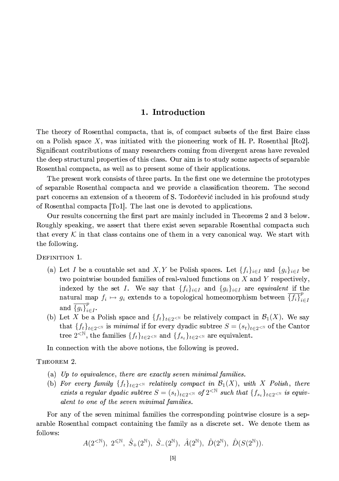### 1. Introduction

The theory of Rosenthal compacta, that is, of compact subsets of the first Baire class on a Polish space X, was initiated with the pioneering work of H. P. Rosenthal  $[Ro2]$ . Significant contributions of many researchers coming from divergent areas have revealed the deep structural properties of this class. Our aim is to study some aspects of separable Rosenthal compacta, as well as to present some of their applications.

The present work consists of three parts. In the first one we determine the prototypes of separable Rosenthal compacta and we provide a classification theorem. The second part concerns an extension of a theorem of S. Todorcevic included in his profound study of Rosenthal compacta [To1]. The last one is devoted to applications.

Our results concerning the first part are mainly included in Theorems 2 and 3 below. Roughly speaking, we assert that there exist seven separable Rosenthal compacta such that every K in that class contains one of them in a very canonical way. We start with the following.

DEFINITION 1.

- (a) Let I be a countable set and X, Y be Polish spaces. Let  $\{f_i\}_{i\in I}$  and  $\{g_i\}_{i\in I}$  be two pointwise bounded families of real-valued functions on  $X$  and  $Y$  respectively, indexed by the set I. We say that  $\{f_i\}_{i\in I}$  and  $\{g_i\}_{i\in I}$  are equivalent if the natural map  $f_i \mapsto g_i$  extends to a topological homeomorphism between  $\{f_i\}_{i\in I}^{\nu}$ and  $\overline{\{g_i\}}_{i \in I}^p$ .
- (b) Let X be a Polish space and  $\{f_t\}_{t\in 2\leq N}$  be relatively compact in  $\mathcal{B}_1(X)$ . We say that  $\{f_t\}_{t\in 2\le N}$  is minimal if for every dyadic subtree  $S = (s_t)_{t\in 2\le N}$  of the Cantor tree  $2^{<\mathbb{N}}$ , the families  $\{f_t\}_{t\in 2^{<\mathbb{N}}}$  and  $\{f_{s_t}\}_{t\in 2^{<\mathbb{N}}}$  are equivalent.

In connection with the above notions, the following is proved.

THEOREM 2.

- (a) Up to equivalence, there are exactly seven minimal families.
- (b) For every family  $\{f_t\}_{t\in 2\leq N}$  relatively compact in  $\mathcal{B}_1(X)$ , with X Polish, there exists a regular dyadic subtree  $S = (s_t)_{t \in 2 \leq N}$  of  $2^{< N}$  such that  $\{f_{s_t}\}_{t \in 2 \leq N}$  is equivalent to one of the seven minimal families.

For any of the seven minimal families the corresponding pointwise closure is a separable Rosenthal compact containing the family as a discrete set. We denote them as follows:

$$
A(2^{<\mathbb{N}}), \ 2^{<\mathbb{N}}, \ \hat{S}_+(2^{\mathbb{N}}), \ \hat{S}_-(2^{\mathbb{N}}), \ \hat{A}(2^{\mathbb{N}}), \ \hat{D}(2^{\mathbb{N}}), \ \hat{D}(S(2^{\mathbb{N}})).
$$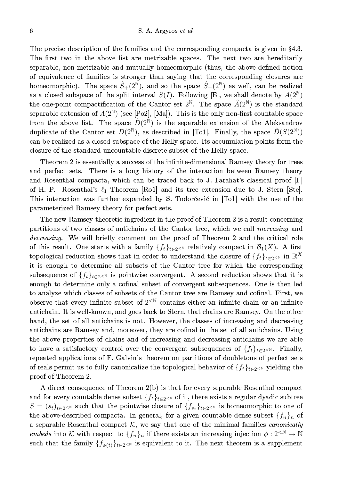The precise description of the families and the corresponding compacta is given in  $\S 4.3$ . The first two in the above list are metrizable spaces. The next two are hereditarily separable, non-metrizable and mutually homeomorphic (thus, the above-defined notion of equivalence of families is stronger than saying that the corresponding closures are homeomorphic). The space  $\hat{S}_+(2^{\mathbb{N}})$ , and so the space  $\hat{S}_-(2^{\mathbb{N}})$  as well, can be realized as a closed subspace of the split interval  $S(I)$ . Following [E], we shall denote by  $A(2^{\mathbb{N}})$ the one-point compactification of the Cantor set  $2^{\mathbb{N}}$ . The space  $\hat{A}(2^{\mathbb{N}})$  is the standard separable extension of  $A(2^{\mathbb{N}})$  (see [Po2], [Ma]). This is the only non-first countable space from the above list. The space  $\hat{D}(2^N)$  is the separable extension of the Aleksandrov duplicate of the Cantor set  $D(2^{\mathbb{N}})$ , as described in [To1]. Finally, the space  $\hat{D}(S(2^{\mathbb{N}}))$ can be realized as a closed subspace of the Helly space. Its accumulation points form the closure of the standard uncountable discrete subset of the Helly space.

Theorem 2 is essentially a success of the infinite-dimensional Ramsey theory for trees and perfect sets. There is a long history of the interaction between Ramsey theory and Rosenthal compacta, which can be traced back to J. Farahat's classical proof [F] of H. P. Rosenthal's  $\ell_1$  Theorem [Ro1] and its tree extension due to J. Stern [Ste]. This interaction was further expanded by S. Todorčević in [To1] with the use of the parameterized Ramsey theory for perfect sets.

The new Ramsey-theoretic ingredient in the proof of Theorem 2 is a result concerning partitions of two classes of antichains of the Cantor tree, which we call *increasing* and *decreasing*. We will briefly comment on the proof of Theorem 2 and the critical role of this result. One starts with a family  $\{f_t\}_{t\in 2\leq N}$  relatively compact in  $\mathcal{B}_1(X)$ . A first topological reduction shows that in order to understand the closure of  $\{f_t\}_{t\in 2\le N}$  in  $\mathbb{R}^X$ it is enough to determine all subsets of the Cantor tree for which the corresponding subsequence of  $\{f_t\}_{t\in2\leq N}$  is pointwise convergent. A second reduction shows that it is enough to determine only a cofinal subset of convergent subsequences. One is then led to analyze which classes of subsets of the Cantor tree are Ramsey and cofinal. First, we observe that every infinite subset of  $2^{< N}$  contains either an infinite chain or an infinite antichain. It is well-known, and goes back to Stern, that chains are Ramsey. On the other hand, the set of all antichains is not. However, the classes of increasing and decreasing antichains are Ramsey and, moreover, they are cofinal in the set of all antichains. Using the above properties of chains and of increasing and decreasing antichains we are able to have a satisfactory control over the convergent subsequences of  $\{f_t\}_{t\in2\leq N}$ . Finally, repeated applications of F. Galvin's theorem on partitions of doubletons of perfect sets of reals permit us to fully canonicalize the topological behavior of  $\{f_t\}_{t\in 2\le N}$  yielding the proof of Theorem 2.

A direct consequence of Theorem 2(b) is that for every separable Rosenthal compact and for every countable dense subset  $\{f_t\}_{t\in2\leq N}$  of it, there exists a regular dyadic subtree  $S = (s_t)_{t \in 2^{<\mathbb{N}}}$  such that the pointwise closure of  $\{f_{s_t}\}_{t \in 2^{<\mathbb{N}}}$  is homeomorphic to one of the above-described compacta. In general, for a given countable dense subset  $\{f_n\}_n$  of a separable Rosenthal compact  $K$ , we say that one of the minimal families *canonically* embeds into K with respect to  $\{f_n\}_n$  if there exists an increasing injection  $\phi: 2^{< N} \to \mathbb{N}$ such that the family  $\{f_{\phi(t)}\}_{t\in 2\leq N}$  is equivalent to it. The next theorem is a supplement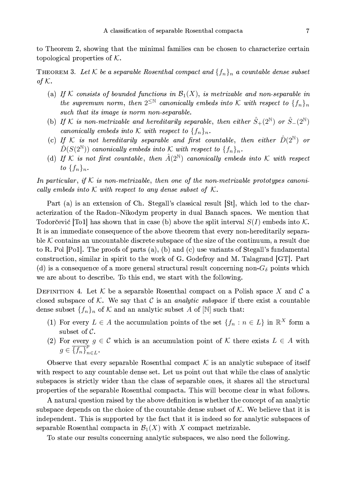to Theorem 2, showing that the minimal families can be chosen to characterize certain topological properties of  $K$ .

**THEOREM 3.** Let K be a separable Rosenthal compact and  $\{f_n\}_n$  a countable dense subset of  $K$ .

- (a) If K consists of bounded functions in  $\mathcal{B}_1(X)$ , is metrizable and non-separable in the supremum norm, then  $2^{\leq \mathbb{N}}$  canonically embeds into K with respect to  $\{f_n\}_n$ such that its image is norm non-separable.
- (b) If K is non-metrizable and hereditarily separable, then either  $\hat{S}_+(2^{\mathbb{N}})$  or  $\hat{S}_-(2^{\mathbb{N}})$ canonically embeds into K with respect to  $\{f_n\}_n$ .
- (c) If K is not hereditarily separable and first countable, then either  $\hat{D}(2^{\mathbb{N}})$  or  $\hat{D}(S(2^{\mathbb{N}}))$  canonically embeds into K with respect to  $\{f_n\}_n$ .
- (d) If K is not first countable, then  $\hat{A}(2^{\mathbb{N}})$  canonically embeds into K with respect to  $\{f_n\}_n$ .

In particular, if  $K$  is non-metrizable, then one of the non-metrizable prototypes canonically embeds into  $K$  with respect to any dense subset of  $K$ .

Part (a) is an extension of Ch. Stegall's classical result [St], which led to the characterization of the Radon-Nikodym property in dual Banach spaces. We mention that Todorčević [To1] has shown that in case (b) above the split interval  $S(I)$  embeds into K. It is an immediate consequence of the above theorem that every non-hereditarily separable  $K$  contains an uncountable discrete subspace of the size of the continuum, a result due to R. Pol [Po1]. The proofs of parts  $(a)$ ,  $(b)$  and  $(c)$  use variants of Stegall's fundamental construction, similar in spirit to the work of G. Godefroy and M. Talagrand [GT]. Part (d) is a consequence of a more general structural result concerning non- $G_{\delta}$  points which we are about to describe. To this end, we start with the following.

DEFINITION 4. Let K be a separable Rosenthal compact on a Polish space X and C a closed subspace of K. We say that C is an *analytic subspace* if there exist a countable dense subset  $\{f_n\}_n$  of K and an analytic subset A of  $[N]$  such that:

- (1) For every  $L \in A$  the accumulation points of the set  $\{f_n : n \in L\}$  in  $\mathbb{R}^X$  form a subset of  $\mathcal{C}$ .
- (2) For every  $g \in \mathcal{C}$  which is an accumulation point of  $\mathcal{K}$  there exists  $L \in A$  with  $g \in \overline{\{f_n\}}_{n \in L}^p$ .

Observe that every separable Rosenthal compact  $K$  is an analytic subspace of itself with respect to any countable dense set. Let us point out that while the class of analytic subspaces is strictly wider than the class of separable ones, it shares all the structural properties of the separable Rosenthal compacta. This will become clear in what follows.

A natural question raised by the above definition is whether the concept of an analytic subspace depends on the choice of the countable dense subset of  $K$ . We believe that it is independent. This is supported by the fact that it is indeed so for analytic subspaces of separable Rosenthal compacta in  $\mathcal{B}_1(X)$  with X compact metrizable.

To state our results concerning analytic subspaces, we also need the following.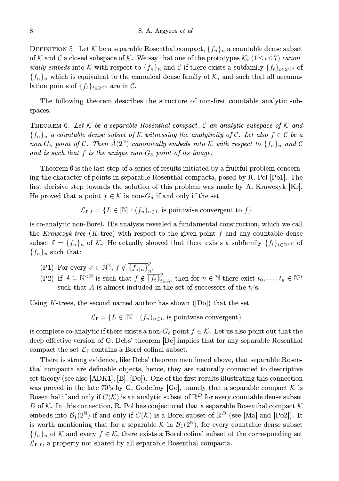DEFINITION 5. Let K be a separable Rosenthal compact,  $\{f_n\}_n$  a countable dense subset of K and C a closed subspace of K. We say that one of the prototypes  $\mathcal{K}_i$  ( $1 \le i \le 7$ ) canon*ically embeds* into K with respect to  $\{f_n\}_n$  and C if there exists a subfamily  $\{f_t\}_{t\in 2\leq N}$  of  $\{f_n\}_n$  which is equivalent to the canonical dense family of  $\mathcal{K}_i$  and such that all accumulation points of  $\{f_t\}_{t\in 2\leq \mathbb{N}}$  are in C.

The following theorem describes the structure of non-first countable analytic subspaces.

THEOREM 6. Let K be a separable Rosenthal compact, C an analytic subspace of K and  $\{f_n\}_n$  a countable dense subset of K witnessing the analyticity of C. Let also  $f \in \mathcal{C}$  be a non- $G_{\delta}$  point of C. Then  $\hat{A}(2^{\mathbb{N}})$  canonically embeds into K with respect to  $\{f_n\}_n$  and C and is such that f is the unique non- $G_{\delta}$  point of its image.

Theorem 6 is the last step of a series of results initiated by a fruitful problem concerning the character of points in separable Rosenthal compacta, posed by R. Pol |Po1|. The first decisive step towards the solution of this problem was made by A. Krawczyk  $[Kr]$ . He proved that a point  $f \in \mathcal{K}$  is non- $G_{\delta}$  if and only if the set

 $\mathcal{L}_{\mathbf{f},f} = \{L \in [\mathbb{N}] : (f_n)_{n \in L} \text{ is pointwise convergent to } f\}$ 

is co-analytic non-Borel. His analysis revealed a fundamental construction, which we call the Krawczyk tree (K-tree) with respect to the given point f and any countable dense subset  $f = \{f_n\}_n$  of K. He actually showed that there exists a subfamily  $\{f_t\}_{t\in\mathbb{N}<\mathbb{N}}$  of  ${f_n}_n$  such that:

- (P1) For every  $\sigma \in \mathbb{N}^{\mathbb{N}}, f \notin \overline{\{f_{\sigma|n}\}}_{n}^{p}$ .
- (P2) If  $A \subseteq \mathbb{N}^{\leq \mathbb{N}}$  is such that  $f \notin \overline{\{f_t\}}_{t \in A}^p$ , then for  $n \in \mathbb{N}$  there exist  $t_0, \ldots, t_k \in \mathbb{N}^n$ such that A is almost included in the set of successors of the  $t_i$ 's.

Using K-trees, the second named author has shown ( $[D_0]$ ) that the set

$$
\mathcal{L}_{\mathbf{f}} = \{L \in [\mathbb{N}] : (f_n)_{n \in L} \text{ is pointwise convergent}\}
$$

is complete co-analytic if there exists a non- $G_{\delta}$  point  $f \in \mathcal{K}$ . Let us also point out that the deep effective version of G. Debs' theorem [De] implies that for any separable Rosenthal compact the set  $\mathcal{L}_{\mathbf{f}}$  contains a Borel cofinal subset.

There is strong evidence, like Debs' theorem mentioned above, that separable Rosenthal compacta are definable objects, hence, they are naturally connected to descriptive set theory (see also  $[ADK1], [B], [Do]$ ). One of the first results illustrating this connection was proved in the late 70's by G. Godefroy [Go], namely that a separable compact  $K$  is Rosenthal if and only if  $C(\mathcal{K})$  is an analytic subset of  $\mathbb{R}^D$  for every countable dense subset D of K. In this connection, R. Pol has conjectured that a separable Rosenthal compact  $K$ embeds into  $\mathcal{B}_1(2^{\mathbb{N}})$  if and only if  $C(\mathcal{K})$  is a Borel subset of  $\mathbb{R}^D$  (see [Ma] and [Po2]). It is worth mentioning that for a separable K in  $\mathcal{B}_1(2^{\mathbb{N}})$ , for every countable dense subset  $\{f_n\}_n$  of K and every  $f \in \mathcal{K}$ , there exists a Borel cofinal subset of the corresponding set  $\mathcal{L}_{\mathbf{f},f}$ , a property not shared by all separable Rosenthal compacta.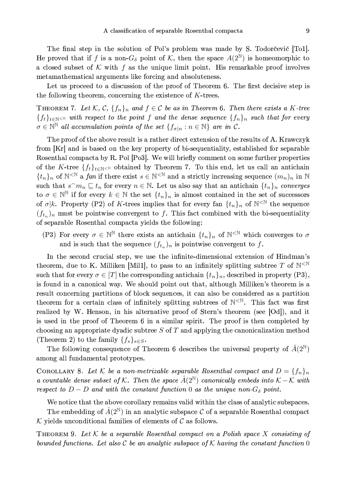The final step in the solution of Pol's problem was made by S. Todorčević [To1]. He proved that if f is a non- $G_{\delta}$  point of K, then the space  $A(2^{\mathbb{N}})$  is homeomorphic to a closed subset of K with f as the unique limit point. His remarkable proof involves metamathematical arguments like forcing and absoluteness.

Let us proceed to a discussion of the proof of Theorem 6. The first decisive step is the following theorem, concerning the existence of  $K$ -trees.

THEOREM 7. Let K, C,  $\{f_n\}_n$  and  $f \in \mathcal{C}$  be as in Theorem 6. Then there exists a K-tree  $\{f_t\}_{t\in\mathbb{N}}$  with respect to the point f and the dense sequence  $\{f_n\}_n$  such that for every  $\sigma \in \mathbb{N}^{\mathbb{N}}$  all accumulation points of the set  $\{f_{\sigma|n} : n \in \mathbb{N}\}\$  are in C.

The proof of the above result is a rather direct extension of the results of A. Krawczyk from [Kr] and is based on the key property of bi-sequentiality, established for separable Rosenthal compacta by R. Pol [Po3]. We will briefly comment on some further properties of the K-tree  $\{f_t\}_{t\in\mathbb{N}<\mathbb{N}}$  obtained by Theorem 7. To this end, let us call an antichain  $\{t_n\}_n$  of  $\mathbb{N}^{\leq \mathbb{N}}$  a fan if there exist  $s \in \mathbb{N}^{\leq \mathbb{N}}$  and a strictly increasing sequence  $(m_n)_n$  in  $\mathbb{N}$ such that  $s^m n \subseteq t_n$  for every  $n \in \mathbb{N}$ . Let us also say that an antichain  $\{t_n\}_n$  converges to  $\sigma \in \mathbb{N}^{\mathbb{N}}$  if for every  $k \in \mathbb{N}$  the set  $\{t_n\}_n$  is almost contained in the set of successors of  $\sigma | k$ . Property (P2) of K-trees implies that for every fan  $\{t_n\}_n$  of  $\mathbb{N}^{\leq \mathbb{N}}$  the sequence  $(f_{t_n})_n$  must be pointwise convergent to f. This fact combined with the bi-sequentiality of separable Rosenthal compacta yields the following:

(P3) For every  $\sigma \in \mathbb{N}^{\mathbb{N}}$  there exists an antichain  $\{t_n\}_n$  of  $\mathbb{N}^{\leq \mathbb{N}}$  which converges to  $\sigma$ and is such that the sequence  $(f_{t_n})_n$  is pointwise convergent to f.

In the second crucial step, we use the infinite-dimensional extension of Hindman's theorem, due to K. Milliken [Mil1], to pass to an infinitely splitting subtree T of  $N^{\leq N}$ such that for every  $\sigma \in [T]$  the corresponding antichain  $\{t_n\}_n$ , described in property (P3), is found in a canonical way. We should point out that, although Milliken's theorem is a result concerning partitions of block sequences, it can also be considered as a partition theorem for a certain class of infinitely splitting subtrees of  $N^{\langle N \rangle}$ . This fact was first realized by W. Henson, in his alternative proof of Stern's theorem (see [Od]), and it is used in the proof of Theorem 6 in a similar spirit. The proof is then completed by choosing an appropriate dyadic subtree  $S$  of  $T$  and applying the canonicalization method (Theorem 2) to the family  $\{f_s\}_{s\in S}$ .

The following consequence of Theorem 6 describes the universal property of  $\hat{A}(2^{\mathbb{N}})$ among all fundamental prototypes.

COROLLARY 8. Let K be a non-metrizable separable Rosenthal compact and  $D = \{f_n\}_n$ a countable dense subset of K. Then the space  $\hat{A}(2^{\mathbb{N}})$  canonically embeds into  $\mathcal{K}-\mathcal{K}$  with respect to  $D - D$  and with the constant function 0 as the unique non- $G_{\delta}$  point.

We notice that the above corollary remains valid within the class of analytic subspaces.

The embedding of  $\hat{A}(2^{\mathbb{N}})$  in an analytic subspace C of a separable Rosenthal compact  $K$  yields unconditional families of elements of  $C$  as follows.

THEOREM 9. Let  $K$  be a separable Rosenthal compact on a Polish space X consisting of bounded functions. Let also C be an analytic subspace of K having the constant function 0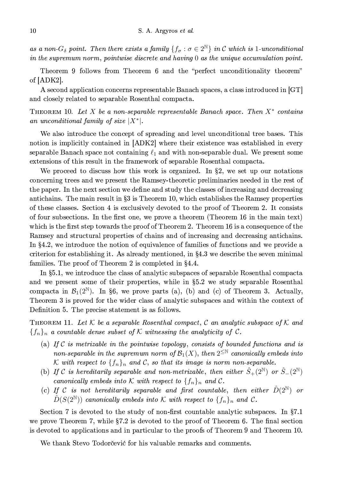as a non- $G_{\delta}$  point. Then there exists a family  $\{f_{\sigma} : \sigma \in 2^{\mathbb{N}}\}\$ in C which is 1-unconditional in the supremum norm, pointwise discrete and having  $0$  as the unique accumulation point.

Theorem 9 follows from Theorem 6 and the "perfect unconditionality theorem" of  $[ADK2]$ .

A second application concerns representable Banach spaces, a class introduced in [GT] and closely related to separable Rosenthal compacta.

THEOREM 10. Let X be a non-separable representable Banach space. Then  $X^*$  contains an unconditional family of size  $|X^*|$ .

We also introduce the concept of spreading and level unconditional tree bases. This notion is implicitly contained in [ADK2] where their existence was established in every separable Banach space not containing  $\ell_1$  and with non-separable dual. We present some extensions of this result in the framework of separable Rosenthal compacta.

We proceed to discuss how this work is organized. In §2, we set up our notations concerning trees and we present the Ramsey-theoretic preliminaries needed in the rest of the paper. In the next section we define and study the classes of increasing and decreasing antichains. The main result in §3 is Theorem 10, which establishes the Ramsey properties of these classes. Section 4 is exclusively devoted to the proof of Theorem 2. It consists of four subsections. In the first one, we prove a theorem (Theorem 16 in the main text) which is the first step towards the proof of Theorem 2. Theorem 16 is a consequence of the Ramsey and structural properties of chains and of increasing and decreasing antichains. In  $\S4.2$ , we introduce the notion of equivalence of families of functions and we provide a criterion for establishing it. As already mentioned, in  $\S 4.3$  we describe the seven minimal families. The proof of Theorem 2 is completed in §4.4.

In §5.1, we introduce the class of analytic subspaces of separable Rosenthal compacta and we present some of their properties, while in §5.2 we study separable Rosenthal compacta in  $\mathcal{B}_1(2^{\mathbb{N}})$ . In §6, we prove parts (a), (b) and (c) of Theorem 3. Actually, Theorem 3 is proved for the wider class of analytic subspaces and within the context of Definition 5. The precise statement is as follows.

THEOREM 11. Let K be a separable Rosenthal compact, C an analytic subspace of K and  $\{f_n\}_n$  a countable dense subset of K witnessing the analyticity of C.

- (a) If  $C$  is metrizable in the pointwise topology, consists of bounded functions and is non-separable in the supremum norm of  $\mathcal{B}_1(X)$ , then  $2^{\leq N}$  canonically embeds into K with respect to  $\{f_n\}_n$  and C, so that its image is norm non-separable.
- (b) If C is hereditarily separable and non-metrizable, then either  $\hat{S}_+(2^{\mathbb{N}})$  or  $\hat{S}_-(2^{\mathbb{N}})$ canonically embeds into K with respect to  $\{f_n\}_n$  and C.
- (c) If C is not hereditarily separable and first countable, then either  $\hat{D}(2^{\mathbb{N}})$  or  $\hat{D}(S(2^{\mathbb{N}}))$  canonically embeds into K with respect to  $\{f_n\}_n$  and C.

Section 7 is devoted to the study of non-first countable analytic subspaces. In  $\S 7.1$ we prove Theorem 7, while §7.2 is devoted to the proof of Theorem 6. The final section is devoted to applications and in particular to the proofs of Theorem 9 and Theorem 10.

We thank Stevo Todorčević for his valuable remarks and comments.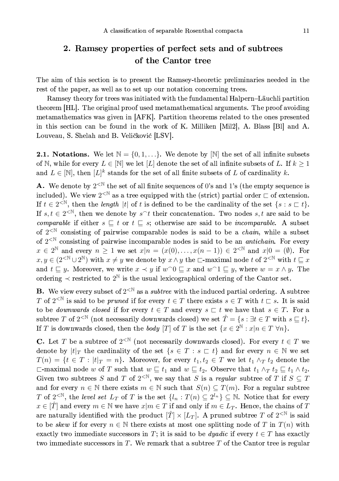# 2. Ramsey properties of perfect sets and of subtrees of the Cantor tree

The aim of this section is to present the Ramsey-theoretic preliminaries needed in the rest of the paper, as well as to set up our notation concerning trees.

Ramsey theory for trees was initiated with the fundamental Halpern-Läuchli partition theorem [HL]. The original proof used metamathematical arguments. The proof avoiding metamathematics was given in [AFK]. Partition theorems related to the ones presented in this section can be found in the work of K. Milliken [Mil2], A. Blass [Bl] and A. Louveau, S. Shelah and B. Veličković [LSV].

**2.1.** Notations. We let  $\mathbb{N} = \{0, 1, ...\}$ . We denote by  $[\mathbb{N}]$  the set of all infinite subsets of N, while for every  $L \in \mathbb{N}$  we let  $[L]$  denote the set of all infinite subsets of L. If  $k \geq 1$ and  $L \in [\mathbb{N}]$ , then  $[L]^k$  stands for the set of all finite subsets of L of cardinality k.

**A.** We denote by  $2^{\lt N}$  the set of all finite sequences of 0's and 1's (the empty sequence is included). We view  $2^{\langle N \rangle}$  as a tree equipped with the (strict) partial order  $\Box$  of extension. If  $t \in 2^{\leq N}$ , then the *length* |t| of t is defined to be the cardinality of the set  $\{s : s \sqsubset t\}$ . If  $s, t \in 2^{<\mathbb{N}}$ , then we denote by  $s^t$  their concatenation. Two nodes  $s, t$  are said to be *comparable* if either  $s \subseteq t$  or  $t \subseteq s$ ; otherwise are said to be *incomparable*. A subset of  $2^{\langle N\rangle}$  consisting of pairwise comparable nodes is said to be a *chain*, while a subset of  $2^{\langle N \rangle}$  consisting of pairwise incomparable nodes is said to be an *antichain*. For every  $x \in 2^{\mathbb{N}}$  and every  $n \geq 1$  we set  $x|n = (x(0), \ldots, x(n-1)) \in 2^{<\mathbb{N}}$  and  $x|0 = (\emptyset)$ . For  $x, y \in (2^{\leq \mathbb{N}} \cup 2^{\mathbb{N}})$  with  $x \neq y$  we denote by  $x \wedge y$  the  $\Box$ -maximal node t of  $2^{\leq \mathbb{N}}$  with  $t \sqsubseteq x$ and  $t \sqsubseteq y$ . Moreover, we write  $x \prec y$  if  $w \cap 0 \sqsubseteq x$  and  $w \cap 1 \sqsubseteq y$ , where  $w = x \wedge y$ . The ordering  $\prec$  restricted to  $2^{\mathbb{N}}$  is the usual lexicographical ordering of the Cantor set.

**B.** We view every subset of  $2^{\langle \mathbb{N} \rangle}$  as a *subtree* with the induced partial ordering. A subtree T of  $2^{<\mathbb{N}}$  is said to be *pruned* if for every  $t \in T$  there exists  $s \in T$  with  $t \subset s$ . It is said to be *downwards closed* if for every  $t \in T$  and every  $s \subset t$  we have that  $s \in T$ . For a subtree T of  $2^{\text{N}}$  (not necessarily downwards closed) we set  $\hat{T} = \{s : \exists t \in T \text{ with } s \subseteq t\}.$ If T is downwards closed, then the body [T] of T is the set  $\{x \in 2^{\mathbb{N}} : x|n \in T \,\forall n\}$ .

**C.** Let T be a subtree of  $2^{\lt N}$  (not necessarily downwards closed). For every  $t \in T$  we denote by  $|t|_T$  the cardinality of the set  $\{s \in T : s \sqsubset t\}$  and for every  $n \in \mathbb{N}$  we set  $T(n) = \{t \in T : |t|_T = n\}.$  Moreover, for every  $t_1, t_2 \in T$  we let  $t_1 \wedge_T t_2$  denote the  $\Box$ -maximal node w of T such that  $w \sqsubseteq t_1$  and  $w \sqsubseteq t_2$ . Observe that  $t_1 \wedge_T t_2 \sqsubseteq t_1 \wedge t_2$ . Given two subtrees S and T of  $2^{\lt N}$ , we say that S is a regular subtree of T if  $S \subseteq T$ and for every  $n \in \mathbb{N}$  there exists  $m \in \mathbb{N}$  such that  $S(n) \subseteq T(m)$ . For a regular subtree T of  $2^{<\mathbb{N}}$ , the level set  $L_T$  of T is the set  $\{l_n: T(n) \subseteq 2^{l_n}\}\subseteq \mathbb{N}$ . Notice that for every  $x \in [T]$  and every  $m \in \mathbb{N}$  we have  $x|m \in T$  if and only if  $m \in L_T$ . Hence, the chains of T are naturally identified with the product  $[\hat{T}] \times [L_T]$ . A pruned subtree T of  $2^{<\mathbb{N}}$  is said to be skew if for every  $n \in \mathbb{N}$  there exists at most one splitting node of T in  $T(n)$  with exactly two immediate successors in T; it is said to be *dyadic* if every  $t \in T$  has exactly two immediate successors in  $T$ . We remark that a subtree  $T$  of the Cantor tree is regular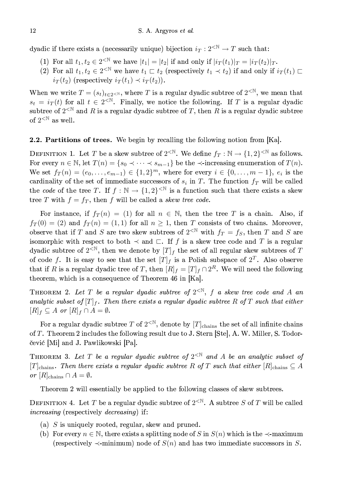dyadic if there exists a (necessarily unique) bijection  $i_T : 2^{\langle \mathbb{N} \rangle} \to T$  such that:

- (1) For all  $t_1, t_2 \in 2^{< \mathbb{N}}$  we have  $|t_1| = |t_2|$  if and only if  $|i_T(t_1)|_T = |i_T(t_2)|_T$ .
- (2) For all  $t_1, t_2 \in 2^{\leq \mathbb{N}}$  we have  $t_1 \sqsubset t_2$  (respectively  $t_1 \prec t_2$ ) if and only if  $i_T(t_1) \sqsubset$  $i_T(t_2)$  (respectively  $i_T(t_1) \prec i_T(t_2)$ ).

When we write  $T = (s_t)_{t \in 2 \leq \mathbb{N}}$ , where T is a regular dyadic subtree of  $2^{\leq \mathbb{N}}$ , we mean that  $s_t = i_T(t)$  for all  $t \in 2^{<\mathbb{N}}$ . Finally, we notice the following. If T is a regular dyadic subtree of  $2^{<\mathbb{N}}$  and R is a regular dyadic subtree of T, then R is a regular dyadic subtree of  $2^{< \mathbb{N}}$  as well.

#### **2.2. Partitions of trees.** We begin by recalling the following notion from  $[Ka]$ .

DEFINITION 1. Let T be a skew subtree of  $2^{<\mathbb{N}}$ . We define  $f_T : \mathbb{N} \to \{1,2\}^{<\mathbb{N}}$  as follows. For every  $n \in \mathbb{N}$ , let  $T(n) = \{s_0 \prec \cdots \prec s_{m-1}\}\$ be the  $\prec$ -increasing enumeration of  $T(n)$ . We set  $f_T(n) = (e_0, \ldots, e_{m-1}) \in \{1,2\}^m$ , where for every  $i \in \{0, \ldots, m-1\}$ ,  $e_i$  is the cardinality of the set of immediate successors of  $s_i$  in T. The function  $f_T$  will be called the code of the tree T. If  $f : \mathbb{N} \to \{1,2\}^{< \mathbb{N}}$  is a function such that there exists a skew tree T with  $f = f_T$ , then f will be called a skew tree code.

For instance, if  $f_T(n) = (1)$  for all  $n \in \mathbb{N}$ , then the tree T is a chain. Also, if  $f_T(0) = (2)$  and  $f_T(n) = (1,1)$  for all  $n \ge 1$ , then T consists of two chains. Moreover, observe that if T and S are two skew subtrees of  $2^{<\mathbb{N}}$  with  $f_T = f_S$ , then T and S are isomorphic with respect to both  $\prec$  and  $\sqsubset$ . If f is a skew tree code and T is a regular dyadic subtree of  $2^{\langle N \rangle}$ , then we denote by  $[T]_f$  the set of all regular skew subtrees of T of code f. It is easy to see that the set  $[T]_f$  is a Polish subspace of  $2^T$ . Also observe that if R is a regular dyadic tree of T, then  $[R]_f = [T]_f \cap 2^R$ . We will need the following theorem, which is a consequence of Theorem 46 in [Ka].

THEOREM 2. Let T be a regular dyadic subtree of  $2^{<\mathbb{N}}$ , f a skew tree code and A an analytic subset of  $[T]_f$ . Then there exists a regular dyadic subtree R of T such that either  $[R]_f \subseteq A$  or  $[R]_f \cap A = \emptyset$ .

For a regular dyadic subtree T of  $2^{<\mathbb{N}}$ , denote by  $[T]_{\text{chains}}$  the set of all infinite chains of T. Theorem 2 includes the following result due to J. Stern [Ste], A. W. Miller, S. Todorčević [Mi] and J. Pawlikowski [Pa].

THEOREM 3. Let T be a regular dyadic subtree of  $2<sup>\mathbb{N}</sup>$  and A be an analytic subset of  $[T]_{\text{chains}}$ . Then there exists a regular dyadic subtree R of T such that either  $[R]_{\text{chains}} \subseteq A$ or  $[R]_{\text{chains}} \cap A = \emptyset$ .

Theorem 2 will essentially be applied to the following classes of skew subtrees.

DEFINITION 4. Let T be a regular dyadic subtree of  $2^{<\mathbb{N}}$ . A subtree S of T will be called *increasing* (respectively *decreasing*) if:

- (a)  $S$  is uniquely rooted, regular, skew and pruned.
- (b) For every  $n \in \mathbb{N}$ , there exists a splitting node of S in  $S(n)$  which is the  $\prec$ -maximum (respectively  $\prec$ -minimum) node of  $S(n)$  and has two immediate successors in S.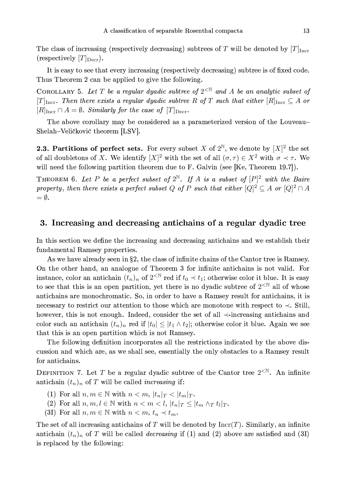The class of increasing (respectively decreasing) subtrees of T will be denoted by  $[T]_{\text{Incr}}$ (respectively  $[T]_{\text{Decr}}$ ).

It is easy to see that every increasing (respectively decreasing) subtree is of fixed code. Thus Theorem 2 can be applied to give the following.

COROLLARY 5. Let T be a regular dyadic subtree of  $2^{< N}$  and A be an analytic subset of  $[T]_{\text{Incr}}$ . Then there exists a regular dyadic subtree R of T such that either  $[R]_{\text{Incr}} \subseteq A$  or  $[R]_{\text{Incr}} \cap A = \emptyset$ . Similarly for the case of  $[T]_{\text{Decr}}$ .

The above corollary may be considered as a parameterized version of the Louveau-Shelah-Veličković theorem [LSV].

**2.3. Partitions of perfect sets.** For every subset X of  $2^{\mathbb{N}}$ , we denote by  $[X]^2$  the set of all doubletons of X. We identify  $[X]^2$  with the set of all  $(\sigma, \tau) \in X^2$  with  $\sigma \prec \tau$ . We will need the following partition theorem due to F. Galvin (see [Ke, Theorem 19.7]).

THEOREM 6. Let P be a perfect subset of  $2^{\mathbb{N}}$ . If A is a subset of  $[P]^2$  with the Baire property, then there exists a perfect subset Q of P such that either  $[Q]^2 \subseteq A$  or  $[Q]^2 \cap A$  $= \emptyset$ .

### 3. Increasing and decreasing antichains of a regular dyadic tree

In this section we define the increasing and decreasing antichains and we establish their fundamental Ramsey properties.

As we have already seen in §2, the class of infinite chains of the Cantor tree is Ramsey. On the other hand, an analogue of Theorem 3 for infinite antichains is not valid. For instance, color an antichain  $(t_n)_n$  of  $2^{<\mathbb{N}}$  red if  $t_0 \prec t_1$ ; otherwise color it blue. It is easy to see that this is an open partition, yet there is no dyadic subtree of  $2^{\langle \mathbb{N} \rangle}$  all of whose antichains are monochromatic. So, in order to have a Ramsey result for antichains, it is necessary to restrict our attention to those which are monotone with respect to  $\prec$ . Still, however, this is not enough. Indeed, consider the set of all  $\prec$ -increasing antichains and color such an antichain  $(t_n)_n$  red if  $|t_0| \leq |t_1 \wedge t_2|$ ; otherwise color it blue. Again we see that this is an open partition which is not Ramsey.

The following definition incorporates all the restrictions indicated by the above discussion and which are, as we shall see, essentially the only obstacles to a Ramsey result for antichains.

DEFINITION 7. Let T be a regular dyadic subtree of the Cantor tree  $2<sup>{N}</sup>$ . An infinite antichain  $(t_n)_n$  of T will be called *increasing* if:

- (1) For all  $n, m \in \mathbb{N}$  with  $n < m$ ,  $|t_n|_T < |t_m|_T$ .
- (2) For all  $n, m, l \in \mathbb{N}$  with  $n < m < l$ ,  $|t_n|_T \leq |t_m \wedge_T t_l|_T$ .
- (3I) For all  $n, m \in \mathbb{N}$  with  $n < m, t_n \prec t_m$ .

The set of all increasing antichains of T will be denoted by  $\text{Incr}(T)$ . Similarly, an infinite antichain  $(t_n)_n$  of T will be called *decreasing* if (1) and (2) above are satisfied and (3I) is replaced by the following: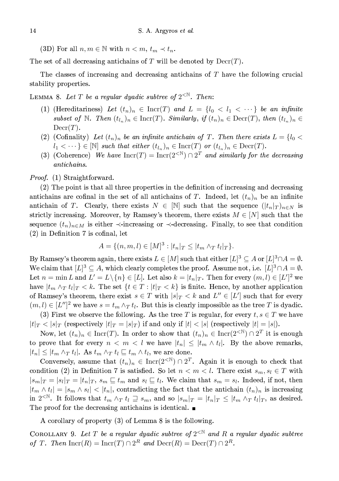(3D) For all  $n, m \in \mathbb{N}$  with  $n < m$ ,  $t_m \prec t_n$ .

The set of all decreasing antichains of T will be denoted by  $\text{Decr}(T)$ .

The classes of increasing and decreasing antichains of  $T$  have the following crucial stability properties.

LEMMA 8. Let T be a regular dyadic subtree of  $2^{<\mathbb{N}}$ . Then:

- (1) (Hereditariness) Let  $(t_n)_n \in \text{Incr}(T)$  and  $L = \{l_0 < l_1 < \cdots \}$  be an infinite subset of N. Then  $(t_{l_n})_n \in \text{Incr}(T)$ . Similarly, if  $(t_n)_n \in \text{Decr}(T)$ , then  $(t_{l_n})_n \in$  $\text{Decr}(T)$ .
- (2) (Cofinality) Let  $(t_n)_n$  be an infinite antichain of T. Then there exists  $L = \{l_0 <$  $l_1 < \cdots \} \in [\mathbb{N}]$  such that either  $(t_{l_n})_n \in \text{Incr}(T)$  or  $(t_{l_n})_n \in \text{Decr}(T)$ .
- (3) (Coherence) We have  $\text{Incr}(T) = \text{Incr}(2^{<\mathbb{N}}) \cap 2^T$  and similarly for the decreasing antichains.

*Proof.* (1) Straightforward.

(2) The point is that all three properties in the definition of increasing and decreasing antichains are cofinal in the set of all antichains of T. Indeed, let  $(t_n)_n$  be an infinite antichain of T. Clearly, there exists  $N \in \mathbb{N}$  such that the sequence  $(|t_n|_T)_{n \in \mathbb{N}}$  is strictly increasing. Moreover, by Ramsey's theorem, there exists  $M \in [N]$  such that the sequence  $(t_n)_{n \in M}$  is either  $\prec$ -increasing or  $\prec$ -decreasing. Finally, to see that condition  $(2)$  in Definition 7 is cofinal, let

$$
A = \{(n, m, l) \in [M]^3 : |t_n|_T \le |t_m \wedge_T t_l|_T\}.
$$

By Ramsey's theorem again, there exists  $L \in [M]$  such that either  $[L]^3 \subseteq A$  or  $[L]^3 \cap A = \emptyset$ . We claim that  $[L]^3 \subseteq A$ , which clearly completes the proof. Assume not, i.e.  $[L]^3 \cap A = \emptyset$ . Let  $n = \min L$  and  $L' = L \setminus \{n\} \in [L]$ . Let also  $k = |t_n|_T$ . Then for every  $(m, l) \in [L']^2$  we have  $|t_m \wedge_T t_l|_T < k$ . The set  $\{t \in T : |t|_T < k\}$  is finite. Hence, by another application of Ramsey's theorem, there exist  $s \in T$  with  $|s|_T < k$  and  $L'' \in [L']$  such that for every  $(m, l) \in [L'']^2$  we have  $s = t_m \wedge_T t_l$ . But this is clearly impossible as the tree T is dyadic.

(3) First we observe the following. As the tree T is regular, for every  $t, s \in T$  we have  $|t|_T < |s|_T$  (respectively  $|t|_T = |s|_T$ ) if and only if  $|t| < |s|$  (respectively  $|t| = |s|$ ).

Now, let  $(t_n)_n \in \text{Incr}(T)$ . In order to show that  $(t_n)_n \in \text{Incr}(2^{<\mathbb{N}}) \cap 2^T$  it is enough to prove that for every  $n \langle m \rangle \langle l \rangle$  we have  $|t_n| \leq |t_m \wedge t_l|$ . By the above remarks,  $|t_n| \leq |t_m \wedge_T t_l|$ . As  $t_m \wedge_T t_l \sqsubseteq t_m \wedge t_l$ , we are done.

Conversely, assume that  $(t_n)_n \in \text{Incr}(2^{<\mathbb{N}}) \cap 2^T$ . Again it is enough to check that condition (2) in Definition 7 is satisfied. So let  $n < m < l$ . There exist  $s_m, s_l \in T$  with  $|s_m|\tau = |s_l|\tau = |t_n|\tau$ ,  $s_m \sqsubseteq t_m$  and  $s_l \sqsubseteq t_l$ . We claim that  $s_m = s_l$ . Indeed, if not, then  $|t_m \wedge t_l| = |s_m \wedge s_l| < |t_n|$ , contradicting the fact that the antichain  $(t_n)_n$  is increasing in  $2^{<\mathbb{N}}$ . It follows that  $t_m \wedge_T t_l \supseteq s_m$ , and so  $|s_m|_T = |t_n|_T \leq |t_m \wedge_T t_l|_T$ , as desired. The proof for the decreasing antichains is identical.  $\blacksquare$ 

A corollary of property (3) of Lemma 8 is the following.

COROLLARY 9. Let T be a regular dyadic subtree of  $2^{<\mathbb{N}}$  and R a regular dyadic subtree of T. Then  $\text{Incr}(R) = \text{Incr}(T) \cap 2^R$  and  $\text{Decr}(R) = \text{Decr}(T) \cap 2^R$ .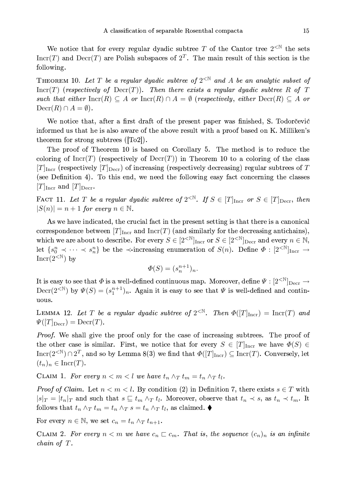We notice that for every regular dyadic subtree T of the Cantor tree  $2^{\text{N}}$  the sets  $\text{Incr}(T)$  and  $\text{Decr}(T)$  are Polish subspaces of  $2^T$ . The main result of this section is the following.

THEOREM 10. Let T be a regular dyadic subtree of  $2^{<\mathbb{N}}$  and A be an analytic subset of  $Incr(T)$  (respectively of  $Decr(T))$ ). Then there exists a regular dyadic subtree R of T such that either  $\text{Incr}(R) \subseteq A$  or  $\text{Incr}(R) \cap A = \emptyset$  (respectively, either  $\text{Decr}(R) \subseteq A$  or  $\text{Decr}(R) \cap A = \emptyset$ .

We notice that, after a first draft of the present paper was finished, S. Todorcevic informed us that he is also aware of the above result with a proof based on K. Milliken's theorem for strong subtrees  $(\text{To2})$ .

The proof of Theorem 10 is based on Corollary 5. The method is to reduce the coloring of Incr(T) (respectively of  $\text{Decr}(T)$ ) in Theorem 10 to a coloring of the class  $[T]_{\text{Incr}}$  (respectively  $[T]_{\text{Decr}}$ ) of increasing (respectively decreasing) regular subtrees of T (see Definition 4). To this end, we need the following easy fact concerning the classes  $[T]_{\text{Incr}}$  and  $[T]_{\text{Decr}}$ .

FACT 11. Let T be a regular dyadic subtree of  $2^{<\mathbb{N}}$ . If  $S \in [T]_{\text{Incr}}$  or  $S \in [T]_{\text{Decr}}$ , then  $|S(n)| = n + 1$  for every  $n \in \mathbb{N}$ .

As we have indicated, the crucial fact in the present setting is that there is a canonical correspondence between  $[T]_{\text{Incr}}$  and  $\text{Incr}(T)$  (and similarly for the decreasing antichains), which we are about to describe. For every  $S \in [2^{< N}]_{\text{Incr}}$  or  $S \in [2^{< N}]_{\text{Decr}}$  and every  $n \in \mathbb{N}$ , let  $\{s_0^n \prec \cdots \prec s_n^n\}$  be the  $\prec$ -increasing enumeration of  $S(n)$ . Define  $\Phi: [2^{<\mathbb{N}}]_{\text{Incr}} \to$  $\text{Incr}(2^{<\mathbb{N}})$  by

$$
\Phi(S) = (s_n^{n+1})_n
$$

It is easy to see that  $\Phi$  is a well-defined continuous map. Moreover, define  $\Psi: [2^{<\mathbb{N}}]_{\mathrm{Decr}} \to$  $\text{Decr}(2^{<\mathbb{N}})$  by  $\Psi(S) = (s_1^{n+1})_n$ . Again it is easy to see that  $\Psi$  is well-defined and continuous.

LEMMA 12. Let T be a regular dyadic subtree of  $2^{<\mathbb{N}}$ . Then  $\Phi([T]_{\text{Incr}}) = \text{Incr}(T)$  and  $\Psi([T]_{\text{Decr}}) = \text{Decr}(T).$ 

Proof. We shall give the proof only for the case of increasing subtrees. The proof of the other case is similar. First, we notice that for every  $S \in [T]_{\text{Incr}}$  we have  $\Phi(S) \in$ Incr(2<sup><N</sup>)  $\cap$  2<sup>T</sup>, and so by Lemma 8(3) we find that  $\Phi([T]_{\text{Incr}}) \subseteq \text{Incr}(T)$ . Conversely, let  $(t_n)_n \in \text{Incr}(T).$ 

CLAIM 1. For every  $n < m < l$  we have  $t_n \wedge_T t_m = t_n \wedge_T t_l$ .

*Proof of Claim.* Let  $n < m < l$ . By condition (2) in Definition 7, there exists  $s \in T$  with  $|s|_T = |t_n|_T$  and such that  $s \sqsubseteq t_m \wedge_T t_l$ . Moreover, observe that  $t_n \prec s$ , as  $t_n \prec t_m$ . It follows that  $t_n \wedge_T t_m = t_n \wedge_T s = t_n \wedge_T t_l$ , as claimed.  $\blacklozenge$ 

For every  $n \in \mathbb{N}$ , we set  $c_n = t_n \wedge_T t_{n+1}$ .

CLAIM 2. For every  $n < m$  we have  $c_n \n\sqsubset c_m$ . That is, the sequence  $(c_n)_n$  is an infinite  $chain\ of\ T.$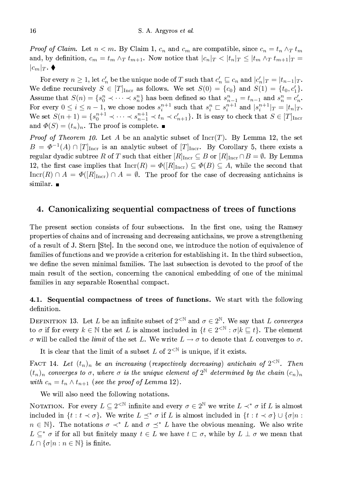*Proof of Claim.* Let  $n < m$ . By Claim 1,  $c_n$  and  $c_m$  are compatible, since  $c_n = t_n \wedge_T t_m$ and, by definition,  $c_m = t_m \wedge_T t_{m+1}$ . Now notice that  $|c_n|_T < |t_n|_T \leq |t_m \wedge_T t_{m+1}|_T =$  $|c_m|_T$ .  $\blacklozenge$ 

For every  $n \geq 1$ , let  $c'_n$  be the unique node of T such that  $c'_n \sqsubseteq c_n$  and  $|c'_n|_T = |t_{n-1}|_T$ . We define recursively  $S \in [T]_{\text{Incr}}$  as follows. We set  $S(0) = \{c_0\}$  and  $S(1) = \{t_0, c_1'\}.$ Assume that  $S(n) = \{s_0^n \prec \cdots \prec s_n^n\}$  has been defined so that  $s_{n-1}^n = t_{n-1}$  and  $s_n^n = c'_n$ .<br>For every  $0 \le i \le n-1$ , we chose nodes  $s_i^{n+1}$  such that  $s_i^n \sqsubset s_i^{n+1}$  and  $|s_i^{n+1}|_T = |t_n|_T$ .<br>We set  $S(n+1) = \{s_0^{n+1} \prec \$ and  $\Phi(S) = (t_n)_n$ . The proof is complete.

*Proof of Theorem 10.* Let A be an analytic subset of  $Incr(T)$ . By Lemma 12, the set  $B = \Phi^{-1}(A) \cap [T]_{\text{Incr}}$  is an analytic subset of  $[T]_{\text{Incr}}$ . By Corollary 5, there exists a regular dyadic subtree R of T such that either  $[R]_{\text{Incr}} \subseteq B$  or  $[R]_{\text{Incr}} \cap B = \emptyset$ . By Lemma 12, the first case implies that  $\text{Incr}(R) = \Phi(R)_{\text{Incr}} \subseteq \Phi(B) \subseteq A$ , while the second that  $\text{Incr}(R) \cap A = \Phi([R]_{\text{Incr}}) \cap A = \emptyset$ . The proof for the case of decreasing antichains is similar.  $\blacksquare$ 

## 4. Canonicalizing sequential compactness of trees of functions

The present section consists of four subsections. In the first one, using the Ramsey properties of chains and of increasing and decreasing antichains, we prove a strengthening of a result of J. Stern Stel. In the second one, we introduce the notion of equivalence of families of functions and we provide a criterion for establishing it. In the third subsection, we define the seven minimal families. The last subsection is devoted to the proof of the main result of the section, concerning the canonical embedding of one of the minimal families in any separable Rosenthal compact.

4.1. Sequential compactness of trees of functions. We start with the following definition.

DEFINITION 13. Let L be an infinite subset of  $2^{\text{N}}$  and  $\sigma \in 2^{\mathbb{N}}$ . We say that L converges to  $\sigma$  if for every  $k \in \mathbb{N}$  the set L is almost included in  $\{t \in 2^{\leq \mathbb{N}} : \sigma | k \sqsubseteq t\}$ . The element  $\sigma$  will be called the limit of the set L. We write  $L \to \sigma$  to denote that L converges to  $\sigma$ .

It is clear that the limit of a subset L of  $2^{\langle \mathbb{N} \rangle}$  is unique, if it exists.

FACT 14. Let  $(t_n)_n$  be an increasing (respectively decreasing) antichain of  $2^{<\mathbb{N}}$ . Then  $(t_n)_n$  converges to  $\sigma$ , where  $\sigma$  is the unique element of  $2^{\mathbb{N}}$  determined by the chain  $(c_n)_n$ with  $c_n = t_n \wedge t_{n+1}$  (see the proof of Lemma 12).

We will also need the following notations.

NOTATION. For every  $L \subseteq 2^{\lt N}$  infinite and every  $\sigma \in 2^{\mathbb{N}}$  we write  $L \prec^* \sigma$  if L is almost included in  $\{t : t \prec \sigma\}$ . We write  $L \preceq^* \sigma$  if L is almost included in  $\{t : t \prec \sigma\} \cup \{\sigma | n :$  $n \in \mathbb{N}$ . The notations  $\sigma \prec^* L$  and  $\sigma \preceq^* L$  have the obvious meaning. We also write  $L \subseteq^* \sigma$  if for all but finitely many  $t \in L$  we have  $t \subset \sigma$ , while by  $L \perp \sigma$  we mean that  $L \cap {\sigma | n : n \in \mathbb{N}}$  is finite.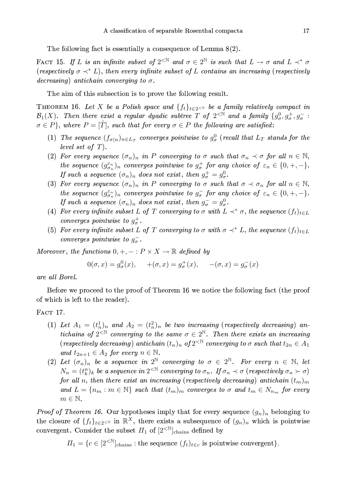The following fact is essentially a consequence of Lemma  $8(2)$ .

FACT 15. If L is an infinite subset of  $2^{<\mathbb{N}}$  and  $\sigma \in 2^{\mathbb{N}}$  is such that  $L \to \sigma$  and  $L \prec^* \sigma$ (respectively  $\sigma \prec^* L$ ), then every infinite subset of L contains an increasing (respectively decreasing) antichain converging to  $\sigma$ .

The aim of this subsection is to prove the following result.

THEOREM 16. Let X be a Polish space and  $\{f_t\}_{t\in 2\leq N}$  be a family relatively compact in  $\mathcal{B}_1(X)$ . Then there exist a regular dyadic subtree T of  $2^{<\mathbb{N}}$  and a family  $\{g^0_\sigma, g^+_\sigma, g^-_\sigma:$  $\sigma \in P$ , where  $P = [\hat{T}]$ , such that for every  $\sigma \in P$  the following are satisfied:

- (1) The sequence  $(f_{\sigma|n})_{n\in L_T}$  converges pointwise to  $g^0_{\sigma}$  (recall that  $L_T$  stands for the level set of  $T$ ).
- (2) For every sequence  $(\sigma_n)_n$  in P converging to  $\sigma$  such that  $\sigma_n \prec \sigma$  for all  $n \in \mathbb{N}$ , the sequence  $(g_{\sigma_n}^{\varepsilon_n})_n$  converges pointwise to  $g_{\sigma}^+$  for any choice of  $\varepsilon_n \in \{0, +, -\}.$ If such a sequence  $(\sigma_n)_n$  does not exist, then  $g^+_{\sigma} = g^0_{\sigma}$ .
- (3) For every sequence  $(\sigma_n)_n$  in P converging to  $\sigma$  such that  $\sigma \prec \sigma_n$  for all  $n \in \mathbb{N}$ , the sequence  $(g_{\sigma_n}^{\varepsilon_n})_n$  converges pointwise to  $g_{\sigma}^-$  for any choice of  $\varepsilon_n \in \{0, +, -\}.$ If such a sequence  $(\sigma_n)_n$  does not exist, then  $g_{\sigma}^- = g_{\sigma}^0$ .
- (4) For every infinite subset L of T converging to  $\sigma$  with  $L \prec^* \sigma$ , the sequence  $(f_t)_{t \in L}$ converges pointwise to  $g^+_{\sigma}$ .
- (5) For every infinite subset L of T converging to  $\sigma$  with  $\sigma \prec^* L$ , the sequence  $(f_t)_{t \in L}$ converges pointwise to  $g_{\sigma}^-$ .

Moreover, the functions  $0, +, -: P \times X \to \mathbb{R}$  defined by

$$
0(\sigma, x) = g_{\sigma}^{0}(x), \quad +(\sigma, x) = g_{\sigma}^{+}(x), \quad -(\sigma, x) = g_{\sigma}^{-}(x)
$$

are all Borel.

Before we proceed to the proof of Theorem 16 we notice the following fact (the proof of which is left to the reader).

FACT 17.

- (1) Let  $A_1 = (t_n^1)_n$  and  $A_2 = (t_n^2)_n$  be two increasing (respectively decreasing) antichains of  $2^{<\mathbb{N}}$  converging to the same  $\sigma \in 2^{\mathbb{N}}$ . Then there exists an increasing (respectively decreasing) antichain  $(t_n)_n$  of  $2^{< \mathbb{N}}$  converging to  $\sigma$  such that  $t_{2n} \in A_1$ and  $t_{2n+1} \in A_2$  for every  $n \in \mathbb{N}$ .
- (2) Let  $(\sigma_n)_n$  be a sequence in  $2^{\mathbb{N}}$  converging to  $\sigma \in 2^{\mathbb{N}}$ . For every  $n \in \mathbb{N}$ , let  $N_n = (t_k^n)_k$  be a sequence in  $2^{<\mathbb{N}}$  converging to  $\sigma_n$ . If  $\sigma_n \prec \sigma$  (respectively  $\sigma_n \succ \sigma$ ) for all n, then there exist an increasing (respectively decreasing) antichain  $(t_m)_m$ and  $L = \{n_m : m \in \mathbb{N}\}\$  such that  $(t_m)_m$  converges to  $\sigma$  and  $t_m \in N_{n_m}$  for every  $m \in \mathbb{N}$ .

*Proof of Theorem 16.* Our hypotheses imply that for every sequence  $(g_n)_n$  belonging to the closure of  $\{f_t\}_{t\in 2\leq N}$  in  $\mathbb{R}^X$ , there exists a subsequence of  $(g_n)_n$  which is pointwise convergent. Consider the subset  $\Pi_1$  of  $[2^{<\mathbb{N}}]_{\text{chains}}$  defined by

 $\Pi_1 = \{c \in [2^{\leq N}]_{\text{chains}} : \text{the sequence } (f_t)_{t \in c} \text{ is pointwise convergent} \}.$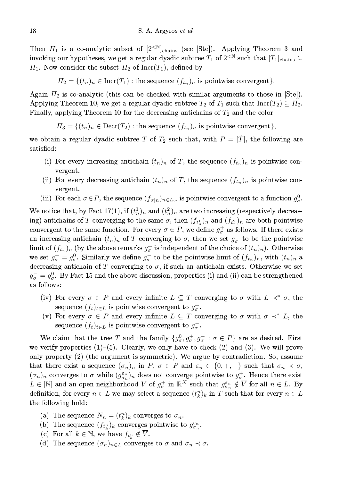Then  $\Pi_1$  is a co-analytic subset of  $[2^{<\mathbb{N}}]_{\text{chains}}$  (see [Ste]). Applying Theorem 3 and invoking our hypotheses, we get a regular dyadic subtree  $T_1$  of  $2^{<\mathbb{N}}$  such that  $[T_1]_{\text{chains}} \subseteq$  $\Pi_1$ . Now consider the subset  $\Pi_2$  of Incr(T<sub>1</sub>), defined by

$$
\Pi_2 = \{(t_n)_n \in \text{Incr}(T_1) : \text{the sequence } (f_{t_n})_n \text{ is pointwise convergent}\}.
$$

Again  $\Pi_2$  is co-analytic (this can be checked with similar arguments to those in  $|\text{Ste}|\$ ). Applying Theorem 10, we get a regular dyadic subtree  $T_2$  of  $T_1$  such that  $Incr(T_2) \subseteq \Pi_2$ . Finally, applying Theorem 10 for the decreasing antichains of  $T_2$  and the color

$$
\Pi_3 = \{ (t_n)_n \in \text{Decr}(T_2) : \text{the sequence } (f_{t_n})_n \text{ is pointwise convergent} \},
$$

we obtain a regular dyadic subtree T of  $T_2$  such that, with  $P = [\hat{T}]$ , the following are satisfied:

- (i) For every increasing antichain  $(t_n)_n$  of T, the sequence  $(f_{t_n})_n$  is pointwise convergent.
- (ii) For every decreasing antichain  $(t_n)_n$  of T, the sequence  $(f_{t_n})_n$  is pointwise convergent.
- (iii) For each  $\sigma \in P$ , the sequence  $(f_{\sigma|n})_{n \in L_T}$  is pointwise convergent to a function  $g^0_{\sigma}$ .

We notice that, by Fact 17(1), if  $(t_n)$  and  $(t_n)$  are two increasing (respectively decreasing) antichains of T converging to the same  $\sigma$ , then  $(f_{t_n}^1)_n$  and  $(f_{t_n}^2)_n$  are both pointwise convergent to the same function. For every  $\sigma \in P$ , we define  $g_{\sigma}^+$  as follows. If there exists an increasing antichain  $(t_n)_n$  of T converging to  $\sigma$ , then we set  $g^+_n$  to be the pointwise limit of  $(f_{t_n})_n$  (by the above remarks  $g_{\sigma}^+$  is independent of the choice of  $(t_n)_n$ ). Otherwise we set  $g_{\sigma}^+ = g_{\sigma}^0$ . Similarly we define  $g_{\sigma}^-$  to be the pointwise limit of  $(f_{t_n})_n$ , with  $(t_n)_n$  a decreasing antichain of T converging to  $\sigma$ , if such an antichain exists. Otherwise we set  $g_{\sigma}^- = g_{\sigma}^0$ . By Fact 15 and the above discussion, properties (i) and (ii) can be strengthened as follows:

- (iv) For every  $\sigma \in P$  and every infinite  $L \subseteq T$  converging to  $\sigma$  with  $L \prec^* \sigma$ , the sequence  $(f_t)_{t \in L}$  is pointwise convergent to  $g^+_{\sigma}$ .
- (v) For every  $\sigma \in P$  and every infinite  $L \subseteq T$  converging to  $\sigma$  with  $\sigma \prec^* L$ , the sequence  $(f_t)_{t \in L}$  is pointwise convergent to  $g_{\sigma}^-$ .

We claim that the tree T and the family  $\{g^0_\sigma, g^+_\sigma, g^-_\sigma : \sigma \in P\}$  are as desired. First we verify properties  $(1)$ – $(5)$ . Clearly, we only have to check  $(2)$  and  $(3)$ . We will prove only property (2) (the argument is symmetric). We argue by contradiction. So, assume that there exist a sequence  $(\sigma_n)_n$  in P,  $\sigma \in P$  and  $\varepsilon_n \in \{0, +, -\}$  such that  $\sigma_n \prec \sigma$ ,  $(\sigma_n)_n$  converges to  $\sigma$  while  $(g_{\sigma_n}^{\varepsilon_n})_n$  does not converge pointwise to  $g_{\sigma}^+$ . Hence there exist  $L \in [\mathbb{N}]$  and an open neighborhood V of  $g_{\sigma}^+$  in  $\mathbb{R}^X$  such that  $g_{\sigma_n}^{\varepsilon_n} \notin \overline{V}$  for all  $n \in L$ . By definition, for every  $n \in L$  we may select a sequence  $(t_k^n)_k$  in T such that for every  $n \in L$ the following hold:

- (a) The sequence  $N_n = (t_k^n)_k$  converges to  $\sigma_n$ .
- (b) The sequence  $(f_{t_k^n})_k$  converges pointwise to  $g_{\sigma_n}^{\varepsilon_n}$ .
- (c) For all  $k \in \mathbb{N}$ , we have  $f_{t_k^n} \notin \overline{V}$ .
- (d) The sequence  $(\sigma_n)_{n \in L}$  converges to  $\sigma$  and  $\sigma_n \prec \sigma$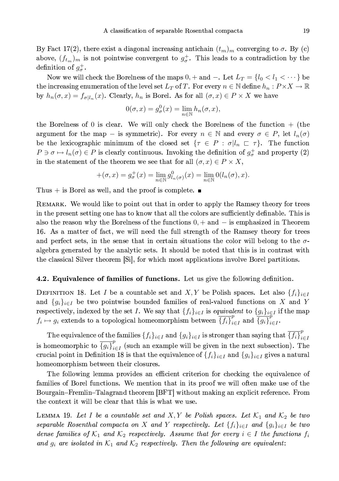By Fact 17(2), there exist a diagonal increasing antichain  $(t_m)_m$  converging to  $\sigma$ . By (c) above,  $(f_{t_m})_m$  is not pointwise convergent to  $g_{\sigma}^+$ . This leads to a contradiction by the definition of  $g_{\sigma}^{+}$ .

Now we will check the Borelness of the maps  $0, +$  and  $-$ . Let  $L_T = \{l_0 < l_1 < \cdots \}$  be the increasing enumeration of the level set  $L_T$  of T. For every  $n \in \mathbb{N}$  define  $h_n : P \times X \to \mathbb{R}$ by  $h_n(\sigma, x) = f_{\sigma | l_n}(x)$ . Clearly,  $h_n$  is Borel. As for all  $(\sigma, x) \in P \times X$  we have

$$
0(\sigma, x) = g_{\sigma}^{0}(x) = \lim_{n \in \mathbb{N}} h_{n}(\sigma, x),
$$

the Borelness of  $0$  is clear. We will only check the Borelness of the function  $+$  (the argument for the map – is symmetric). For every  $n \in \mathbb{N}$  and every  $\sigma \in P$ , let  $l_n(\sigma)$ be the lexicographic minimum of the closed set  $\{\tau \in P : \sigma | l_n \sqsubset \tau\}.$  The function  $P \ni \sigma \mapsto l_n(\sigma) \in P$  is clearly continuous. Invoking the definition of  $g^+_{\sigma}$  and property (2) in the statement of the theorem we see that for all  $(\sigma, x) \in P \times X$ ,

$$
+(\sigma, x) = g_{\sigma}^{+}(x) = \lim_{n \in \mathbb{N}} g_{l_n(\sigma)}^{0}(x) = \lim_{n \in \mathbb{N}} 0(l_n(\sigma), x).
$$

Thus  $+$  is Borel as well, and the proof is complete.  $\blacksquare$ 

REMARK. We would like to point out that in order to apply the Ramsey theory for trees in the present setting one has to know that all the colors are sufficiently definable. This is also the reason why the Borelness of the functions  $0, +$  and  $-$  is emphasized in Theorem 16. As a matter of fact, we will need the full strength of the Ramsey theory for trees and perfect sets, in the sense that in certain situations the color will belong to the  $\sigma$ algebra generated by the analytic sets. It should be noted that this is in contrast with the classical Silver theorem [Si], for which most applications involve Borel partitions.

#### 4.2. Equivalence of families of functions. Let us give the following definition.

DEFINITION 18. Let I be a countable set and X, Y be Polish spaces. Let also  $\{f_i\}_{i\in I}$ and  $\{g_i\}_{i\in I}$  be two pointwise bounded families of real-valued functions on X and Y respectively, indexed by the set I. We say that  $\{f_i\}_{i\in I}$  is equivalent to  $\{g_i\}_{i\in I}$  if the map  $f_i \mapsto g_i$  extends to a topological homeomorphism between  $\overline{\{f_i\}}_{i\in I}^p$  and  $\overline{\{g_i\}}_{i\in I}^p$ .

The equivalence of the families  $\{f_i\}_{i\in I}$  and  $\{g_i\}_{i\in I}$  is stronger than saying that  $\overline{\{f_i\}}_{i\in I}^p$ is homeomorphic to  $\overline{\{g_i\}}_{i \in I}^{\rho}$  (such an example will be given in the next subsection). The crucial point in Definition 18 is that the equivalence of  $\{f_i\}_{i\in I}$  and  $\{g_i\}_{i\in I}$  gives a natural homeomorphism between their closures.

The following lemma provides an efficient criterion for checking the equivalence of families of Borel functions. We mention that in its proof we will often make use of the Bourgain–Fremlin–Talagrand theorem [BFT] without making an explicit reference. From the context it will be clear that this is what we use.

LEMMA 19. Let I be a countable set and X, Y be Polish spaces. Let  $\mathcal{K}_1$  and  $\mathcal{K}_2$  be two separable Rosenthal compacta on X and Y respectively. Let  $\{f_i\}_{i\in I}$  and  $\{g_i\}_{i\in I}$  be two dense families of  $\mathcal{K}_1$  and  $\mathcal{K}_2$  respectively. Assume that for every  $i \in I$  the functions  $f_i$ and  $g_i$  are isolated in  $\mathcal{K}_1$  and  $\mathcal{K}_2$  respectively. Then the following are equivalent: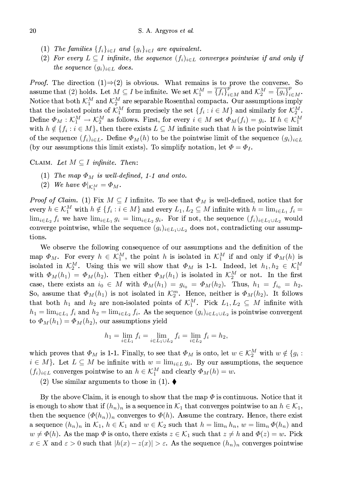- (1) The families  $\{f_i\}_{i\in I}$  and  $\{g_i\}_{i\in I}$  are equivalent.
- (2) For every  $L \subseteq I$  infinite, the sequence  $(f_i)_{i \in L}$  converges pointwise if and only if the sequence  $(q_i)_{i \in L}$  does.

*Proof.* The direction  $(1) \Rightarrow (2)$  is obvious. What remains is to prove the converse. So assume that (2) holds. Let  $M \subseteq I$  be infinite. We set  $\mathcal{K}_1^M = \overline{\{f_i\}}_{i \in M}^p$  and  $\mathcal{K}_2^M = \overline{\{g_i\}}_{i \in M}^p$ . Notice that both  $\mathcal{K}_1^M$  and  $\mathcal{K}_2^M$  are separable Rosenthal compacta. Our assumptions imply that the isolated points of  $\mathcal{K}_1^M$  form precisely the set  $\{f_i : i \in M\}$  and similarly for  $\mathcal{K}_2^M$ . Define  $\Phi_M : \mathcal{K}_1^M \to \mathcal{K}_2^M$  as follows. First, for every  $i \in M$  set  $\Phi_M(f_i) = g_i$ . If  $h \in \mathcal{K}_1^M$ with  $h \notin \{f_i : i \in M\}$ , then there exists  $L \subseteq M$  infinite such that h is the pointwise limit of the sequence  $(f_i)_{i\in L}$ . Define  $\Phi_M(h)$  to be the pointwise limit of the sequence  $(g_i)_{i\in L}$ (by our assumptions this limit exists). To simplify notation, let  $\Phi = \Phi_I$ .

CLAIM. Let  $M \subseteq I$  infinite. Then:

- (1) The map  $\Phi_M$  is well-defined, 1-1 and onto.
- (2) We have  $\Phi|_{\mathcal{K}^M} = \Phi_M$ .

*Proof of Claim.* (1) Fix  $M \subseteq I$  infinite. To see that  $\Phi_M$  is well-defined, notice that for every  $h \in \mathcal{K}_1^M$  with  $h \notin \{f_i : i \in M\}$  and every  $L_1, L_2 \subseteq M$  infinite with  $h = \lim_{i \in L_1} f_i =$  $\lim_{i\in L_2} f_i$  we have  $\lim_{i\in L_1} g_i = \lim_{i\in L_2} g_i$ . For if not, the sequence  $(f_i)_{i\in L_1\cup L_2}$  would converge pointwise, while the sequence  $(g_i)_{i \in L_1 \cup L_2}$  does not, contradicting our assumptions.

We observe the following consequence of our assumptions and the definition of the map  $\Phi_M$ . For every  $h \in \mathcal{K}_1^M$ , the point h is isolated in  $\mathcal{K}_1^M$  if and only if  $\Phi_M(h)$  is isolated in  $\mathcal{K}_2^M$ . Using this we will show that  $\Phi_M$  is 1-1. Indeed, let  $h_1, h_2 \in \mathcal{K}_1^M$ with  $\Phi_M(h_1) = \Phi_M(h_2)$ . Then either  $\Phi_M(h_1)$  is isolated in  $\mathcal{K}_2^M$  or not. In the first case, there exists an  $i_0 \in M$  with  $\Phi_M(h_1) = g_{i_0} = \Phi_M(h_2)$ . Thus,  $h_1 = f_{i_0} = h_2$ . So, assume that  $\Phi_M(h_1)$  is not isolated in  $\mathcal{K}_2^m$ . Hence, neither is  $\Phi_M(h_2)$ . It follows that both  $h_1$  and  $h_2$  are non-isolated points of  $\mathcal{K}_1^M$ . Pick  $L_1, L_2 \subseteq M$  infinite with  $h_1 = \lim_{i \in L_1} f_i$  and  $h_2 = \lim_{i \in L_2} f_i$ . As the sequence  $(g_i)_{i \in L_1 \cup L_2}$  is pointwise convergent to  $\Phi_M(h_1) = \Phi_M(h_2)$ , our assumptions yield

$$
h_1 = \lim_{i \in L_1} f_i = \lim_{i \in L_1 \cup L_2} f_i = \lim_{i \in L_2} f_i = h_2,
$$

which proves that  $\Phi_M$  is 1-1. Finally, to see that  $\Phi_M$  is onto, let  $w \in \mathcal{K}_2^M$  with  $w \notin \{g_i :$  $i \in M$ . Let  $L \subseteq M$  be infinite with  $w = \lim_{i \in L} g_i$ . By our assumptions, the sequence  $(f_i)_{i \in L}$  converges pointwise to an  $h \in \mathcal{K}_1^M$  and clearly  $\Phi_M(h) = w$ .

(2) Use similar arguments to those in (1).  $\blacklozenge$ 

By the above Claim, it is enough to show that the map  $\Phi$  is continuous. Notice that it is enough to show that if  $(h_n)_n$  is a sequence in  $\mathcal{K}_1$  that converges pointwise to an  $h \in \mathcal{K}_1$ , then the sequence  $(\varPhi(h_n))_n$  converges to  $\varPhi(h)$ . Assume the contrary. Hence, there exist a sequence  $(h_n)_n$  in  $\mathcal{K}_1$ ,  $h \in \mathcal{K}_1$  and  $w \in \mathcal{K}_2$  such that  $h = \lim_n h_n$ ,  $w = \lim_n \Phi(h_n)$  and  $w \neq \Phi(h)$ . As the map  $\Phi$  is onto, there exists  $z \in \mathcal{K}_1$  such that  $z \neq h$  and  $\Phi(z) = w$ . Pick  $x \in X$  and  $\varepsilon > 0$  such that  $|h(x) - z(x)| > \varepsilon$ . As the sequence  $(h_n)_n$  converges pointwise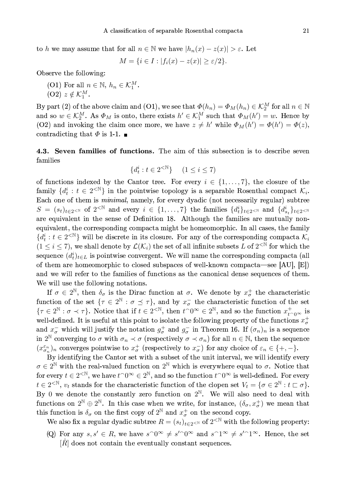to h we may assume that for all  $n \in \mathbb{N}$  we have  $|h_n(x) - z(x)| > \varepsilon$ . Let

$$
M = \{ i \in I : |f_i(x) - z(x)| \ge \varepsilon/2 \}.
$$

Observe the following:

(O1) For all  $n \in \mathbb{N}$ ,  $h_n \in \mathcal{K}_1^M$ .  $(O2)$   $z \notin \mathcal{K}_1^M$ .

By part (2) of the above claim and (O1), we see that  $\Phi(h_n) = \Phi_M(h_n) \in \mathcal{K}_2^M$  for all  $n \in \mathbb{N}$ and so  $w \in \mathcal{K}_2^M$ . As  $\Phi_M$  is onto, there exists  $h' \in \mathcal{K}_1^M$  such that  $\Phi_M(h') = w$ . Hence by (O2) and invoking the claim once more, we have  $z \neq h'$  while  $\Phi_M(h') = \Phi(h') = \Phi(z)$ , contradicting that  $\Phi$  is 1-1.

4.3. Seven families of functions. The aim of this subsection is to describe seven families

$$
\{d_t^i : t \in 2^{< \mathbb{N}}\} \quad (1 \le i \le 7)
$$

of functions indexed by the Cantor tree. For every  $i \in \{1, \ldots, 7\}$ , the closure of the family  $\{d_t^i : t \in 2^{\leq \mathbb{N}}\}\$ in the pointwise topology is a separable Rosenthal compact  $\mathcal{K}_i$ . Each one of them is *minimal*, namely, for every dyadic (not necessarily regular) subtree  $S = (s_t)_{t \in 2^{<\mathbb{N}}}$  of  $2^{<\mathbb{N}}$  and every  $i \in \{1,\ldots,7\}$  the families  $\{d_t^i\}_{t \in 2^{<\mathbb{N}}}$  and  $\{d_{s_t}^i\}_{t \in 2^{<\mathbb{N}}}$ are equivalent in the sense of Definition 18. Although the families are mutually nonequivalent, the corresponding compacta might be homeomorphic. In all cases, the family  ${d_i^i : t \in 2^{<\mathbb{N}}}\$  will be discrete in its closure. For any of the corresponding compacta  $\mathcal{K}_i$  $(1 \leq i \leq 7)$ , we shall denote by  $\mathcal{L}(\mathcal{K}_i)$  the set of all infinite subsets L of  $2^{< N}$  for which the sequence  $(d_t^i)_{t \in L}$  is pointwise convergent. We will name the corresponding compacta (all of them are homeomorphic to closed subspaces of well-known compacta—see [AU], [E]) and we will refer to the families of functions as the canonical dense sequences of them. We will use the following notations.

If  $\sigma \in 2^{\mathbb{N}}$ , then  $\delta_{\sigma}$  is the Dirac function at  $\sigma$ . We denote by  $x_{\sigma}^{+}$  the characteristic function of the set  $\{\tau \in 2^{\mathbb{N}} : \sigma \preceq \tau\}$ , and by  $x_{\sigma}^-$  the characteristic function of the set  $\{\tau \in 2^{\mathbb{N}} : \sigma \prec \tau\}$ . Notice that if  $t \in 2^{ $\mathbb{N}}$ , then  $t^{\frown}0^{\infty} \in 2^{\mathbb{N}}$ , and so the function  $x_{t^$$ well-defined. It is useful at this point to isolate the following property of the functions  $x^+$ and  $x_{\sigma}^-$  which will justify the notation  $g_{\sigma}^+$  and  $g_{\sigma}^-$  in Theorem 16. If  $(\sigma_n)_n$  is a sequence in 2<sup>N</sup> converging to  $\sigma$  with  $\sigma_n \prec \sigma$  (respectively  $\sigma \prec \sigma_n$ ) for all  $n \in \mathbb{N}$ , then the sequence  $(x_{\sigma_n}^{\varepsilon_n})_n$  converges pointwise to  $x_{\sigma}^+$  (respectively to  $x_{\sigma}^-$ ) for any choice of  $\varepsilon_n \in \{+, -\}.$ 

By identifying the Cantor set with a subset of the unit interval, we will identify every  $\sigma \in 2^{\mathbb{N}}$  with the real-valued function on  $2^{\mathbb{N}}$  which is everywhere equal to  $\sigma$ . Notice that for every  $t \in 2^{\lt N}$ , we have  $t \cap 0^\infty \in 2^{\mathbb N}$ , and so the function  $t \cap 0^\infty$  is well-defined. For every  $t \in 2^{\leq N}, v_t$  stands for the characteristic function of the clopen set  $V_t = \{ \sigma \in 2^{\mathbb{N}} : t \sqsubset \sigma \}.$ By 0 we denote the constantly zero function on  $2^{\mathbb{N}}$ . We will also need to deal with functions on  $2^{\mathbb{N}} \oplus 2^{\mathbb{N}}$ . In this case when we write, for instance,  $(\delta_{\sigma}, x_{\sigma}^+)$  we mean that this function is  $\delta_{\sigma}$  on the first copy of  $2^{\mathbb{N}}$  and  $x_{\sigma}^{+}$  on the second copy.

We also fix a regular dyadic subtree  $R = (s_t)_{t \in 2 \le N}$  of  $2^{< N}$  with the following property:

(Q) For any  $s, s' \in R$ , we have  $s^0 \in S'^0$  and  $s^1 \in S'^1$ . Hence, the set  $[\hat{R}]$  does not contain the eventually constant sequences.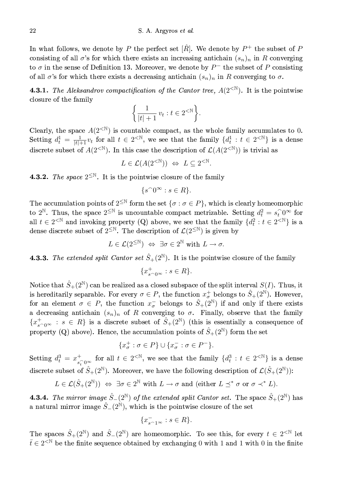#### S. A. Argyros et al.

In what follows, we denote by P the perfect set  $[\hat{R}]$ . We denote by  $P^+$  the subset of P consisting of all  $\sigma$ 's for which there exists an increasing antichain  $(s_n)_n$  in R converging to  $\sigma$  in the sense of Definition 13. Moreover, we denote by  $P^-$  the subset of P consisting of all  $\sigma$ 's for which there exists a decreasing antichain  $(s_n)_n$  in R converging to  $\sigma$ .

**4.3.1.** The Aleksandrov compactification of the Cantor tree,  $A(2<sup>{N}</sup>)$ . It is the pointwise closure of the family

$$
\left\{\frac{1}{|t|+1}v_t : t \in 2^{< \mathbb{N}}\right\}.
$$

Clearly, the space  $A(2^{\langle \mathbb{N}\rangle})$  is countable compact, as the whole family accumulates to 0. Setting  $d_t^1 = \frac{1}{|t|+1} v_t$  for all  $t \in 2^{< \mathbb{N}}$ , we see that the family  $\{d_t^1 : t \in 2^{< \mathbb{N}}\}$  is a dense discrete subset of  $A(2^{<\mathbb{N}})$ . In this case the description of  $\mathcal{L}(A(2^{<\mathbb{N}}))$  is trivial as

$$
L \in \mathcal{L}(A(2^{< \mathbb{N}})) \Leftrightarrow L \subseteq 2^{< \mathbb{N}}
$$

**4.3.2.** The space  $2^{\leq N}$ . It is the pointwise closure of the family

$$
\{s^\smallfrown 0^\infty : s \in R\}
$$

The accumulation points of  $2^{\leq N}$  form the set  $\{\sigma : \sigma \in P\}$ , which is clearly homeomorphic to  $2^{\mathbb{N}}$ . Thus, the space  $2^{\leq \mathbb{N}}$  is uncountable compact metrizable. Setting  $d_t^2 = s_t^0$  for all  $t \in 2^{\leq N}$  and invoking property (Q) above, we see that the family  $\{d_t^2 : t \in 2^{\leq N}\}\$ is a dense discrete subset of  $2^{\leq N}$ . The description of  $\mathcal{L}(2^{\leq N})$  is given by

$$
L\in\mathcal{L}(2^{\leq \mathbb{N}}) \ \Leftrightarrow \ \exists \sigma\in 2^{\mathbb{N}} \text{ with } L\rightarrow \sigma.
$$

**4.3.3.** The extended split Cantor set  $\hat{S}_+(2^{\mathbb{N}})$ . It is the pointwise closure of the family

$$
\{x_{s^{\frown}0^{\infty}}^{+} : s \in R\}
$$

Notice that  $\hat{S}_+(2^{\mathbb{N}})$  can be realized as a closed subspace of the split interval  $S(I)$ . Thus, it is hereditarily separable. For every  $\sigma \in P$ , the function  $x_{\sigma}^+$  belongs to  $\hat{S}_+(2^{\mathbb{N}})$ . However, for an element  $\sigma \in P$ , the function  $x_{\sigma}^-$  belongs to  $\hat{S}_+(2^{\mathbb{N}})$  if and only if there exists a decreasing antichain  $(s_n)_n$  of R converging to  $\sigma$ . Finally, observe that the family  $\{x_{s\cap\infty}^+ : s \in R\}$  is a discrete subset of  $\hat{S}_+(2^{\mathbb{N}})$  (this is essentially a consequence of property (Q) above). Hence, the accumulation points of  $\hat{S}_+(2^{\mathbb{N}})$  form the set

$$
\{x_{\sigma}^+ : \sigma \in P\} \cup \{x_{\sigma}^- : \sigma \in P^-\}.
$$

Setting  $d_t^3 = x^+_{s_t^0}$  for all  $t \in 2^{< N}$ , we see that the family  $\{d_t^3 : t \in 2^{< N}\}\$  is a dense discrete subset of  $\hat{S}_+(2^{\mathbb{N}})$ . Moreover, we have the following description of  $\mathcal{L}(\hat{S}_+(2^{\mathbb{N}}))$ :

$$
L \in \mathcal{L}(\hat{S}_+(2^{\mathbb{N}})) \iff \exists \sigma \in 2^{\mathbb{N}} \text{ with } L \to \sigma \text{ and (either } L \preceq^* \sigma \text{ or } \sigma \prec^* L).
$$

**4.3.4.** The mirror image  $\hat{S}_-(2^{\mathbb{N}})$  of the extended split Cantor set. The space  $\hat{S}_+(2^{\mathbb{N}})$  has a natural mirror image  $\hat{S}_-(2^{\mathbb{N}})$ , which is the pointwise closure of the set

$$
\{x_{s^{\frown}1^{\infty}}^{-}:s\in R\}.
$$

The spaces  $\hat{S}_+(2^{\mathbb{N}})$  and  $\hat{S}_-(2^{\mathbb{N}})$  are homeomorphic. To see this, for every  $t \in 2^{< \mathbb{N}}$  let  $\bar{t} \in 2^{\leq \mathbb{N}}$  be the finite sequence obtained by exchanging 0 with 1 and 1 with 0 in the finite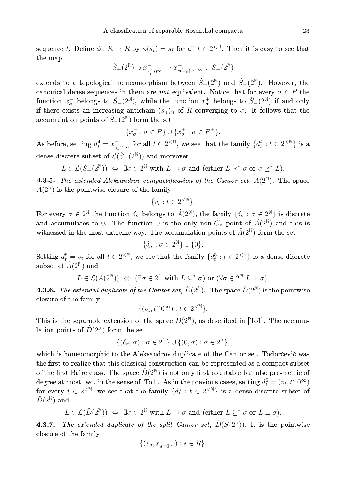sequence t. Define  $\phi: R \to R$  by  $\phi(s_t) = s_t$  for all  $t \in 2^{< N}$ . Then it is easy to see that the map

$$
\hat{S}_+(2^{\mathbb{N}})\ni x^+_{s^-_t0^{\infty}}\mapsto x^-_{\phi(s_t)^{\smallfrown} 1^{\infty}}\in \hat{S}_-(2^{\mathbb{N}})
$$

extends to a topological homeomorphism between  $\hat{S}_+(2^{\mathbb{N}})$  and  $\hat{S}_-(2^{\mathbb{N}})$ . However, the canonical dense sequences in them are *not* equivalent. Notice that for every  $\sigma \in P$  the function  $x_{\sigma}^-$  belongs to  $\hat{S}_-(2^{\mathbb{N}})$ , while the function  $x_{\sigma}^+$  belongs to  $\hat{S}_-(2^{\mathbb{N}})$  if and only if there exists an increasing antichain  $(s_n)_n$  of R converging to  $\sigma$ . It follows that the accumulation points of  $\hat{S}_-(2^{\mathbb{N}})$  form the set

$$
\{x_{\sigma}^- : \sigma \in P\} \cup \{x_{\sigma}^+ : \sigma \in P^+\}.
$$

As before, setting  $d_t^4 = x_{\widehat{s_t} 1^\infty}^-$  for all  $t \in 2^{< N}$ , we see that the family  $\{d_t^4 : t \in 2^{< N}\}$  is a dense discrete subset of  $\mathcal{L}(\hat{S}_-(2^{\mathbb{N}}))$  and moreover

$$
L\in\mathcal{L}(\hat{S}_-(2^{\mathbb{N}}))\ \Leftrightarrow\ \exists\sigma\in 2^{\mathbb{N}}\text{ with }L\rightarrow\sigma\text{ and (either }L\prec^*\sigma\text{ or }\sigma\preceq^* L).
$$

**4.3.5.** The extended Aleksandrov compactification of the Cantor set,  $\hat{A}(2^{\mathbb{N}})$ . The space  $\hat{A}(2^{\mathbb{N}})$  is the pointwise closure of the family

$$
\{v_t : t \in 2^{< \mathbb{N}}\}.
$$

For every  $\sigma \in 2^{\mathbb{N}}$  the function  $\delta_{\sigma}$  belongs to  $\hat{A}(2^{\mathbb{N}})$ , the family  $\{\delta_{\sigma} : \sigma \in 2^{\mathbb{N}}\}\$ is discrete and accumulates to 0. The function 0 is the only non- $G_{\delta}$  point of  $\hat{A}(2^{\mathbb{N}})$  and this is witnessed in the most extreme way. The accumulation points of  $\hat{A}(2^{\mathbb{N}})$  form the set

$$
\{\delta_{\sigma} : \sigma \in 2^{\mathbb{N}}\} \cup \{0\}.
$$

Setting  $d_t^5 = v_t$  for all  $t \in 2^{< N}$ , we see that the family  $\{d_t^5 : t \in 2^{< N}\}\$ is a dense discrete subset of  $\hat{A}(2^{\mathbb{N}})$  and

$$
L \in \mathcal{L}(\hat{A}(2^{\mathbb{N}})) \iff (\exists \sigma \in 2^{\mathbb{N}} \text{ with } L \subseteq^* \sigma) \text{ or } (\forall \sigma \in 2^{\mathbb{N}} L \perp \sigma).
$$

**4.3.6.** The extended duplicate of the Cantor set,  $\hat{D}(2^{\mathbb{N}})$ . The space  $\hat{D}(2^{\mathbb{N}})$  is the pointwise closure of the family

$$
\{(v_t, t^\cap 0^\infty) : t \in 2^{< \mathbb{N}}\}.
$$

This is the separable extension of the space  $D(2^N)$ , as described in [To1]. The accumulation points of  $\hat{D}(2^{\mathbb{N}})$  form the set

$$
\{(\delta_{\sigma}, \sigma) : \sigma \in 2^{\mathbb{N}}\} \cup \{(0, \sigma) : \sigma \in 2^{\mathbb{N}}\},\
$$

which is homeomorphic to the Aleksandrov duplicate of the Cantor set. Todorčević was the first to realize that this classical construction can be represented as a compact subset of the first Baire class. The space  $\hat{D}(2^{\mathbb{N}})$  is not only first countable but also pre-metric of degree at most two, in the sense of [To1]. As in the previous cases, setting  $d_t^6 = (v_t, t^0\infty)$ for every  $t \in 2^{\langle \mathbb{N} \rangle}$ , we see that the family  $\{d_t^6 : t \in 2^{\langle \mathbb{N} \rangle}\}\$ is a dense discrete subset of  $\hat{D}(2^{\mathbb{N}})$  and

$$
L \in \mathcal{L}(\hat{D}(2^{\mathbb{N}})) \iff \exists \sigma \in 2^{\mathbb{N}} \text{ with } L \to \sigma \text{ and (either } L \subseteq^* \sigma \text{ or } L \perp \sigma)
$$

The extended duplicate of the split Cantor set,  $\hat{D}(S(2^{\mathbb{N}}))$ . It is the pointwise  $4.3.7.$ closure of the family

$$
\{(v_s, x_{s^{\frown}0^{\infty}}^+): s \in R\}.
$$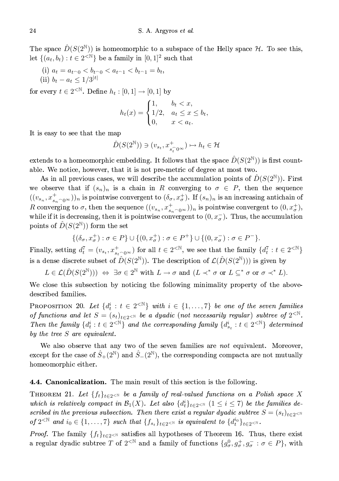The space  $\hat{D}(S(2^{\mathbb{N}}))$  is homeomorphic to a subspace of the Helly space  $\mathcal{H}$ . To see this, let  $\{(a_t, b_t): t \in 2^{\langle \mathbb{N} \rangle}\}\$ be a family in  $[0, 1]^2$  such that

(i)  $a_t = a_{t-0} < b_{t-0} < a_{t-1} < b_{t-1} = b_t$ (ii)  $b_t - a_t \leq 1/3^{|t|}$ 

for every  $t \in 2^{\langle \mathbb{N} \rangle}$ . Define  $h_t : [0,1] \to [0,1]$  by

$$
h_t(x) = \begin{cases} 1, & b_t < x, \\ 1/2, & a_t \le x \le b_t, \\ 0, & x < a_t. \end{cases}
$$

It is easy to see that the map

$$
\hat{D}(S(2^{\mathbb{N}})) \ni (v_{s_t}, x^+_{s_t^\frown 0^\infty}) \mapsto h_t \in \mathcal{H}
$$

extends to a homeomorphic embedding. It follows that the space  $\hat{D}(S(2^{\mathbb{N}}))$  is first countable. We notice, however, that it is not pre-metric of degree at most two.

As in all previous cases, we will describe the accumulation points of  $D(S(2^{\mathbb{N}}))$ . First we observe that if  $(s_n)_n$  is a chain in R converging to  $\sigma \in P$ , then the sequence  $((v_{s_n}, x_{s_n \cap 0^{\infty}}^+))_n$  is pointwise convergent to  $(\delta_{\sigma}, x_{\sigma}^+)$ . If  $(s_n)_n$  is an increasing antichain of R converging to  $\sigma$ , then the sequence  $((v_{s_n}, x_{s_n \cap 0\infty}^+))_n$  is pointwise convergent to  $(0, x_{\sigma}^+),$ while if it is decreasing, then it is pointwise convergent to  $(0, x_{\sigma}^{-})$ . Thus, the accumulation points of  $\hat{D}(S(2^{\mathbb{N}}))$  form the set

$$
\{(\delta_{\sigma}, x_{\sigma}^+): \sigma \in P\} \cup \{(0, x_{\sigma}^+): \sigma \in P^+\} \cup \{(0, x_{\sigma}^-): \sigma \in P^-\}.
$$

Finally, setting  $d_t^7 = (v_{s_t}, x_{s_t \cap 0^\infty}^+)$  for all  $t \in 2^{< N}$ , we see that the family  $\{d_t^7 : t \in 2^{< N}\}\$ is a dense discrete subset of  $\hat{D}(S(2^{\mathbb{N}}))$ . The description of  $\mathcal{L}(\hat{D}(S(2^{\mathbb{N}})))$  is given by

 $L \in \mathcal{L}(\hat{D}(S(2^{\mathbb{N}}))) \Leftrightarrow \exists \sigma \in 2^{\mathbb{N}} \text{ with } L \to \sigma \text{ and } (L \prec^* \sigma \text{ or } L \subseteq^* \sigma \text{ or } \sigma \prec^* L).$ 

We close this subsection by noticing the following minimality property of the abovedescribed families.

PROPOSITION 20. Let  $\{d_i^i : t \in 2^{\leq \mathbb{N}}\}\$  with  $i \in \{1, \ldots, 7\}\$  be one of the seven families of functions and let  $S = (s_t)_{t \in 2 \le N}$  be a dyadic (not necessarily regular) subtree of  $2^{< N}$ . Then the family  $\{d_t^i : t \in 2^{\leq \mathbb{N}}\}$  and the corresponding family  $\{d_{s_t}^i : t \in 2^{\leq \mathbb{N}}\}$  determined by the tree  $S$  are equivalent.

We also observe that any two of the seven families are not equivalent. Moreover, except for the case of  $\hat{S}_+(2^{\mathbb{N}})$  and  $\hat{S}_-(2^{\mathbb{N}})$ , the corresponding compacta are not mutually homeomorphic either.

#### 4.4. Canonicalization. The main result of this section is the following.

THEOREM 21. Let  $\{f_t\}_{t\in 2\leq N}$  be a family of real-valued functions on a Polish space X which is relatively compact in  $\mathcal{B}_1(X)$ . Let also  $\{d_t^i\}_{t\in 2\le N}$   $(1 \le i \le 7)$  be the families described in the previous subsection. Then there exist a regular dyadic subtree  $S = (s_t)_{t \in 2 \le N}$ of  $2^{< \mathbb{N}}$  and  $i_0 \in \{1, \ldots, 7\}$  such that  $\{f_{s_t}\}_{t \in 2^{< \mathbb{N}}}$  is equivalent to  $\{d_t^{i_0}\}_{t \in 2^{< \mathbb{N}}}$ .

*Proof.* The family  $\{f_t\}_{t\in 2\le N}$  satisfies all hypotheses of Theorem 16. Thus, there exist a regular dyadic subtree T of  $2^{< N}$  and a family of functions  $\{g^0_\sigma, g^+_\sigma, g^-_\sigma : \sigma \in P\}$ , with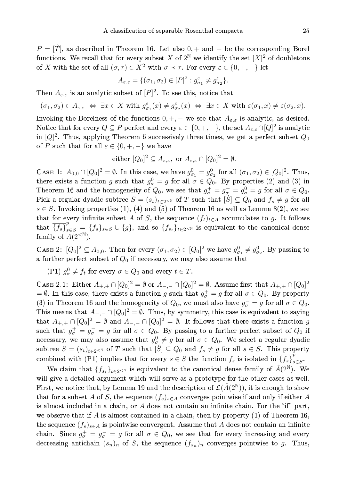$P = [\hat{T}]$ , as described in Theorem 16. Let also  $0, +$  and  $-$  be the corresponding Borel functions. We recall that for every subset X of  $2^{\mathbb{N}}$  we identify the set  $[X]^2$  of doubletons of X with the set of all  $(\sigma, \tau) \in X^2$  with  $\sigma \prec \tau$ . For every  $\varepsilon \in \{0, +, -\}$  let

$$
A_{\varepsilon,\varepsilon} = \{(\sigma_1,\sigma_2) \in [P]^2 : g_{\sigma_1}^{\varepsilon} \neq g_{\sigma_2}^{\varepsilon}\}.
$$

Then  $A_{\varepsilon,\varepsilon}$  is an analytic subset of  $[P]^2$ . To see this, notice that

$$
(\sigma_1,\sigma_2)\in A_{\varepsilon,\varepsilon}\ \Leftrightarrow\ \exists x\in X\ \text{with}\ g^\varepsilon_{\sigma_1}(x)\neq g^\varepsilon_{\sigma_2}(x)\ \Leftrightarrow\ \exists x\in X\ \text{with}\ \varepsilon(\sigma_1,x)\neq\varepsilon(\sigma_2,x).
$$

Invoking the Borelness of the functions  $0, +, -$  we see that  $A_{\varepsilon,\varepsilon}$  is analytic, as desired. Notice that for every  $Q \subseteq P$  perfect and every  $\varepsilon \in \{0, +, -\}$ , the set  $A_{\varepsilon,\varepsilon} \cap [Q]^2$  is analytic in  $[Q]^2$ . Thus, applying Theorem 6 successively three times, we get a perfect subset  $Q_0$ of P such that for all  $\varepsilon \in \{0, +, -\}$  we have

either 
$$
[Q_0]^2 \subseteq A_{\varepsilon,\varepsilon}
$$
, or  $A_{\varepsilon,\varepsilon} \cap [Q_0]^2 = \emptyset$ .

CASE 1:  $A_{0,0} \cap [Q_0]^2 = \emptyset$ . In this case, we have  $g_{\sigma_1}^0 = g_{\sigma_2}^0$  for all  $(\sigma_1, \sigma_2) \in [Q_0]^2$ . Thus, there exists a function g such that  $g_{\sigma}^0 = g$  for all  $\sigma \in Q_0$ . By properties (2) and (3) in Theorem 16 and the homogeneity of  $Q_0$ , we see that  $g_{\sigma}^+ = g_{\sigma}^- = g_{\sigma}^0 = g$  for all  $\sigma \in Q_0$ . Pick a regular dyadic subtree  $S = (s_t)_{t \in 2 \le N}$  of T such that  $[\hat{S}] \subseteq Q_0$  and  $f_s \ne g$  for all  $s \in S$ . Invoking properties (1), (4) and (5) of Theorem 16 as well as Lemma 8(2), we see that for every infinite subset A of S, the sequence  $(f_t)_{t\in A}$  accumulates to g. It follows that  $\overline{\{f_s\}}_{s\in S}^p = \{f_s\}_{s\in S} \cup \{g\}$ , and so  $\{f_{s_t}\}_{t\in 2\le N}$  is equivalent to the canonical dense family of  $A(2<sup>{\mathbb N}</sup>)$ .

CASE 2:  $[Q_0]^2 \subseteq A_{0,0}$ . Then for every  $(\sigma_1, \sigma_2) \in [Q_0]^2$  we have  $g_{\sigma_1}^0 \neq g_{\sigma_2}^0$ . By passing to a further perfect subset of  $Q_0$  if necessary, we may also assume that

(P1)  $g_{\sigma}^0 \neq f_t$  for every  $\sigma \in Q_0$  and every  $t \in T$ .

CASE 2.1: Either  $A_{+,+} \cap [Q_0]^2 = \emptyset$  or  $A_{-,-} \cap [Q_0]^2 = \emptyset$ . Assume first that  $A_{+,+} \cap [Q_0]^2$ =  $\emptyset$ . In this case, there exists a function g such that  $g_{\sigma}^{+} = g$  for all  $\sigma \in Q_0$ . By property (3) in Theorem 16 and the homogeneity of  $Q_0$ , we must also have  $g_{\sigma} = g$  for all  $\sigma \in Q_0$ . This means that  $A_{-,-} \cap [Q_0]^2 = \emptyset$ . Thus, by symmetry, this case is equivalent to saying that  $A_{+,+} \cap [Q_0]^2 = \emptyset$  and  $A_{-,-} \cap [Q_0]^2 = \emptyset$ . It follows that there exists a function g such that  $g_{\sigma}^+ = g_{\sigma}^- = g$  for all  $\sigma \in Q_0$ . By passing to a further perfect subset of  $Q_0$  if necessary, we may also assume that  $g^0_\sigma \neq g$  for all  $\sigma \in Q_0$ . We select a regular dyadic subtree  $S = (s_t)_{t \in 2 \le N}$  of T such that  $[\hat{S}] \subseteq Q_0$  and  $f_s \ne g$  for all  $s \in S$ . This property combined with (P1) implies that for every  $s \in S$  the function  $f_s$  is isolated in  $\overline{\{f_s\}}_{s \in S}^P$ .

We claim that  $\{f_{s_t}\}_{t\in 2\leq \mathbb{N}}$  is equivalent to the canonical dense family of  $\hat{A}(2^{\mathbb{N}})$ . We will give a detailed argument which will serve as a prototype for the other cases as well. First, we notice that, by Lemma 19 and the description of  $\mathcal{L}(\hat{A}(2^{\mathbb{N}}))$ , it is enough to show that for a subset A of S, the sequence  $(f_s)_{s \in A}$  converges pointwise if and only if either A is almost included in a chain, or  $A$  does not contain an infinite chain. For the "if" part, we observe that if  $A$  is almost contained in a chain, then by property  $(1)$  of Theorem 16, the sequence  $(f_s)_{s \in A}$  is pointwise convergent. Assume that A does not contain an infinite chain. Since  $g_{\sigma}^+ = g_{\sigma}^- = g$  for all  $\sigma \in Q_0$ , we see that for every increasing and every decreasing antichain  $(s_n)_n$  of S, the sequence  $(f_{s_n})_n$  converges pointwise to g. Thus,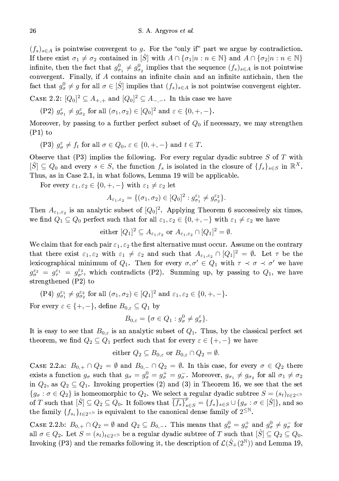$(f_s)_{s \in A}$  is pointwise convergent to g. For the "only if" part we argue by contradiction. If there exist  $\sigma_1 \neq \sigma_2$  contained in  $[\hat{S}]$  with  $A \cap {\sigma_1 | n : n \in \mathbb{N}}$  and  $A \cap {\sigma_2 | n : n \in \mathbb{N}}$ infinite, then the fact that  $g_{\sigma_1}^0 \neq g_{\sigma_2}^0$  implies that the sequence  $(f_s)_{s \in A}$  is not pointwise convergent. Finally, if  $A$  contains an infinite chain and an infinite antichain, then the fact that  $g_{\sigma}^0 \neq g$  for all  $\sigma \in [\tilde{S}]$  implies that  $(f_s)_{s \in A}$  is not pointwise convergent eighter.

CASE 2.2:  $[Q_0]^2 \subseteq A_{+,+}$  and  $[Q_0]^2 \subseteq A_{-,-}$ . In this case we have

$$
\text{(P2) } g_{\sigma_1}^{\varepsilon} \neq g_{\sigma_2}^{\varepsilon} \text{ for all } (\sigma_1, \sigma_2) \in [Q_0]^2 \text{ and } \varepsilon \in \{0, +, -\}.
$$

Moreover, by passing to a further perfect subset of  $Q_0$  if necessary, we may strengthen  $(P1)$  to

(P3) 
$$
g_{\sigma}^{\varepsilon} \neq f_t
$$
 for all  $\sigma \in Q_0$ ,  $\varepsilon \in \{0, +, -\}$  and  $t \in T$ .

Observe that  $(P3)$  implies the following. For every regular dyadic subtree S of T with  $[S] \subseteq Q_0$  and every  $s \in S$ , the function  $f_s$  is isolated in the closure of  $\{f_s\}_{s \in S}$  in  $\mathbb{R}^X$ . Thus, as in Case 2.1, in what follows, Lemma 19 will be applicable.

For every  $\varepsilon_1, \varepsilon_2 \in \{0, +, -\}$  with  $\varepsilon_1 \neq \varepsilon_2$  let

$$
A_{\varepsilon_1,\varepsilon_2} = \{ (\sigma_1,\sigma_2) \in [Q_0]^2 : g_{\sigma_1}^{\varepsilon_1} \neq g_{\sigma_2}^{\varepsilon_2} \}.
$$

Then  $A_{\varepsilon_1,\varepsilon_2}$  is an analytic subset of  $[Q_0]^2$ . Applying Theorem 6 successively six times, we find  $Q_1 \subseteq Q_0$  perfect such that for all  $\varepsilon_1, \varepsilon_2 \in \{0, +, -\}$  with  $\varepsilon_1 \neq \varepsilon_2$  we have

either 
$$
[Q_1]^2 \subseteq A_{\varepsilon_1, \varepsilon_2}
$$
 or  $A_{\varepsilon_1, \varepsilon_2} \cap [Q_1]^2 = \emptyset$ .

We claim that for each pair  $\varepsilon_1, \varepsilon_2$  the first alternative must occur. Assume on the contrary that there exist  $\varepsilon_1, \varepsilon_2$  with  $\varepsilon_1 \neq \varepsilon_2$  and such that  $A_{\varepsilon_1, \varepsilon_2} \cap [Q_1]^2 = \emptyset$ . Let  $\tau$  be the lexicographical minimum of  $Q_1$ . Then for every  $\sigma, \sigma' \in Q_1$  with  $\tau \prec \sigma \prec \sigma'$  we have  $g_{\sigma}^{\varepsilon_2} = g_{\tau}^{\varepsilon_1} = g_{\sigma'}^{\varepsilon_2}$ , which contradicts (P2). Summing up, by passing to  $Q_1$ , we have strengthened  $(P2)$  to

(P4) 
$$
g_{\sigma_1}^{\varepsilon_1} \neq g_{\sigma_2}^{\varepsilon_2}
$$
 for all  $(\sigma_1, \sigma_2) \in [Q_1]^2$  and  $\varepsilon_1, \varepsilon_2 \in \{0, +, -\}$ .

For every  $\varepsilon \in \{+, -\},\$  define  $B_{0,\varepsilon} \subseteq Q_1$  by

$$
B_{0,\varepsilon} = \{ \sigma \in Q_1 : g^0_\sigma \neq g^\varepsilon_\sigma \}.
$$

It is easy to see that  $B_{0,\varepsilon}$  is an analytic subset of  $Q_1$ . Thus, by the classical perfect set theorem, we find  $Q_2 \subseteq Q_1$  perfect such that for every  $\varepsilon \in \{+,-\}$  we have

$$
\text{either } Q_2 \subseteq B_{0,\varepsilon} \text{ or } B_{0,\varepsilon} \cap Q_2 = \emptyset.
$$

CASE 2.2.a:  $B_{0,+} \cap Q_2 = \emptyset$  and  $B_{0,-} \cap Q_2 = \emptyset$ . In this case, for every  $\sigma \in Q_2$  there exists a function  $g_{\sigma}$  such that  $g_{\sigma} = g_{\sigma}^0 = g_{\sigma}^+ = g_{\sigma}^-$ . Moreover,  $g_{\sigma_1} \neq g_{\sigma_2}$  for all  $\sigma_1 \neq \sigma_2$ in  $Q_2$ , as  $Q_2 \subseteq Q_1$ . Invoking properties (2) and (3) in Theorem 16, we see that the set  ${g_{\sigma}: \sigma \in Q_2}$  is homeomorphic to  $Q_2$ . We select a regular dyadic subtree  $S = (s_t)_{t \in 2 \le \mathbb{N}}$ of T such that  $[\hat{S}] \subseteq Q_2 \subseteq Q_0$ . It follows that  $\overline{\{f_s\}}_{s \in S}^p = \{f_s\}_{s \in S} \cup \{g_{\sigma} : \sigma \in [\hat{S}]\}\$ , and so the family  $\{f_{s_t}\}_{t\in 2\leq N}$  is equivalent to the canonical dense family of  $2^{\leq N}$ .

CASE 2.2.b:  $B_{0,+} \cap Q_2 = \emptyset$  and  $Q_2 \subseteq B_{0,-}$ . This means that  $g^0_\sigma = g^+_\sigma$  and  $g^0_\sigma \neq g^-_\sigma$  for all  $\sigma \in Q_2$ . Let  $S = (s_t)_{t \in 2 \leq N}$  be a regular dyadic subtree of T such that  $[\hat{S}] \subseteq Q_2 \subseteq Q_0$ . Invoking (P3) and the remarks following it, the description of  $\mathcal{L}(\hat{S}_+(2^{\mathbb{N}}))$  and Lemma 19,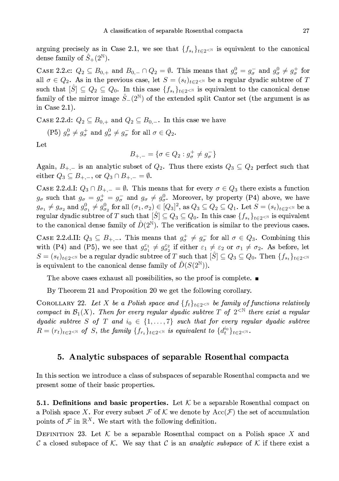arguing precisely as in Case 2.1, we see that  $\{f_{s_t}\}_{t\in 2\le N}$  is equivalent to the canonical dense family of  $\hat{S}_+(2^{\mathbb{N}})$ .

CASE 2.2.c:  $Q_2 \subseteq B_{0,+}$  and  $B_{0,-} \cap Q_2 = \emptyset$ . This means that  $g^0_\sigma = g^-_\sigma$  and  $g^0_\sigma \neq g^+_\sigma$  for all  $\sigma \in Q_2$ . As in the previous case, let  $S = (s_t)_{t \in 2 \le N}$  be a regular dyadic subtree of T such that  $[\hat{S}] \subseteq Q_2 \subseteq Q_0$ . In this case  $\{f_{s_t}\}_{t \in 2\leq N}$  is equivalent to the canonical dense family of the mirror image  $S_{-}(2^{\mathbb{N}})$  of the extended split Cantor set (the argument is as in Case  $2.1$ ).

CASE 2.2.d:  $Q_2 \subseteq B_{0,+}$  and  $Q_2 \subseteq B_{0,-}$ . In this case we have

(P5)  $q_{\sigma}^0 \neq q_{\sigma}^+$  and  $q_{\sigma}^0 \neq q_{\sigma}^-$  for all  $\sigma \in Q_2$ .

Let

$$
B_{+,-} = \{ \sigma \in Q_2 : g_{\sigma}^+ \neq g_{\sigma}^- \}
$$

Again,  $B_{+,-}$  is an analytic subset of  $Q_2$ . Thus there exists  $Q_3 \subseteq Q_2$  perfect such that either  $Q_3 \subseteq B_{+,-}$ , or  $Q_3 \cap B_{+,-} = \emptyset$ .

CASE 2.2.d.I:  $Q_3 \cap B_{+,-} = \emptyset$ . This means that for every  $\sigma \in Q_3$  there exists a function  $g_{\sigma}$  such that  $g_{\sigma} = g_{\sigma}^+ = g_{\sigma}^-$  and  $g_{\sigma} \neq g_{\sigma}^0$ . Moreover, by property (P4) above, we have  $g_{\sigma_1} \neq g_{\sigma_2}$  and  $g_{\sigma_1}^0 \neq g_{\sigma_2}^0$  for all  $(\sigma_1, \sigma_2) \in [Q_3]^2$ , as  $Q_3 \subseteq Q_2 \subseteq Q_1$ . Let  $S = (s_t)_{t \in 2 \leq N}$  be a regular dyadic subtree of T such that  $[\hat{S}] \subseteq Q_3 \subseteq Q_0$ . In this case  $\{f_{s_t}\}_{t \in 2 \le N}$  is equivalent to the canonical dense family of  $\hat{D}(2^{\mathbb{N}})$ . The verification is similar to the previous cases.

CASE 2.2.d.II:  $Q_3 \subseteq B_{+,-}$ . This means that  $g^+_{\sigma} \neq g^-_{\sigma}$  for all  $\sigma \in Q_3$ . Combining this with (P4) and (P5), we see that  $g_{\sigma_1}^{\varepsilon_1} \neq g_{\sigma_2}^{\varepsilon_2}$  if either  $\varepsilon_1 \neq \varepsilon_2$  or  $\sigma_1 \neq \sigma_2$ . As before, let  $S=(s_t)_{t\in 2^{<\mathbb{N}}}$  be a regular dyadic subtree of T such that  $[\hat{S}]\subseteq Q_3\subseteq Q_0$ . Then  $\{f_{s_t}\}_{t\in 2^{<\mathbb{N}}}$ is equivalent to the canonical dense family of  $D(S(2^{\mathbb{N}}))$ .

The above cases exhaust all possibilities, so the proof is complete.  $\blacksquare$ 

By Theorem 21 and Proposition 20 we get the following corollary.

COROLLARY 22. Let X be a Polish space and  $\{f_t\}_{t\in 2\le N}$  be family of functions relatively compact in  $\mathcal{B}_1(X)$ . Then for every regular dyadic subtree T of  $2^{<\mathbb{N}}$  there exist a regular dyadic subtree S of T and  $i_0 \in \{1, ..., 7\}$  such that for every regular dyadic subtree  $R = (r_t)_{t \in 2^{<\mathbb{N}}}$  of S, the family  $\{f_{r_t}\}_{t \in 2^{<\mathbb{N}}}$  is equivalent to  $\{d_t^{i_0}\}_{t \in 2^{<\mathbb{N}}}$ .

## 5. Analytic subspaces of separable Rosenthal compacta

In this section we introduce a class of subspaces of separable Rosenthal compacta and we present some of their basic properties.

**5.1. Definitions and basic properties.** Let  $K$  be a separable Rosenthal compact on a Polish space X. For every subset F of K we denote by Acc(F) the set of accumulation points of  $\mathcal F$  in  $\mathbb R^X$ . We start with the following definition.

DEFINITION 23. Let  $K$  be a separable Rosenthal compact on a Polish space X and C a closed subspace of K. We say that C is an *analytic subspace* of K if there exist a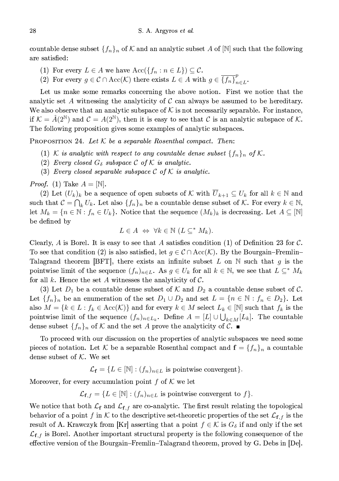countable dense subset  $\{f_n\}_n$  of K and an analytic subset A of  $[N]$  such that the following are satisfied:

- (1) For every  $L \in A$  we have  $Acc({f_n : n \in L}) \subseteq C$ .
- (2) For every  $g \in \mathcal{C} \cap \text{Acc}(\mathcal{K})$  there exists  $L \in A$  with  $g \in \overline{\{f_n\}}_{n \in L}^p$ .

Let us make some remarks concerning the above notion. First we notice that the analytic set A witnessing the analyticity of  $\mathcal C$  can always be assumed to be hereditary. We also observe that an analytic subspace of  $K$  is not necessarily separable. For instance, if  $\mathcal{K} = \hat{A}(2^{\mathbb{N}})$  and  $\mathcal{C} = A(2^{\mathbb{N}})$ , then it is easy to see that C is an analytic subspace of K. The following proposition gives some examples of analytic subspaces.

PROPOSITION 24. Let  $K$  be a separable Rosenthal compact. Then:

- (1) K is analytic with respect to any countable dense subset  $\{f_n\}_n$  of K.
- (2) Every closed  $G_{\delta}$  subspace C of K is analytic.
- (3) Every closed separable subspace  $\mathcal C$  of  $\mathcal K$  is analytic.

*Proof.* (1) Take  $A = \mathbb{N}$ .

(2) Let  $(U_k)_k$  be a sequence of open subsets of K with  $\overline{U}_{k+1} \subseteq U_k$  for all  $k \in \mathbb{N}$  and such that  $C = \bigcap_k U_k$ . Let also  $\{f_n\}_n$  be a countable dense subset of K. For every  $k \in \mathbb{N}$ , let  $M_k = \{n \in \mathbb{N} : f_n \in U_k\}$ . Notice that the sequence  $(M_k)_k$  is decreasing. Let  $A \subseteq [\mathbb{N}]$ be defined by

$$
L \in A \Leftrightarrow \forall k \in \mathbb{N} \ (L \subseteq^* M_k).
$$

Clearly, A is Borel. It is easy to see that A satisfies condition (1) of Definition 23 for C. To see that condition (2) is also satisfied, let  $g \in \mathcal{C} \cap Acc(\mathcal{K})$ . By the Bourgain–Fremlin– Talagrand theorem [BFT], there exists an infinite subset L on  $\mathbb N$  such that q is the pointwise limit of the sequence  $(f_n)_{n\in L}$ . As  $g \in U_k$  for all  $k \in \mathbb{N}$ , we see that  $L \subseteq^* M_k$ for all k. Hence the set A witnesses the analyticity of  $\mathcal{C}$ .

(3) Let  $D_1$  be a countable dense subset of K and  $D_2$  a countable dense subset of C. Let  $\{f_n\}_n$  be an enumeration of the set  $D_1 \cup D_2$  and set  $L = \{n \in \mathbb{N} : f_n \in D_2\}$ . Let also  $M = \{k \in L : f_k \in \text{Acc}(\mathcal{K})\}$  and for every  $k \in M$  select  $L_k \in [\mathbb{N}]$  such that  $f_k$  is the pointwise limit of the sequence  $(f_n)_{n\in L_k}$ . Define  $A = [L] \cup \bigcup_{k\in M} [L_k]$ . The countable dense subset  $\{f_n\}_n$  of K and the set A prove the analyticity of C.

To proceed with our discussion on the properties of analytic subspaces we need some pieces of notation. Let K be a separable Rosenthal compact and  $f = \{f_n\}_n$  a countable dense subset of  $K$ . We set

 $\mathcal{L}_{\mathbf{f}} = \{L \in [\mathbb{N}] : (f_n)_{n \in L} \text{ is pointwise convergent}\}.$ 

Moreover, for every accumulation point f of  $K$  we let

 $\mathcal{L}_{\mathbf{f},f} = \{L \in \mathbb{N} : (f_n)_{n \in L} \text{ is pointwise convergent to } f\}.$ 

We notice that both  $\mathcal{L}_{f}$  and  $\mathcal{L}_{f,f}$  are co-analytic. The first result relating the topological behavior of a point f in K to the descriptive set-theoretic properties of the set  $\mathcal{L}_{\mathbf{f},f}$  is the result of A. Krawczyk from [Kr] asserting that a point  $f \in \mathcal{K}$  is  $G_{\delta}$  if and only if the set  $\mathcal{L}_{\mathbf{f},f}$  is Borel. Another important structural property is the following consequence of the effective version of the Bourgain–Fremlin–Talagrand theorem, proved by G. Debs in [De].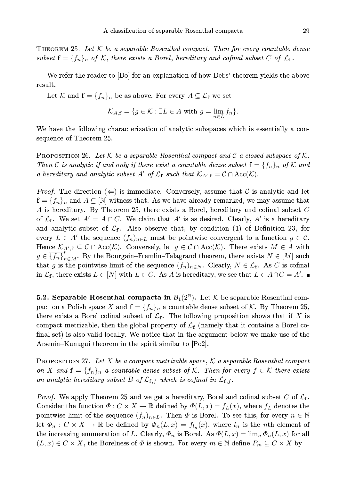THEOREM 25. Let  $K$  be a separable Rosenthal compact. Then for every countable dense subset  $f = \{f_n\}_n$  of K, there exists a Borel, hereditary and cofinal subset C of  $\mathcal{L}_f$ .

We refer the reader to [Do] for an explanation of how Debs' theorem yields the above result.

Let K and  $f = \{f_n\}_n$  be as above. For every  $A \subseteq \mathcal{L}_f$  we set

$$
\mathcal{K}_{A,\mathbf{f}} = \{ g \in \mathcal{K} : \exists L \in A \text{ with } g = \lim_{n \in L} f_n \}.
$$

We have the following characterization of analytic subspaces which is essentially a consequence of Theorem 25.

**PROPOSITION 26.** Let K be a separable Rosenthal compact and C a closed subspace of K. Then C is analytic if and only if there exist a countable dense subset  $\mathbf{f} = \{f_n\}_n$  of K and a hereditary and analytic subset A' of  $\mathcal{L}_{f}$  such that  $\mathcal{K}_{A',f} = \mathcal{C} \cap \text{Acc}(\mathcal{K})$ .

*Proof.* The direction  $(\Leftarrow)$  is immediate. Conversely, assume that C is analytic and let  $\mathbf{f} = \{f_n\}_n$  and  $A \subseteq [\mathbb{N}]$  witness that. As we have already remarked, we may assume that  $A$  is hereditary. By Theorem 25, there exists a Borel, hereditary and cofinal subset  $C$ of  $\mathcal{L}_{f}$ . We set  $A' = A \cap C$ . We claim that A' is as desired. Clearly, A' is a hereditary and analytic subset of  $\mathcal{L}_{f}$ . Also observe that, by condition (1) of Definition 23, for every  $L \in A'$  the sequence  $(f_n)_{n \in L}$  must be pointwise convergent to a function  $g \in C$ . Hence  $\mathcal{K}_{A',\mathbf{f}} \subseteq \mathcal{C} \cap \text{Acc}(\mathcal{K})$ . Conversely, let  $g \in \mathcal{C} \cap \text{Acc}(\mathcal{K})$ . There exists  $M \in A$  with  $g \in \{f_n\}_{n \in M}^P$ . By the Bourgain–Fremlin–Talagrand theorem, there exists  $N \in [M]$  such that g is the pointwise limit of the sequence  $(f_n)_{n\in N}$ . Clearly,  $N \in \mathcal{L}_{f}$ . As C is cofinal in  $\mathcal{L}_{\mathbf{f}}$ , there exists  $L \in [N]$  with  $L \in C$ . As A is hereditary, we see that  $L \in A \cap C = A'$ .

**5.2. Separable Rosenthal compacta in**  $\mathcal{B}_1(2^{\mathbb{N}})$ . Let  $\mathcal{K}$  be separable Rosenthal compact on a Polish space X and  $f = \{f_n\}_n$  a countable dense subset of K. By Theorem 25, there exists a Borel cofinal subset of  $\mathcal{L}_{f}$ . The following proposition shows that if X is compact metrizable, then the global property of  $\mathcal{L}_{\mathbf{f}}$  (namely that it contains a Borel cofinal set) is also valid locally. We notice that in the argument below we make use of the Arsenin-Kunugui theorem in the spirit similar to |Po2|.

PROPOSITION 27. Let X be a compact metrizable space,  $K$  a separable Rosenthal compact on X and  $\mathbf{f} = \{f_n\}_n$  a countable dense subset of K. Then for every  $f \in \mathcal{K}$  there exists an analytic hereditary subset B of  $\mathcal{L}_{{\mathbf{f}},f}$  which is cofinal in  $\mathcal{L}_{{\mathbf{f}},f}$ .

*Proof.* We apply Theorem 25 and we get a hereditary, Borel and cofinal subset C of  $\mathcal{L}_{f}$ . Consider the function  $\Phi: C \times X \to \mathbb{R}$  defined by  $\Phi(L, x) = f_L(x)$ , where  $f_L$  denotes the pointwise limit of the sequence  $(f_n)_{n\in L}$ . Then  $\Phi$  is Borel. To see this, for every  $n \in \mathbb{N}$ let  $\Phi_n: C \times X \to \mathbb{R}$  be defined by  $\Phi_n(L, x) = f_{l_n}(x)$ , where  $l_n$  is the *n*th element of the increasing enumeration of L. Clearly,  $\Phi_n$  is Borel. As  $\Phi(L, x) = \lim_n \Phi_n(L, x)$  for all  $(L, x) \in C \times X$ , the Borelness of  $\Phi$  is shown. For every  $m \in \mathbb{N}$  define  $P_m \subseteq C \times X$  by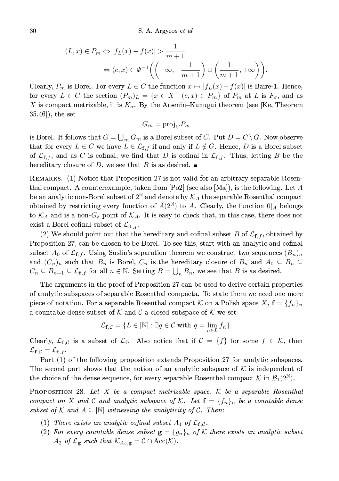$$
(L, x) \in P_m \Leftrightarrow |f_L(x) - f(x)| > \frac{1}{m+1}
$$

$$
\Leftrightarrow (c, x) \in \Phi^{-1}\left(\left(-\infty, -\frac{1}{m+1}\right) \cup \left(\frac{1}{m+1}, +\infty\right)\right)
$$

Clearly,  $P_m$  is Borel. For every  $L \in C$  the function  $x \mapsto |f_L(x) - f(x)|$  is Baire-1. Hence, for every  $L \in C$  the section  $(P_m)_L = \{x \in X : (c, x) \in P_m\}$  of  $P_m$  at L is  $F_{\sigma}$ , and as X is compact metrizable, it is  $K_{\sigma}$ . By the Arsenin-Kunugui theorem (see [Ke, Theorem  $(35.46)$ , the set

$$
G_m = \text{proj}_C P_m
$$

is Borel. It follows that  $G = \bigcup_m G_m$  is a Borel subset of C. Put  $D = C \backslash G$ . Now observe that for every  $L \in C$  we have  $L \in \mathcal{L}_{\mathbf{f},f}$  if and only if  $L \notin G$ . Hence, D is a Borel subset of  $\mathcal{L}_{f,f}$ , and as C is cofinal, we find that D is cofinal in  $\mathcal{L}_{f,f}$ . Thus, letting B be the hereditary closure of D, we see that B is as desired.  $\blacksquare$ 

REMARKS. (1) Notice that Proposition 27 is not valid for an arbitrary separable Rosenthal compact. A counterexample, taken from  $[Po2]$  (see also [Ma]), is the following. Let A be an analytic non-Borel subset of  $2^{\mathbb{N}}$  and denote by  $\mathcal{K}_A$  the separable Rosenthal compact obtained by restricting every function of  $\hat{A}(2^{\mathbb{N}})$  to A. Clearly, the function  $0|_A$  belongs to  $\mathcal{K}_A$  and is a non- $G_{\delta}$  point of  $\mathcal{K}_A$ . It is easy to check that, in this case, there does not exist a Borel cofinal subset of  $\mathcal{L}_{0|A}$ .

(2) We should point out that the hereditary and cofinal subset B of  $\mathcal{L}_{f,f}$ , obtained by Proposition 27, can be chosen to be Borel. To see this, start with an analytic and cofinal subset  $A_0$  of  $\mathcal{L}_{\mathbf{f},f}$ . Using Suslin's separation theorem we construct two sequences  $(B_n)_n$ and  $(C_n)_n$  such that  $B_n$  is Borel,  $C_n$  is the hereditary closure of  $B_n$  and  $A_0 \subseteq B_n \subseteq$  $C_n \subseteq B_{n+1} \subseteq \mathcal{L}_{\mathbf{f},f}$  for all  $n \in \mathbb{N}$ . Setting  $B = \bigcup_n B_n$ , we see that B is as desired.

The arguments in the proof of Proposition 27 can be used to derive certain properties of analytic subspaces of separable Rosenthal compacta. To state them we need one more piece of notation. For a separable Rosenthal compact K on a Polish space  $X, f = \{f_n\}_n$ a countable dense subset of  $K$  and  $C$  a closed subspace of  $K$  we set

$$
\mathcal{L}_{\mathbf{f},\mathcal{C}} = \{ L \in [\mathbb{N}] : \exists g \in \mathcal{C} \text{ with } g = \lim_{n \in L} f_n \}.
$$

Clearly,  $\mathcal{L}_{f,C}$  is a subset of  $\mathcal{L}_f$ . Also notice that if  $\mathcal{C} = \{f\}$  for some  $f \in \mathcal{K}$ , then  $\mathcal{L}_{\mathbf{f},\mathcal{C}}=\mathcal{L}_{\mathbf{f},f}.$ 

Part (1) of the following proposition extends Proposition 27 for analytic subspaces. The second part shows that the notion of an analytic subspace of  $K$  is independent of the choice of the dense sequence, for every separable Rosenthal compact  $\mathcal{K}$  in  $\mathcal{B}_1(2^{\mathbb{N}})$ .

**PROPOSITION** 28. Let X be a compact metrizable space,  $\mathcal K$  be a separable Rosenthal compact on X and C and analytic subspace of K. Let  $\mathbf{f} = \{f_n\}_n$  be a countable dense subset of K and  $A \subseteq \mathbb{N}$  witnessing the analyticity of C. Then:

- (1) There exists an analytic cofinal subset  $A_1$  of  $\mathcal{L}_{f,c}$ .
- (2) For every countable dense subset  $\mathbf{g} = \{g_n\}_n$  of K there exists an analytic subset  $A_2$  of  $\mathcal{L}_g$  such that  $\mathcal{K}_{A_2,g} = \mathcal{C} \cap \text{Acc}(\mathcal{K}).$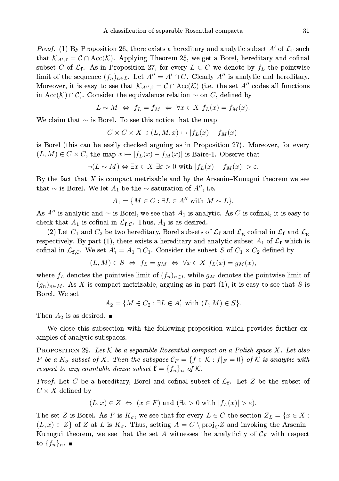*Proof.* (1) By Proposition 26, there exists a hereditary and analytic subset A' of  $\mathcal{L}_{f}$  such that  $\mathcal{K}_{A',\mathbf{f}} = \mathcal{C} \cap \text{Acc}(\mathcal{K})$ . Applying Theorem 25, we get a Borel, hereditary and cofinal subset C of  $\mathcal{L}_{f}$ . As in Proposition 27, for every  $L \in C$  we denote by  $f_{L}$  the pointwise limit of the sequence  $(f_n)_{n \in L}$ . Let  $A'' = A' \cap C$ . Clearly A'' is analytic and hereditary. Moreover, it is easy to see that  $\mathcal{K}_{A'',\mathbf{f}} = \mathcal{C} \cap Acc(\mathcal{K})$  (i.e. the set A'' codes all functions in Acc(K)  $\cap$  C). Consider the equivalence relation  $\sim$  on C, defined by

$$
L \sim M \Leftrightarrow f_L = f_M \Leftrightarrow \forall x \in X \ f_L(x) = f_M(x).
$$

We claim that  $\sim$  is Borel. To see this notice that the map

$$
C \times C \times X \ni (L, M, x) \mapsto |f_L(x) - f_M(x)|
$$

is Borel (this can be easily checked arguing as in Proposition 27). Moreover, for every  $(L, M) \in C \times C$ , the map  $x \mapsto |f_L(x) - f_M(x)|$  is Baire 1. Observe that

$$
\neg(L \sim M) \Leftrightarrow \exists x \in X \exists \varepsilon > 0 \text{ with } |f_L(x) - f_M(x)| > \varepsilon.
$$

By the fact that  $X$  is compact metrizable and by the Arsenin–Kunugui theorem we see that  $\sim$  is Borel. We let  $A_1$  be the  $\sim$  saturation of  $A'',$  i.e.

$$
A_1 = \{ M \in C : \exists L \in A'' \text{ with } M \sim L \}.
$$

As A" is analytic and  $\sim$  is Borel, we see that  $A_1$  is analytic. As C is cofinal, it is easy to check that  $A_1$  is cofinal in  $\mathcal{L}_{f,c}$ . Thus,  $A_1$  is as desired.

(2) Let  $C_1$  and  $C_2$  be two hereditary, Borel subsets of  $\mathcal{L}_{\mathbf{f}}$  and  $\mathcal{L}_{\mathbf{g}}$  cofinal in  $\mathcal{L}_{\mathbf{f}}$  and  $\mathcal{L}_{\mathbf{g}}$ respectively. By part (1), there exists a hereditary and analytic subset  $A_1$  of  $\mathcal{L}_{\mathbf{f}}$  which is cofinal in  $\mathcal{L}_{f,C}$ . We set  $A'_1 = A_1 \cap C_1$ . Consider the subset S of  $C_1 \times C_2$  defined by

$$
(L, M) \in S \iff f_L = g_M \iff \forall x \in X \ f_L(x) = g_M(x),
$$

where  $f_L$  denotes the pointwise limit of  $(f_n)_{n\in L}$  while  $g_M$  denotes the pointwise limit of  $(g_n)_{n \in M}$ . As X is compact metrizable, arguing as in part (1), it is easy to see that S is Borel. We set

$$
A_2 = \{ M \in C_2 : \exists L \in A'_1 \text{ with } (L, M) \in S \}.
$$

Then  $A_2$  is as desired.  $\blacksquare$ 

We close this subsection with the following proposition which provides further examples of analytic subspaces.

**PROPOSITION** 29. Let K be a separable Rosenthal compact on a Polish space X. Let also F be a  $K_{\sigma}$  subset of X. Then the subspace  $\mathcal{C}_F = \{f \in \mathcal{K} : f|_F = 0\}$  of K is analytic with respect to any countable dense subset  $\mathbf{f} = \{f_n\}_n$  of K.

*Proof.* Let C be a hereditary, Borel and cofinal subset of  $\mathcal{L}_{f}$ . Let Z be the subset of  $C \times X$  defined by

$$
(L, x) \in Z \Leftrightarrow (x \in F)
$$
 and  $(\exists \varepsilon > 0$  with  $|f_L(x)| > \varepsilon$ ).

The set Z is Borel. As F is  $K_{\sigma}$ , we see that for every  $L \in C$  the section  $Z_L = \{x \in X :$  $(L, x) \in Z$  of Z at L is  $K_{\sigma}$ . Thus, setting  $A = C \setminus \text{proj}_{C}Z$  and invoking the Arsenin-Kunugui theorem, we see that the set A witnesses the analyticity of  $\mathcal{C}_F$  with respect to  $\{f_n\}_n$ .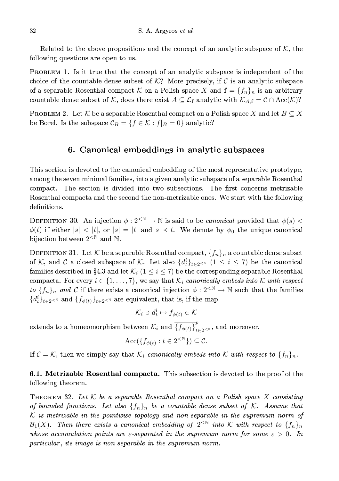Related to the above propositions and the concept of an analytic subspace of  $K$ , the following questions are open to us.

PROBLEM 1. Is it true that the concept of an analytic subspace is independent of the choice of the countable dense subset of  $K$ ? More precisely, if C is an analytic subspace of a separable Rosenthal compact K on a Polish space X and  $f = \{f_n\}_n$  is an arbitrary countable dense subset of K, does there exist  $A \subseteq \mathcal{L}_{f}$  analytic with  $\mathcal{K}_{A,f} = \mathcal{C} \cap Acc(\mathcal{K})$ ?

PROBLEM 2. Let K be a separable Rosenthal compact on a Polish space X and let  $B \subseteq X$ be Borel. Is the subspace  $\mathcal{C}_B = \{f \in \mathcal{K} : f|_B = 0\}$  analytic?

## 6. Canonical embeddings in analytic subspaces

This section is devoted to the canonical embedding of the most representative prototype, among the seven minimal families, into a given analytic subspace of a separable Rosenthal compact. The section is divided into two subsections. The first concerns metrizable Rosenthal compacta and the second the non-metrizable ones. We start with the following definitions.

DEFINITION 30. An injection  $\phi: 2^{<\mathbb{N}} \to \mathbb{N}$  is said to be *canonical* provided that  $\phi(s)$  $\phi(t)$  if either  $|s| < |t|$ , or  $|s| = |t|$  and  $s \prec t$ . We denote by  $\phi_0$  the unique canonical bijection between  $2^{\langle \mathbb{N} \rangle}$  and  $\mathbb{N}$ .

DEFINITION 31. Let  $K$  be a separable Rosenthal compact,  $\{f_n\}_n$  a countable dense subset of K, and C a closed subspace of K. Let also  $\{d_t^i\}_{t\in 2\le N}$  ( $1\le i\le 7$ ) be the canonical families described in §4.3 and let  $\mathcal{K}_i$   $(1 \leq i \leq 7)$  be the corresponding separable Rosenthal compacta. For every  $i \in \{1, ..., 7\}$ , we say that  $\mathcal{K}_i$  canonically embeds into K with respect to  $\{f_n\}_n$  and C if there exists a canonical injection  $\phi: 2^{< N} \to \mathbb{N}$  such that the families  ${d_t^i}_{t \in 2 \le \mathbb{N}}$  and  ${f_{\phi(t)}}_{t \in 2 \le \mathbb{N}}$  are equivalent, that is, if the map

$$
\mathcal{K}_i\ni d_t^i\mapsto f_{\phi(t)}\in\mathcal{K}
$$

extends to a homeomorphism between  $\mathcal{K}_i$  and  $\overline{\{f_{\phi(t)}\}}_{t=2\leq N}^p$ , and moreover,

$$
\text{Acc}(\{f_{\phi(t)} : t \in 2^{< \mathbb{N}}\}) \subseteq \mathcal{C}.
$$

If  $C = \mathcal{K}$ , then we simply say that  $\mathcal{K}_i$  canonically embeds into  $\mathcal{K}$  with respect to  $\{f_n\}_n$ .

**6.1. Metrizable Rosenthal compacta.** This subsection is devoted to the proof of the following theorem.

**THEOREM** 32. Let K be a separable Rosenthal compact on a Polish space X consisting of bounded functions. Let also  $\{f_n\}_n$  be a countable dense subset of K. Assume that  $K$  is metrizable in the pointwise topology and non-separable in the supremum norm of  $\mathcal{B}_1(X)$ . Then there exists a canonical embedding of  $2^{\leq \mathbb{N}}$  into K with respect to  $\{f_n\}_n$ whose accumulation points are  $\varepsilon$ -separated in the supremum norm for some  $\varepsilon > 0$ . In particular, its image is non-separable in the supremum norm.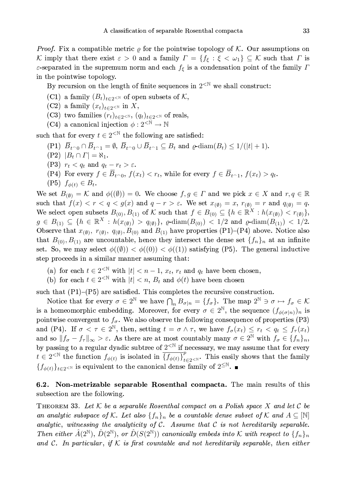*Proof.* Fix a compatible metric  $\rho$  for the pointwise topology of K. Our assumptions on K imply that there exist  $\varepsilon > 0$  and a family  $\Gamma = \{f_{\xi} : \xi < \omega_1\} \subseteq \mathcal{K}$  such that  $\Gamma$  is  $\varepsilon$ -separated in the supremum norm and each  $f_{\varepsilon}$  is a condensation point of the family  $\Gamma$ in the pointwise topology.

By recursion on the length of finite sequences in  $2^{< N}$  we shall construct:

- (C1) a family  $(B_t)_{t\in 2\leq N}$  of open subsets of K,
- (C2) a family  $(x_t)_{t\in 2\leq N}$  in X,
- (C3) two families  $(r_t)_{t\in 2\leq \mathbb{N}}$ ,  $(q_t)_{t\in 2\leq \mathbb{N}}$  of reals,
- (C4) a canonical injection  $\phi : 2^{< \mathbb{N}} \to \mathbb{N}$

such that for every  $t \in 2^{\leq N}$  the following are satisfied:

- (P1)  $\overline{B}_{t^{\frown}0} \cap \overline{B}_{t^{\frown}1} = \emptyset$ ,  $\overline{B}_{t^{\frown}0} \cup \overline{B}_{t^{\frown}1} \subseteq B_t$  and  $\rho$ -diam $(B_t) \leq 1/(|t|+1)$ .
- $(P2)$   $|B_t \cap \Gamma| = \aleph_1$ .
- (P3)  $r_t < q_t$  and  $q_t r_t > \varepsilon$ .
- (P4) For every  $f \in \overline{B}_{t^{\frown}0}$ ,  $f(x_t) < r_t$ , while for every  $f \in \overline{B}_{t^{\frown}1}$ ,  $f(x_t) > q_t$ .
- $(P5) f_{\phi(t)} \in B_t.$

We set  $B_{(\emptyset)} = \mathcal{K}$  and  $\phi((\emptyset)) = 0$ . We choose  $f, g \in \Gamma$  and we pick  $x \in X$  and  $r, q \in \mathbb{R}$ such that  $f(x) < r < q < g(x)$  and  $q-r > \varepsilon$ . We set  $x_{(\emptyset)} = x$ ,  $r_{(\emptyset)} = r$  and  $q_{(\emptyset)} = q$ . We select open subsets  $B_{(0)}, B_{(1)}$  of K such that  $f \in B_{(0)} \subseteq \{h \in \mathbb{R}^X : h(x_{(\emptyset)}) < r_{(\emptyset)}\},\$  $g \in B_{(1)} \subseteq \{h \in \mathbb{R}^X : h(x_{(\emptyset)}) > q_{(\emptyset)}\}, \varrho \text{-diam}(B_{(0)}) < 1/2 \text{ and } \varrho \text{-diam}(B_{(1)}) < 1/2.$ Observe that  $x_{(\emptyset)}, r_{(\emptyset)}, q_{(\emptyset)}, B_{(0)}$  and  $B_{(1)}$  have properties (P1)-(P4) above. Notice also that  $B_{(0)}, B_{(1)}$  are uncountable, hence they intersect the dense set  $\{f_n\}_n$  at an infinite set. So, we may select  $\phi((\emptyset)) < \phi((0)) < \phi((1))$  satisfying (P5). The general inductive step proceeds in a similar manner assuming that:

- (a) for each  $t \in 2^{\leq \mathbb{N}}$  with  $|t| < n 1$ ,  $x_t$ ,  $r_t$  and  $q_t$  have been chosen,
- (b) for each  $t \in 2^{\leq \mathbb{N}}$  with  $|t| < n$ ,  $B_t$  and  $\phi(t)$  have been chosen

such that  $(P1)$ – $(P5)$  are satisfied. This completes the recursive construction.

Notice that for every  $\sigma \in 2^{\mathbb{N}}$  we have  $\bigcap_n B_{\sigma|n} = \{f_{\sigma}\}\.$  The map  $2^{\mathbb{N}} \ni \sigma \mapsto f_{\sigma} \in \mathcal{K}$ is a homeomorphic embedding. Moreover, for every  $\sigma \in 2^{\mathbb{N}}$ , the sequence  $(f_{\phi(\sigma|n)})_n$  is pointwise convergent to  $f_{\sigma}$ . We also observe the following consequence of properties (P3) and (P4). If  $\sigma < \tau \in 2^{\mathbb{N}}$ , then, setting  $t = \sigma \wedge \tau$ , we have  $f_{\sigma}(x_t) \leq r_t < q_t \leq f_{\tau}(x_t)$ and so  $||f_{\sigma}-f_{\tau}||_{\infty} > \varepsilon$ . As there are at most countably many  $\sigma \in 2^{\mathbb{N}}$  with  $f_{\sigma} \in \{f_n\}_n$ , by passing to a regular dyadic subtree of  $2^{<\mathbb{N}}$  if necessary, we may assume that for every  $t \in 2^{\leq \mathbb{N}}$  the function  $f_{\phi(t)}$  is isolated in  $\overline{\{f_{\phi(t)}\}}_{t=2}^p$ . This easily shows that the family  $\{f_{\phi(t)}\}_{t\in 2\leq \mathbb{N}}$  is equivalent to the canonical dense family of  $2^{\leq \mathbb{N}}$ .

### 6.2. Non-metrizable separable Rosenthal compacta. The main results of this subsection are the following.

THEOREM 33. Let K be a separable Rosenthal compact on a Polish space X and let C be an analytic subspace of K. Let also  $\{f_n\}_n$  be a countable dense subset of K and  $A\subseteq[\mathbb{N}]$ analytic, witnessing the analyticity of  $C$ . Assume that  $C$  is not hereditarily separable. Then either  $\hat{A}(2^{\mathbb{N}})$ ,  $\hat{D}(2^{\mathbb{N}})$ , or  $\hat{D}(S(2^{\mathbb{N}}))$  canonically embeds into K with respect to  $\{f_n\}_n$ and C. In particular, if K is first countable and not hereditarily separable, then either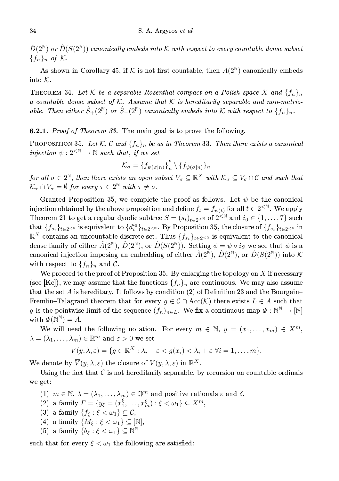$\hat{D}(2^{\mathbb{N}})$  or  $\hat{D}(S(2^{\mathbb{N}}))$  canonically embeds into K with respect to every countable dense subset  ${f_n}_n$  of K.

As shown in Corollary 45, if K is not first countable, then  $\hat{A}(2^{\mathbb{N}})$  canonically embeds into  $K$ .

THEOREM 34. Let K be a separable Rosenthal compact on a Polish space X and  $\{f_n\}_n$ a countable dense subset of K. Assume that K is hereditarily separable and non-metrizable. Then either  $\hat{S}_+(2^{\mathbb{N}})$  or  $\hat{S}_-(2^{\mathbb{N}})$  canonically embeds into K with respect to  $\{f_n\}_n$ .

**6.2.1.** Proof of Theorem 33. The main goal is to prove the following.

**PROPOSITION 35.** Let K, C and  $\{f_n\}_n$  be as in Theorem 33. Then there exists a canonical injection  $\psi: 2^{\leq \mathbb{N}} \to \mathbb{N}$  such that, if we set

$$
\mathcal{K}_{\sigma} = \overline{\{f_{\psi(\sigma|n)}\}}_{n}^{p} \setminus \{f_{\psi(\sigma|n)}\}_{n}
$$

for all  $\sigma \in 2^{\mathbb{N}}$ , then there exists an open subset  $V_{\sigma} \subseteq \mathbb{R}^{X}$  with  $\mathcal{K}_{\sigma} \subseteq V_{\sigma} \cap \mathcal{C}$  and such that  $\mathcal{K}_{\tau} \cap V_{\sigma} = \emptyset$  for every  $\tau \in 2^{\mathbb{N}}$  with  $\tau \neq \sigma$ .

Granted Proposition 35, we complete the proof as follows. Let  $\psi$  be the canonical injection obtained by the above proposition and define  $f_t = f_{\psi(t)}$  for all  $t \in 2^{< N}$ . We apply Theorem 21 to get a regular dyadic subtree  $S = (s_t)_{t \in 2 \le N}$  of  $2^{\le N}$  and  $i_0 \in \{1, ..., 7\}$  such that  $\{f_{s_t}\}_{t\in 2\le N}$  is equivalent to  $\{d_t^{i_0}\}_{t\in 2\le N}$ . By Proposition 35, the closure of  $\{f_{s_t}\}_{t\in 2\le N}$  in  $\mathbb{R}^X$  contains an uncountable discrete set. Thus  $\{f_{s_t}\}_{t\in 2\leq N}$  is equivalent to the canonical dense family of either  $\hat{A}(2^{\mathbb{N}}), \hat{D}(2^{\mathbb{N}}),$  or  $\hat{D}(S(2^{\mathbb{N}})).$  Setting  $\phi = \psi \circ i_S$  we see that  $\phi$  is a canonical injection imposing an embedding of either  $\hat{A}(2^{\mathbb{N}})$ ,  $\hat{D}(2^{\mathbb{N}})$ , or  $\hat{D}(S(2^{\mathbb{N}}))$  into K with respect to  $\{f_n\}_n$  and C.

We proceed to the proof of Proposition 35. By enlarging the topology on  $X$  if necessary (see [Ke]), we may assume that the functions  $\{f_n\}_n$  are continuous. We may also assume that the set A is hereditary. It follows by condition (2) of Definition 23 and the Bourgain-Fremlin–Talagrand theorem that for every  $g \in \mathcal{C} \cap \text{Acc}(\mathcal{K})$  there exists  $L \in A$  such that g is the pointwise limit of the sequence  $(f_n)_{n\in L}$ . We fix a continuous map  $\Phi : \mathbb{N}^{\mathbb{N}} \to \mathbb{N}$ with  $\Phi(\mathbb{N}^{\mathbb{N}})=A$ .

We will need the following notation. For every  $m \in \mathbb{N}$ ,  $y = (x_1, \ldots, x_m) \in X^m$ ,  $\lambda = (\lambda_1, \ldots, \lambda_m) \in \mathbb{R}^m$  and  $\varepsilon > 0$  we set

$$
V(y,\lambda,\varepsilon)=\{g\in\mathbb{R}^X:\lambda_i-\varepsilon
$$

We denote by  $\overline{V}(y,\lambda,\varepsilon)$  the closure of  $V(y,\lambda,\varepsilon)$  in  $\mathbb{R}^X$ .

Using the fact that  $\mathcal C$  is not hereditarily separable, by recursion on countable ordinals we get:

- (1)  $m \in \mathbb{N}, \lambda = (\lambda_1, \ldots, \lambda_m) \in \mathbb{Q}^m$  and positive rationals  $\varepsilon$  and  $\delta$ ,
- (2) a family  $\Gamma = \{y_{\xi} = (x_1^{\xi}, \ldots, x_m^{\xi}) : \xi < \omega_1\} \subseteq X^m$ ,
- (3) a family  $\{f_{\xi} : \xi < \omega_1\} \subseteq \mathcal{C}$ ,
- (4) a family  $\{M_{\varepsilon} : \xi < \omega_1\} \subseteq [\mathbb{N}],$
- (5) a family  $\{b_{\xi} : \xi < \omega_1\} \subseteq \mathbb{N}^{\mathbb{N}}$

such that for every  $\xi < \omega_1$  the following are satisfied: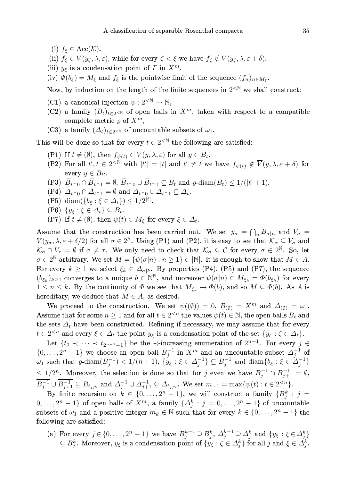- (i)  $f_{\xi} \in Acc(K)$ .
- (ii)  $f_{\xi} \in V(y_{\xi}, \lambda, \varepsilon)$ , while for every  $\zeta < \xi$  we have  $f_{\zeta} \notin \overline{V}(y_{\xi}, \lambda, \varepsilon + \delta)$ .
- (iii)  $y_{\xi}$  is a condensation point of  $\Gamma$  in  $X^m$ .

(iv)  $\Phi(b_{\xi}) = M_{\xi}$  and  $f_{\xi}$  is the pointwise limit of the sequence  $(f_n)_{n \in M_{\xi}}$ .

Now, by induction on the length of the finite sequences in  $2^{<\mathbb{N}}$  we shall construct:

- (C1) a canonical injection  $\psi : 2^{< \mathbb{N}} \to \mathbb{N}$ ,
- (C2) a family  $(B_t)_{t\in 2\leq N}$  of open balls in  $X^m$ , taken with respect to a compatible complete metric  $\rho$  of  $X^m$ ,
- (C3) a family  $(\Delta_t)_{t\in 2\leq N}$  of uncountable subsets of  $\omega_1$ .

This will be done so that for every  $t\in 2^{<\mathbb{N}}$  the following are satisfied:

- (P1) If  $t \neq (\emptyset)$ , then  $f_{\psi(t)} \in V(y, \lambda, \varepsilon)$  for all  $y \in B_t$ .
- (P2) For all  $t', t \in 2^{\langle \mathbb{N} \rangle}$  with  $|t'| = |t|$  and  $t' \neq t$  we have  $f_{\psi(t)} \notin \overline{V}(y, \lambda, \varepsilon + \delta)$  for every  $y \in B_{t'}$ .
- (P3)  $\overline{B}_{t^{\frown}0} \cap \overline{B}_{t^{\frown}1} = \emptyset$ ,  $\overline{B}_{t^{\frown}0} \cup \overline{B}_{t^{\frown}1} \subseteq B_t$  and  $\varrho$  diam $(B_t) \leq 1/(|t|+1)$ .
- (P4)  $\Delta_{t \cap 0} \cap \Delta_{t \cap 1} = \emptyset$  and  $\Delta_{t \cap 0} \cup \Delta_{t \cap 1} \subseteq \Delta_t$ .
- (P5) diam( ${b_{\xi} : \xi \in \Delta_t}$ )  $\leq 1/2^{|t|}$ .
- $(P6) \{y_{\xi} : \xi \in \Delta_t\} \subseteq B_t.$
- (P7) If  $t \neq (\emptyset)$ , then  $\psi(t) \in M_{\xi}$  for every  $\xi \in \Delta_t$ .

Assume that the construction has been carried out. We set  $y_{\sigma} = \bigcap_n B_{\sigma|n}$  and  $V_{\sigma} =$  $V(y_\sigma, \lambda, \varepsilon + \delta/2)$  for all  $\sigma \in 2^{\mathbb{N}}$ . Using (P1) and (P2), it is easy to see that  $\mathcal{K}_\sigma \subseteq V_\sigma$  and  $\mathcal{K}_{\sigma} \cap V_{\tau} = \emptyset$  if  $\sigma \neq \tau$ . We only need to check that  $\mathcal{K}_{\sigma} \subseteq \mathcal{C}$  for every  $\sigma \in 2^{\mathbb{N}}$ . So, let  $\sigma \in 2^{\mathbb{N}}$  arbitrary. We set  $M = {\psi(\sigma|n) : n \geq 1} \in [\mathbb{N}]$ . It is enough to show that  $M \in A$ . For every  $k \geq 1$  we select  $\xi_k \in \Delta_{\sigma|k}$ . By properties (P4), (P5) and (P7), the sequence  $(b_{\xi_k})_{k\geq 1}$  converges to a unique  $b \in \mathbb{N}^{\mathbb{N}}$ , and moreover  $\psi(\sigma|n) \in M_{\xi_k} = \Phi(b_{\xi_k})$  for every  $1 \leq n \leq k$ . By the continuity of  $\Phi$  we see that  $M_{\xi_k} \to \Phi(b)$ , and so  $M \subseteq \Phi(b)$ . As A is hereditary, we deduce that  $M \in A$ , as desired.

We proceed to the construction. We set  $\psi((\emptyset)) = 0$ ,  $B_{(\emptyset)} = X^m$  and  $\Delta_{(\emptyset)} = \omega_1$ . Assume that for some  $n \geq 1$  and for all  $t \in 2^{ the values  $\psi(t) \in \mathbb{N}$ , the open balls  $B_t$  and$ the sets  $\Delta_t$  have been constructed. Refining if necessary, we may assume that for every  $t \in 2^{ and every  $\xi \in \Delta_t$  the point  $y_{\xi}$  is a condensation point of the set  $\{y_{\zeta} : \zeta \in \Delta_t\}.$$ 

Let  $\{t_0 \prec \cdots \prec t_{2^{n-1}-1}\}\$  be the  $\prec$ -increasing enumeration of  $2^{n-1}$ . For every  $j \in$  $\{0,\ldots,2^{n}-1\}$  we choose an open ball  $B_j^{-1}$  in  $X^m$  and an uncountable subset  $\Delta_j^{-1}$  of  $\omega_1$  such that  $\varrho$ -diam $(B_j^{-1})$  < 1/(n + 1),  $\{y_\xi: \xi \in \Delta_j^{-1}\} \subseteq B_j^{-1}$  and  $\text{diam}\{b_\xi: \xi \in \Delta_j^{-1}\}\$  $\leq 1/2^n$ . Moreover, the selection is done so that for j even we have  $\overline{B_i^{-1}} \cap \overline{B_{i+1}^{-1}} = \emptyset$ ,  $\overline{B_j^{-1}} \cup \overline{B_{j+1}^{-1}} \subseteq B_{t_{j/2}}$  and  $\Delta_j^{-1} \cup \Delta_{j+1}^{-1} \subseteq \Delta_{t_{j/2}}$ . We set  $m_{-1} = \max\{ \psi(t) : t \in 2^{$ 

By finite recursion on  $k \in \{0, ..., 2^n-1\}$ , we will construct a family  $\{B_i^k : j = 1\}$  $0,\ldots,2^{n}-1$  of open balls of  $X^{m}$ , a family  $\{\Delta_{i}^{k}:j=0,\ldots,2^{n}-1\}$  of uncountable subsets of  $\omega_1$  and a positive integer  $m_k \in \mathbb{N}$  such that for every  $k \in \{0, \ldots, 2^n - 1\}$  the following are satisfied:

(a) For every  $j \in \{0, ..., 2^n - 1\}$  we have  $B_j^{k-1} \supseteq B_j^k$ ,  $\Delta_j^{k-1} \supseteq \Delta_j^k$  and  $\{y_{\xi} : \xi \in \Delta_j^k\}$ <br> $\subseteq B_j^k$ . Moreover,  $y_{\xi}$  is a condensation point of  $\{y_{\zeta} : \zeta \in \Delta_j^k\}$  for all j and  $\xi \in \Delta_j^k$ .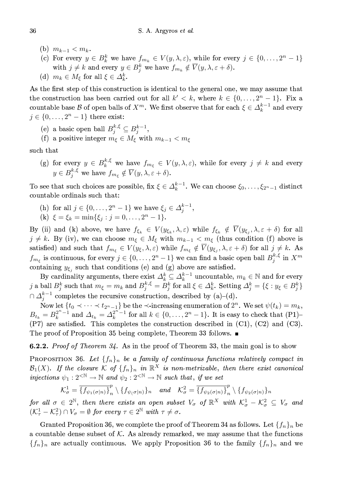- (b)  $m_{k-1} < m_k$ .
- (c) For every  $y \in B_k^k$  we have  $f_{m_k} \in V(y, \lambda, \varepsilon)$ , while for every  $j \in \{0, ..., 2^n 1\}$ with  $j \neq k$  and every  $y \in B_i^k$  we have  $f_{m_k} \notin \overline{V}(y, \lambda, \varepsilon + \delta)$ .

(d)  $m_k \in M_{\xi}$  for all  $\xi \in \Delta_k^k$ .

As the first step of this construction is identical to the general one, we may assume that the construction has been carried out for all  $k' < k$ , where  $k \in \{0, \ldots, 2^{n} - 1\}$ . Fix a countable base B of open balls of  $X^m$ . We first observe that for each  $\xi \in \Delta_k^{k-1}$  and every  $j \in \{0, \ldots, 2<sup>n</sup> - 1\}$  there exist:

- (e) a basic open ball  $B_j^{k,\xi} \subseteq B_j^{k-1}$ ,
- (f) a positive integer  $m_{\xi} \in M_{\xi}$  with  $m_{k-1} < m_{\xi}$

such that

(g) for every  $y \in B_k^{k,\xi}$  we have  $f_{m_{\xi}} \in V(y,\lambda,\varepsilon)$ , while for every  $j \neq k$  and every  $y \in B_i^{k,\xi}$  we have  $f_{m_{\xi}} \notin \overline{V}(y, \lambda, \varepsilon + \delta)$ .

To see that such choices are possible, fix  $\xi \in \Delta_k^{k-1}$ . We can choose  $\xi_0, \ldots, \xi_{2^n-1}$  distinct countable ordinals such that:

(h) for all  $j \in \{0, ..., 2^n - 1\}$  we have  $\xi_j \in \Delta_j^{k-1}$ ,<br>
(k)  $\xi = \xi_k = \min\{\xi_j : j = 0, ..., 2^n - 1\}.$ 

By (ii) and (k) above, we have  $f_{\xi_k} \in V(y_{\xi_k}, \lambda, \varepsilon)$  while  $f_{\xi_k} \notin \overline{V}(y_{\xi_i}, \lambda, \varepsilon + \delta)$  for all  $j \neq k$ . By (iv), we can choose  $m_{\xi} \in M_{\xi}$  with  $m_{k-1} < m_{\xi}$  (thus condition (f) above is satisfied) and such that  $f_{m_{\xi}} \in V(y_{\xi}, \lambda, \varepsilon)$  while  $f_{m_{\xi}} \notin \overline{V}(y_{\xi_j}, \lambda, \varepsilon + \delta)$  for all  $j \neq k$ . As  $f_{m_{\xi}}$  is continuous, for every  $j \in \{0, \ldots, 2^n - 1\}$  we can find a basic open ball  $B_j^{k, \xi}$  in  $X^m$ containing  $y_{\xi_i}$  such that conditions (e) and (g) above are satisfied.

By cardinality arguments, there exist  $\Delta_k^k \subseteq \Delta_k^{k-1}$  uncountable,  $m_k \in \mathbb{N}$  and for every j a ball  $B_j^k$  such that  $m_{\xi} = m_k$  and  $B_j^{k,\xi} = B_j^k$  for all  $\xi \in \Delta_k^k$ . Setting  $\Delta_j^k = \{\xi : y_{\xi} \in B_j^k\}$  $\cap \Delta_i^{k-1}$  completes the recursive construction, described by (a)-(d).

Now let  $\{t_0 \prec \cdots \prec t_{2^n-1}\}$  be the  $\prec$ -increasing enumeration of  $2^n$ . We set  $\psi(t_k) = m_k$ ,  $B_{t_k} = B_k^{2^{n-1}}$  and  $\Delta_{t_k} = \Delta_k^{2^{n-1}}$  for all  $k \in \{0, ..., 2^n - 1\}$ . It is easy to check that  $(P1)$ - $(P7)$  are satisfied. This completes the construction described in  $(C1)$ ,  $(C2)$  and  $(C3)$ . The proof of Proposition 35 being complete, Theorem 33 follows.  $\blacksquare$ 

6.2.2. Proof of Theorem 34. As in the proof of Theorem 33, the main goal is to show

PROPOSITION 36. Let  $\{f_n\}_n$  be a family of continuous functions relatively compact in  $\mathcal{B}_1(X)$ . If the closure K of  $\{f_n\}_n$  in  $\mathbb{R}^X$  is non-metrizable, then there exist canonical injections  $\psi_1: 2^{\langle \mathbb{N} \rangle} \to \mathbb{N}$  and  $\psi_2: 2^{\langle \mathbb{N} \rangle} \to \mathbb{N}$  such that, if we set

$$
\mathcal{K}_{\sigma}^{1} = \overline{\{f_{\psi_{1}(\sigma|n)}\}}_{n}^{p} \setminus \{f_{\psi_{\sigma}(n)}\}_{n} \quad and \quad \mathcal{K}_{\sigma}^{2} = \overline{\{f_{\psi_{2}(\sigma|n)}\}}_{n}^{p} \setminus \{f_{\psi_{2}(\sigma|n)}\}_{n}
$$

for all  $\sigma \in 2^{\mathbb{N}}$ , then there exists an open subset  $V_{\sigma}$  of  $\mathbb{R}^{X}$  with  $\mathcal{K}^1_{\sigma} - \mathcal{K}^2_{\sigma} \subseteq V_{\sigma}$  and  $(\mathcal{K}_{\tau}^1 - \mathcal{K}_{\tau}^2) \cap V_{\sigma} = \emptyset$  for every  $\tau \in 2^{\mathbb{N}}$  with  $\tau \neq \sigma$ .

Granted Proposition 36, we complete the proof of Theorem 34 as follows. Let  $\{f_n\}_n$  be a countable dense subset of  $K$ . As already remarked, we may assume that the functions  ${f_n}_n$  are actually continuous. We apply Proposition 36 to the family  ${f_n}_n$  and we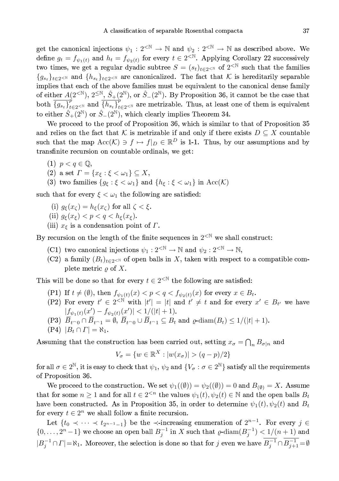get the canonical injections  $\psi_1 : 2^{\langle \mathbb{N} \rangle} \to \mathbb{N}$  and  $\psi_2 : 2^{\langle \mathbb{N} \rangle} \to \mathbb{N}$  as described above. We define  $g_t = f_{\psi_1(t)}$  and  $h_t = f_{\psi_2(t)}$  for every  $t \in 2^{< N}$ . Applying Corollary 22 successively two times, we get a regular dyadic subtree  $S = (s_t)_{t \in 2 \le N}$  of  $2^{N}$  such that the families  $\{g_{s_t}\}_{t\in\mathbb{R}^N}$  and  $\{h_{s_t}\}_{t\in\mathbb{R}^N}$  are canonicalized. The fact that K is hereditarily separable implies that each of the above families must be equivalent to the canonical dense family of either  $A(2^{\langle \mathbb{N} \rangle}, 2^{\langle \mathbb{N} \rangle}, \hat{S}_+(2^{\mathbb{N}}), \text{ or } \hat{S}_-(2^{\mathbb{N}}).$  By Proposition 36, it cannot be the case that both  $\overline{\{g_{s_t}\}}_{t=2^{N}}^p$  and  $\overline{\{h_{s_t}\}}_{t=2^{N}}^p$  are metrizable. Thus, at least one of them is equivalent to either  $\hat{S}_+(2^{\mathbb{N}})$  or  $\hat{S}_-(2^{\mathbb{N}})$ , which clearly implies Theorem 34.

We proceed to the proof of Proposition 36, which is similar to that of Proposition 35 and relies on the fact that K is metrizable if and only if there exists  $D \subseteq X$  countable such that the map  $Acc(K) \ni f \mapsto f|_{D} \in \mathbb{R}^{D}$  is 1-1. Thus, by our assumptions and by transfinite recursion on countable ordinals, we get:

- $(1)$   $p < q \in \mathbb{Q}$ ,
- (2) a set  $\Gamma = \{x_{\xi} : \xi < \omega_1\} \subseteq X$ ,
- (3) two families  $\{g_{\xi} : \xi < \omega_1\}$  and  $\{h_{\xi} : \xi < \omega_1\}$  in  $Acc(K)$

such that for every  $\xi < \omega_1$  the following are satisfied:

(i)  $g_{\xi}(x_{\zeta}) = h_{\xi}(x_{\zeta})$  for all  $\zeta < \xi$ .

(ii) 
$$
g_{\xi}(x_{\xi}) < p < q < h_{\xi}(x_{\xi})
$$
.

(iii)  $x_{\xi}$  is a condensation point of  $\Gamma$ .

By recursion on the length of the finite sequences in  $2^{\langle N \rangle}$  we shall construct:

- (C1) two canonical injections  $\psi_1 : 2^{< \mathbb{N}} \to \mathbb{N}$  and  $\psi_2 : 2^{< \mathbb{N}} \to \mathbb{N}$ ,
- (C2) a family  $(B_t)_{t\in 2\leq N}$  of open balls in X, taken with respect to a compatible complete metric  $\rho$  of X.

This will be done so that for every  $t \in 2^{\langle \mathbb{N} \rangle}$  the following are satisfied:

- (P1) If  $t \neq (\emptyset)$ , then  $f_{\psi_1(t)}(x) < p < q < f_{\psi_2(t)}(x)$  for every  $x \in B_t$ .
- (P2) For every  $t' \in 2^{\langle \mathbb{N} \rangle}$  with  $|t'| = |t|$  and  $t' \neq t$  and for every  $x' \in B_{t'}$  we have  $|f_{\psi_1(t)}(x') - f_{\psi_2(t)}(x')| < 1/(|t|+1).$
- (P3)  $\overline{B}_{t^{\frown}0} \cap \overline{B}_{t^{\frown}1} = \emptyset$ ,  $\overline{B}_{t^{\frown}0} \cup \overline{B}_{t^{\frown}1} \subseteq \overline{B}_t$  and  $\varrho$ -diam $(B_t) \leq 1/(|t|+1)$ .
- $(P4)$   $|B_t \cap \Gamma| = \aleph_1$ .

Assuming that the construction has been carried out, setting  $x_{\sigma} = \bigcap_n B_{\sigma|n}$  and

$$
V_{\sigma} = \{ w \in \mathbb{R}^X : |w(x_{\sigma})| > (q - p)/2 \}
$$

for all  $\sigma \in 2^{\mathbb{N}}$ , it is easy to check that  $\psi_1, \psi_2$  and  $\{V_{\sigma} : \sigma \in 2^{\mathbb{N}}\}$  satisfy all the requirements of Proposition 36.

We proceed to the construction. We set  $\psi_1((\emptyset)) = \psi_2((\emptyset)) = 0$  and  $B_{(\emptyset)} = X$ . Assume that for some  $n \geq 1$  and for all  $t \in 2^{n}$  the values  $\psi_1(t), \psi_2(t) \in \mathbb{N}$  and the open balls  $B_t$ have been constructed. As in Proposition 35, in order to determine  $\psi_1(t), \psi_2(t)$  and  $B_t$ for every  $t \in 2^n$  we shall follow a finite recursion.

Let  $\{t_0 \prec \cdots \prec t_{2^{n-1}-1}\}\$  be the  $\prec$ -increasing enumeration of  $2^{n-1}$ . For every  $j \in$  $\{0,\ldots,2^{n}-1\}$  we choose an open ball  $B_i^{-1}$  in X such that  $\varrho$ -diam $(B_i^{-1}) < 1/(n+1)$  and  $|B_j^{-1} \cap \Gamma| = \aleph_1$ . Moreover, the selection is done so that for j even we have  $\overline{B_j^{-1}} \cap \overline{B_{j+1}^{-1}} = \emptyset$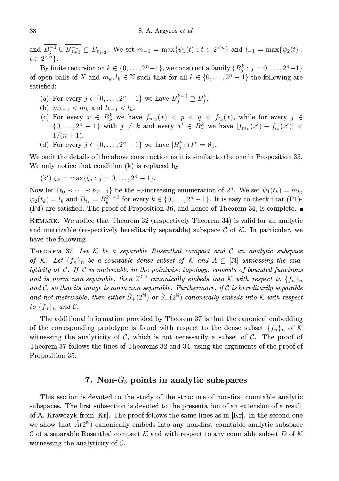and  $\overline{B_{j}^{-1}} \cup \overline{B_{j+1}^{-1}} \subseteq B_{t_{j/2}}$ . We set  $m_{-1} = \max\{\psi_1(t) : t \in 2^{ and  $l_{-1} = \max\{\psi_2(t) : t \in 2^{$$  $t \in 2^{.$ 

By finite recursion on  $k \in \{0, \ldots, 2^n-1\}$ , we construct a family  $\{B_j^k : j = 0, \ldots, 2^n-1\}$ of open balls of X and  $m_k, l_k \in \mathbb{N}$  such that for all  $k \in \{0, \ldots, 2^n-1\}$  the following are satisfied:

- (a) For every  $j \in \{0, \ldots, 2^n 1\}$  we have  $B_j^{k-1} \supseteq B_j^k$
- (b)  $m_{k-1} < m_k$  and  $l_{k-1} < l_k$ .
- (c) For every  $x \in B_k^k$  we have  $f_{m_k}(x) < p < q < f_{l_k}(x)$ , while for every  $j \in$  $\{0,\ldots,2^n-1\}$  with  $j \neq k$  and every  $x' \in B_j^k$  we have  $|f_{m_k}(x') - f_{l_k}(x')|$  $1/(n+1)$ .
- (d) For every  $j \in \{0, \ldots, 2^n 1\}$  we have  $|B_j^k \cap \Gamma| = \aleph_1$ .

We omit the details of the above construction as it is similar to the one in Proposition 35. We only notice that condition  $(k)$  is replaced by

$$
(k') \xi_k = \max\{\xi_j : j = 0, \dots, 2^n - 1\}
$$

Now let  $\{t_0 \prec \cdots \prec t_{2^n-1}\}$  be the  $\prec$  increasing enumeration of  $2^n$ . We set  $\psi_1(t_k) = m_k$ ,  $\psi_2(t_k) = l_k$  and  $B_{t_k} = B_k^{2^{n}-1}$  for every  $k \in \{0, \ldots, 2^n-1\}$ . It is easy to check that (P1)- $(P4)$  are satisfied. The proof of Proposition 36, and hence of Theorem 34, is complete.

REMARK. We notice that Theorem 32 (respectively Theorem 34) is valid for an analytic and metrizable (respectively hereditarily separable) subspace  $\mathcal C$  of  $\mathcal K$ . In particular, we have the following.

THEOREM 37. Let  $K$  be a separable Rosenthal compact and  $C$  an analytic subspace of K. Let  $\{f_n\}_n$  be a countable dense subset of K and  $A \subseteq \mathbb{N}$  witnessing the analyticity of  $C$ . If  $C$  is metrizable in the pointwise topology, consists of bounded functions and is norm non-separable, then  $2^{\leq \mathbb{N}}$  canonically embeds into K with respect to  $\{f_n\}_n$ and  $C$ , so that its image is norm non-separable. Furthermore, if  $C$  is hereditarily separable and not metrizable, then either  $\hat{S}_+(2^{\mathbb{N}})$  or  $\hat{S}_-(2^{\mathbb{N}})$  canonically embeds into K with respect to  $\{f_n\}_n$  and  $\mathcal C.$ 

The additional information provided by Theorem 37 is that the canonical embedding of the corresponding prototype is found with respect to the dense subset  $\{f_n\}_n$  of K witnessing the analyticity of  $C$ , which is not necessarily a subset of  $C$ . The proof of Theorem 37 follows the lines of Theorems 32 and 34, using the arguments of the proof of Proposition 35.

## 7. Non- $G_{\delta}$  points in analytic subspaces

This section is devoted to the study of the structure of non-first countable analytic subspaces. The first subsection is devoted to the presentation of an extension of a result of A. Krawczyk from [Kr]. The proof follows the same lines as in [Kr]. In the second one we show that  $\hat{A}(2^{\mathbb{N}})$  canonically embeds into any non-first countable analytic subspace C of a separable Rosenthal compact K and with respect to any countable subset D of K witnessing the analyticity of  $\mathcal{C}$ .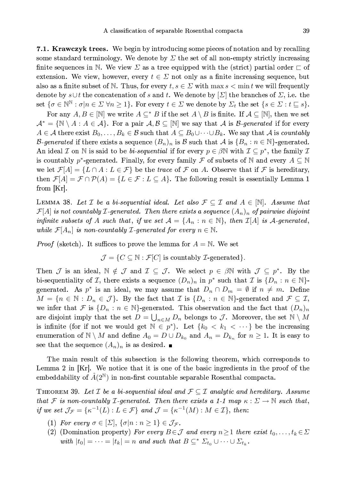39

7.1. Krawczyk trees. We begin by introducing some pieces of notation and by recalling some standard terminology. We denote by  $\Sigma$  the set of all non-empty strictly increasing finite sequences in N. We view  $\Sigma$  as a tree equipped with the (strict) partial order  $\sqsubset$  of extension. We view, however, every  $t \in \Sigma$  not only as a finite increasing sequence, but also as a finite subset of N. Thus, for every  $t, s \in \Sigma$  with max  $s < \min t$  we will frequently denote by  $s \cup t$  the concatenation of s and t. We denote by  $[\Sigma]$  the branches of  $\Sigma$ , i.e. the set  $\{\sigma \in \mathbb{N}^{\mathbb{N}} : \sigma | n \in \Sigma \ \forall n \geq 1\}$ . For every  $t \in \Sigma$  we denote by  $\Sigma_t$  the set  $\{s \in \Sigma : t \sqsubseteq s\}$ .

For any  $A, B \in [\mathbb{N}]$  we write  $A \subseteq^* B$  if the set  $A \setminus B$  is finite. If  $A \subseteq [\mathbb{N}]$ , then we set  $\mathcal{A}^* = \{ \mathbb{N} \setminus A : A \in \mathcal{A} \}.$  For a pair  $\mathcal{A}, \mathcal{B} \subseteq [\mathbb{N}]$  we say that  $\mathcal{A}$  is *B*-generated if for every  $A \in \mathcal{A}$  there exist  $B_0, \ldots, B_k \in \mathcal{B}$  such that  $A \subseteq B_0 \cup \cdots \cup B_k$ . We say that A is countably *B*-generated if there exists a sequence  $(B_n)_n$  is B such that A is  $\{B_n : n \in \mathbb{N}\}$ -generated. An ideal  $\mathcal I$  on N is said to be *bi-sequential* if for every  $p \in \beta \mathbb N$  with  $\mathcal I \subseteq p^*$ , the family  $\mathcal I$ is countably  $p^*$ -generated. Finally, for every family  $\mathcal F$  of subsets of N and every  $A \subseteq \mathbb N$ we let  $\mathcal{F}[A] = \{L \cap A : L \in \mathcal{F}\}\$  be the trace of  $\mathcal F$  on A. Observe that if  $\mathcal F$  is hereditary, then  $\mathcal{F}[A] = \mathcal{F} \cap \mathcal{P}(A) = \{L \in \mathcal{F} : L \subseteq A\}$ . The following result is essentially Lemma 1 from  $|Kr|$ .

LEMMA 38. Let  $\mathcal I$  be a bi-sequential ideal. Let also  $\mathcal F \subseteq \mathcal I$  and  $A \in \mathbb N$ . Assume that  $\mathcal{F}[A]$  is not countably *L*-generated. Then there exists a sequence  $(A_n)_n$  of pairwise disjoint infinite subsets of A such that, if we set  $\mathcal{A} = \{A_n : n \in \mathbb{N}\}\$ , then  $\mathcal{I}[A]$  is A-generated, while  $\mathcal{F}[A_n]$  is non-countably *L*-generated for every  $n \in \mathbb{N}$ .

*Proof* (sketch). It suffices to prove the lemma for  $A = N$ . We set

 $\mathcal{J} = \{C \subseteq \mathbb{N} : \mathcal{F}[C] \text{ is countably } \mathcal{I}\text{-generated}\}.$ 

Then J is an ideal,  $\mathbb{N} \notin \mathcal{J}$  and  $\mathcal{I} \subseteq \mathcal{J}$ . We select  $p \in \beta \mathbb{N}$  with  $\mathcal{J} \subseteq p^*$ . By the bi-sequentiality of T, there exists a sequence  $(D_n)_n$  in  $p^*$  such that T is  $\{D_n : n \in \mathbb{N}\}$ . generated. As  $p^*$  is an ideal, we may assume that  $D_n \cap D_m = \emptyset$  if  $n \neq m$ . Define  $M = \{n \in \mathbb{N} : D_n \in \mathcal{J}\}\$ . By the fact that  $\mathcal{I}$  is  $\{D_n : n \in \mathbb{N}\}\$ -generated and  $\mathcal{F} \subseteq \mathcal{I},$ we infer that F is  $\{D_n : n \in \mathbb{N}\}$ -generated. This observation and the fact that  $(D_n)_n$ are disjoint imply that the set  $D = \bigcup_{n \in M} D_n$  belongs to J. Moreover, the set  $\mathbb{N} \setminus M$ is infinite (for if not we would get  $\mathbb{N} \in p^*$ ). Let  $\{k_0 < k_1 < \cdots \}$  be the increasing enumeration of  $\mathbb{N} \setminus M$  and define  $A_0 = D \cup D_{k_0}$  and  $A_n = D_{k_n}$  for  $n \geq 1$ . It is easy to see that the sequence  $(A_n)_n$  is as desired.

The main result of this subsection is the following theorem, which corresponds to Lemma 2 in  $[Kr]$ . We notice that it is one of the basic ingredients in the proof of the embeddability of  $\hat{A}(2^{\mathbb{N}})$  in non-first countable separable Rosenthal compacta.

THEOREM 39. Let  $\mathcal I$  be a bi-sequential ideal and  $\mathcal F \subseteq \mathcal I$  analytic and hereditary. Assume that F is non-countably *I*-generated. Then there exists a 1-1 map  $\kappa : \Sigma \to \mathbb{N}$  such that, if we set  $\mathcal{J}_{\mathcal{F}} = \{ \kappa^{-1}(L) : L \in \mathcal{F} \}$  and  $\mathcal{J} = \{ \kappa^{-1}(M) : M \in \mathcal{I} \}$ , then:

- (1) For every  $\sigma \in [\Sigma], \{\sigma | n : n \geq 1\} \in \mathcal{J}_{\mathcal{F}}$ .
- (2) (Domination property) For every  $B \in \mathcal{J}$  and every  $n \geq 1$  there exist  $t_0, \ldots, t_k \in \Sigma$ with  $|t_0| = \cdots = |t_k| = n$  and such that  $B \subseteq^* \Sigma_{t_0} \cup \cdots \cup \Sigma_{t_k}$ .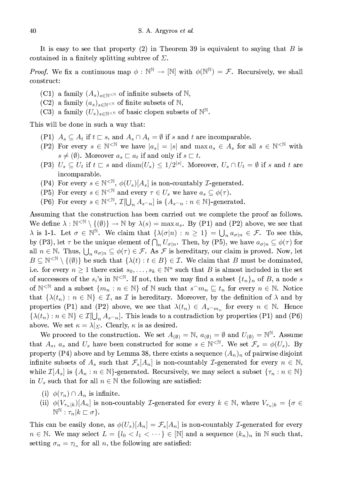It is easy to see that property (2) in Theorem 39 is equivalent to saying that  $B$  is contained in a finitely splitting subtree of  $\Sigma$ .

*Proof.* We fix a continuous map  $\phi : \mathbb{N}^{\mathbb{N}} \to [\mathbb{N}]$  with  $\phi(\mathbb{N}^{\mathbb{N}}) = \mathcal{F}$ . Recursively, we shall construct:

- (C1) a family  $(A_s)_{s \in \mathbb{N}^{<\mathbb{N}}}$  of infinite subsets of  $\mathbb{N}$ ,
- (C2) a family  $(a_s)_{s \in \mathbb{N}}$  of finite subsets of N,
- (C3) a family  $(U_s)_{s \in \mathbb{N}}$  of basic clopen subsets of  $\mathbb{N}^{\mathbb{N}}$ .

This will be done in such a way that:

- (P1)  $A_s \subseteq A_t$  if  $t \sqsubset s$ , and  $A_s \cap A_t = \emptyset$  if s and t are incomparable.
- (P2) For every  $s \in \mathbb{N}^{\leq \mathbb{N}}$  we have  $|a_s| = |s|$  and  $\max a_s \in A_s$  for all  $s \in \mathbb{N}^{\leq \mathbb{N}}$  with  $s \neq (\emptyset)$ . Moreover  $a_s \sqsubset a_t$  if and only if  $s \sqsubset t$ .
- (P3)  $U_s \subseteq U_t$  if  $t \sqsubset s$  and  $\text{diam}(U_s) \leq 1/2^{|s|}$ . Moreover,  $U_s \cap U_t = \emptyset$  if s and t are incomparable.
- (P4) For every  $s \in \mathbb{N}^{\leq \mathbb{N}}, \phi(U_s)[A_s]$  is non-countably *L*-generated.
- (P5) For every  $s \in \mathbb{N}^{\leq \mathbb{N}}$  and every  $\tau \in U_s$  we have  $a_s \subseteq \phi(\tau)$ .
- (P6) For every  $s \in \mathbb{N}^{\leq \mathbb{N}}, \mathcal{I}[\bigcup_n A_{s^\frown n}]$  is  $\{A_{s^\frown n} : n \in \mathbb{N}\}$ -generated.

Assuming that the construction has been carried out we complete the proof as follows. We define  $\lambda : \mathbb{N}^{\leq \mathbb{N}} \setminus \{(\emptyset)\} \to \mathbb{N}$  by  $\lambda(s) = \max a_s$ . By (P1) and (P2) above, we see that  $\lambda$  is 1-1. Let  $\sigma \in \mathbb{N}^{\mathbb{N}}$ . We claim that  $\{\lambda(\sigma|n): n \geq 1\} = \bigcup_n a_{\sigma|n} \in \mathcal{F}$ . To see this, by (P3), let  $\tau$  be the unique element of  $\bigcap_n U_{\sigma|n}$ . Then, by (P5), we have  $a_{\sigma|n} \subseteq \phi(\tau)$  for all  $n \in \mathbb{N}$ . Thus,  $\bigcup_n a_{\sigma \mid n} \subseteq \phi(\tau) \in \mathcal{F}$ . As  $\mathcal F$  is hereditary, our claim is proved. Now, let  $B \subseteq \mathbb{N}^{\leq \mathbb{N}} \setminus \{(\emptyset)\}\$ be such that  $\{\lambda(t) : t \in B\} \in \mathcal{I}$ . We claim that B must be dominated, i.e. for every  $n \geq 1$  there exist  $s_0, \ldots, s_k \in \mathbb{N}^n$  such that B is almost included in the set of successors of the  $s_i$ 's in  $\mathbb{N}^{\leq \mathbb{N}}$ . If not, then we may find a subset  $\{t_n\}_n$  of B, a node s of  $\mathbb{N}^{\leq \mathbb{N}}$  and a subset  $\{m_n : n \in \mathbb{N}\}\$  of  $\mathbb N$  such that  $s^m_n \sqsubseteq t_n$  for every  $n \in \mathbb{N}$ . Notice that  $\{\lambda(t_n): n \in \mathbb{N}\}\in \mathcal{I}$ , as  $\mathcal{I}$  is hereditary. Moreover, by the definition of  $\lambda$  and by properties (P1) and (P2) above, we see that  $\lambda(t_n) \in A_{s^m n}$  for every  $n \in \mathbb{N}$ . Hence  $\{\lambda(t_n):n\in\mathbb{N}\}\in\mathcal{I}[\bigcup_n A_{s\cap n}].$  This leads to a contradiction by properties (P1) and (P6) above. We set  $\kappa = \lambda|_{\Sigma}$ . Clearly,  $\kappa$  is as desired.

We proceed to the construction. We set  $A_{(\emptyset)} = \mathbb{N}$ ,  $a_{(\emptyset)} = \emptyset$  and  $U_{(\emptyset)} = \mathbb{N}^{\mathbb{N}}$ . Assume that  $A_s$ ,  $a_s$  and  $U_s$  have been constructed for some  $s \in \mathbb{N}^{< \mathbb{N}}$ . We set  $\mathcal{F}_s = \phi(U_s)$ . By property (P4) above and by Lemma 38, there exists a sequence  $(A_n)_n$  of pairwise disjoint infinite subsets of  $A_s$  such that  $\mathcal{F}_s[A_n]$  is non-countably *L*-generated for every  $n \in \mathbb{N}$ , while  $\mathcal{I}[A_s]$  is  $\{A_n : n \in \mathbb{N}\}$ -generated. Recursively, we may select a subset  $\{\tau_n : n \in \mathbb{N}\}\$ in  $U_s$  such that for all  $n \in \mathbb{N}$  the following are satisfied:

- (i)  $\phi(\tau_n) \cap A_n$  is infinite.
- (ii)  $\phi(V_{\tau_n|k})[A_n]$  is non-countably *L*-generated for every  $k \in \mathbb{N}$ , where  $V_{\tau_n|k} = \{\sigma \in$  $\mathbb{N}^{\mathbb{N}}:\tau_n|k\sqsubset\sigma\}.$

This can be easily done, as  $\phi(U_s)[A_n] = \mathcal{F}_s[A_n]$  is non-countably *T*-generated for every  $n \in \mathbb{N}$ . We may select  $L = \{l_0 < l_1 < \cdots\} \in [\mathbb{N}]$  and a sequence  $(k_n)_n$  in  $\mathbb N$  such that, setting  $\sigma_n = \tau_{l_n}$  for all n, the following are satisfied: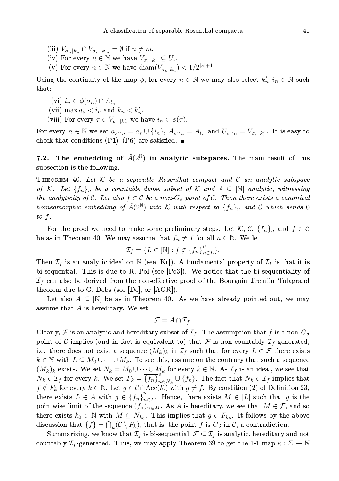- (iii)  $V_{\sigma_n|k_n} \cap V_{\sigma_m|k_m} = \emptyset$  if  $n \neq m$ .
- (iv) For every  $n \in \mathbb{N}$  we have  $V_{\sigma_n|k_n} \subseteq U_s$ .
- (v) For every  $n \in \mathbb{N}$  we have  $\text{diam}(V_{\sigma_n|k_n}) < 1/2^{|s|+1}$ .

Using the continuity of the map  $\phi$ , for every  $n \in \mathbb{N}$  we may also select  $k'_n, i_n \in \mathbb{N}$  such that:

- (vi)  $i_n \in \phi(\sigma_n) \cap A_{l_n}$ .
- (vii) max  $a_s < i_n$  and  $k_n < k'_n$ .
- (viii) For every  $\tau \in V_{\sigma_n|k'_n}$  we have  $i_n \in \phi(\tau)$ .

For every  $n \in \mathbb{N}$  we set  $a_{s_n} = a_s \cup \{i_n\}$ ,  $A_{s_n} = A_{l_n}$  and  $U_{s_n} = V_{\sigma_n|k_n'}$ . It is easy to check that conditions (P1)–(P6) are satisfied.  $\blacksquare$ 

The embedding of  $\hat{A}(2^{\mathbb{N}})$  in analytic subspaces. The main result of this  $7.2.$ subsection is the following.

THEOREM 40. Let  $K$  be a separable Rosenthal compact and  $C$  an analytic subspace of K. Let  $\{f_n\}_n$  be a countable dense subset of K and  $A\subseteq[\mathbb{N}]$  analytic, witnessing the analyticity of C. Let also  $f \in C$  be a non- $G_{\delta}$  point of C. Then there exists a canonical homeomorphic embedding of  $\hat{A}(2^{\mathbb{N}})$  into K with respect to  $\{f_n\}_n$  and C which sends 0  $to$   $f$ .

For the proof we need to make some preliminary steps. Let K, C,  $\{f_n\}_n$  and  $f \in \mathcal{C}$ be as in Theorem 40. We may assume that  $f_n \neq f$  for all  $n \in \mathbb{N}$ . We let

$$
\mathcal{I}_f = \{ L \in [\mathbb{N}] : f \notin \overline{\{f_n\}}_{n \in L}^p \}.
$$

Then  $\mathcal{I}_f$  is an analytic ideal on N (see [Kr]). A fundamental property of  $\mathcal{I}_f$  is that it is bi-sequential. This is due to R. Pol (see [Po3]). We notice that the bi-sequentiality of  $\mathcal{I}_f$  can also be derived from the non-effective proof of the Bourgain–Fremlin–Talagrand theorem due to G. Debs (see  $[De]$ , or  $[AGR]$ ).

Let also  $A \subseteq \mathbb{N}$  be as in Theorem 40. As we have already pointed out, we may assume that  $A$  is hereditary. We set

$$
\mathcal{F} = A \cap \mathcal{I}_f.
$$

Clearly, F is an analytic and hereditary subset of  $\mathcal{I}_f$ . The assumption that f is a non- $G_{\delta}$ point of C implies (and in fact is equivalent to) that F is non-countably  $\mathcal{I}_f$ -generated, i.e. there does not exist a sequence  $(M_k)_k$  in  $\mathcal{I}_f$  such that for every  $L \in \mathcal{F}$  there exists  $k \in \mathbb{N}$  with  $L \subseteq M_0 \cup \cdots \cup M_k$ . To see this, assume on the contrary that such a sequence  $(M_k)_k$  exists. We set  $N_k = M_0 \cup \cdots \cup M_k$  for every  $k \in \mathbb{N}$ . As  $\mathcal{I}_f$  is an ideal, we see that  $N_k \in \mathcal{I}_f$  for every k. We set  $F_k = \overline{\{f_n\}}_{n \in N_k}^p \cup \{f_k\}$ . The fact that  $N_k \in \mathcal{I}_f$  implies that  $f \notin F_k$  for every  $k \in \mathbb{N}$ . Let  $g \in \mathcal{C} \cap \text{Acc}(\mathcal{K})$  with  $g \neq f$ . By condition (2) of Definition 23, there exists  $L \in A$  with  $g \in \overline{\{f_n\}}_{n \in L}^p$ . Hence, there exists  $M \in [L]$  such that g is the pointwise limit of the sequence  $(f_n)_{n\in M}$ . As A is hereditary, we see that  $M\in\mathcal{F}$ , and so there exists  $k_0 \in \mathbb{N}$  with  $M \subseteq N_{k_0}$ . This implies that  $g \in F_{k_0}$ . It follows by the above discussion that  $\{f\} = \bigcap_k (\mathcal{C} \setminus F_k)$ , that is, the point f is  $G_\delta$  in C, a contradiction.

Summarizing, we know that  $\mathcal{I}_f$  is bi-sequential,  $\mathcal{F} \subseteq \mathcal{I}_f$  is analytic, hereditary and not countably  $\mathcal{I}_f$ -generated. Thus, we may apply Theorem 39 to get the 1-1 map  $\kappa : \Sigma \to \mathbb{N}$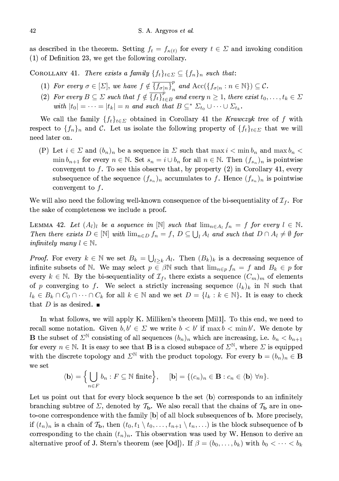as described in the theorem. Setting  $f_t = f_{\kappa(t)}$  for every  $t \in \Sigma$  and invoking condition  $(1)$  of Definition 23, we get the following corollary.

COROLLARY 41. There exists a family  $\{f_t\}_{t \in \Sigma} \subseteq \{f_n\}_n$  such that:

- (1) For every  $\sigma \in [\Sigma]$ , we have  $f \notin \overline{\{f_{\sigma|n}\}}_{n}^p$  and  $Acc(\{f_{\sigma|n} : n \in \mathbb{N}\}) \subseteq \mathcal{C}$ .
- (2) For every  $B \subseteq \Sigma$  such that  $f \notin \overline{\{f_t\}}_{t \in B}^{\nu}$  and every  $n \geq 1$ , there exist  $t_0, \ldots, t_k \in \Sigma$ with  $|t_0| = \cdots = |t_k| = n$  and such that  $B \subseteq^* \Sigma_{t_0} \cup \cdots \cup \Sigma_{t_k}$ .

We call the family  $\{f_t\}_{t \in \Sigma}$  obtained in Corollary 41 the Krawczyk tree of f with respect to  $\{f_n\}_n$  and C. Let us isolate the following property of  $\{f_t\}_{t\in\Sigma}$  that we will need later on.

(P) Let  $i \in \Sigma$  and  $(b_n)_n$  be a sequence in  $\Sigma$  such that  $\max i < \min b_n$  and  $\max b_n <$  $\min b_{n+1}$  for every  $n \in \mathbb{N}$ . Set  $s_n = i \cup b_n$  for all  $n \in \mathbb{N}$ . Then  $(f_{s_n})_n$  is pointwise convergent to  $f$ . To see this observe that, by property (2) in Corollary 41, every subsequence of the sequence  $(f_{s_n})_n$  accumulates to f. Hence  $(f_{s_n})_n$  is pointwise convergent to  $f$ .

We will also need the following well-known consequence of the bi-sequentiality of  ${\mathcal{I}}_f$ . For the sake of completeness we include a proof.

LEMMA 42. Let  $(A_l)_l$  be a sequence in  $[N]$  such that  $\lim_{n\in A_l} f_n = f$  for every  $l \in N$ . Then there exists  $D \in [\mathbb{N}]$  with  $\lim_{n \in D} f_n = f$ ,  $D \subseteq \bigcup_i A_i$  and such that  $D \cap A_i \neq \emptyset$  for infinitely many  $l \in \mathbb{N}$ .

*Proof.* For every  $k \in \mathbb{N}$  we set  $B_k = \bigcup_{l > k} A_l$ . Then  $(B_k)_k$  is a decreasing sequence of infinite subsets of N. We may select  $p \in \beta \mathbb{N}$  such that  $\lim_{n \in p} f_n = f$  and  $B_k \in p$  for every  $k \in \mathbb{N}$ . By the bi-sequentiality of  $\mathcal{I}_f$ , there exists a sequence  $(C_m)_m$  of elements of p converging to f. We select a strictly increasing sequence  $(l_k)_k$  in N such that  $l_k \in B_k \cap C_0 \cap \cdots \cap C_k$  for all  $k \in \mathbb{N}$  and we set  $D = \{l_k : k \in \mathbb{N}\}\.$  It is easy to check that D is as desired.  $\blacksquare$ 

In what follows, we will apply K. Milliken's theorem [Mil1]. To this end, we need to recall some notation. Given  $b, b' \in \Sigma$  we write  $b < b'$  if  $\max b < \min b'$ . We denote by **B** the subset of  $\Sigma^{\mathbb{N}}$  consisting of all sequences  $(b_n)_n$  which are increasing, i.e.  $b_n < b_{n+1}$ for every  $n \in \mathbb{N}$ . It is easy to see that **B** is a closed subspace of  $\Sigma^{\mathbb{N}}$ , where  $\Sigma$  is equipped with the discrete topology and  $\Sigma^{\mathbb{N}}$  with the product topology. For every  $\mathbf{b} = (b_n)_n \in \mathbf{B}$ we set

$$
\langle \mathbf{b} \rangle = \Big\{ \bigcup_{n \in F} b_n : F \subseteq \mathbb{N} \text{ finite} \Big\}, \quad [\mathbf{b}] = \{ (c_n)_n \in \mathbf{B} : c_n \in \langle \mathbf{b} \rangle \; \forall n \}.
$$

Let us point out that for every block sequence  $\bf{b}$  the set  $\bf{(b)}$  corresponds to an infinitely branching subtree of  $\Sigma$ , denoted by  $\mathcal{T}_{\mathbf{b}}$ . We also recall that the chains of  $\mathcal{T}_{\mathbf{b}}$  are in oneto-one correspondence with the family  $[\mathbf{b}]$  of all block subsequences of **b**. More precisely, if  $(t_n)_n$  is a chain of  $\mathcal{T}_b$ , then  $(t_0, t_1 \setminus t_0, \ldots, t_{n+1} \setminus t_n, \ldots)$  is the block subsequence of **b** corresponding to the chain  $(t_n)_n$ . This observation was used by W. Henson to derive an alternative proof of J. Stern's theorem (see [Od]). If  $\beta = (b_0, \ldots, b_k)$  with  $b_0 < \cdots < b_k$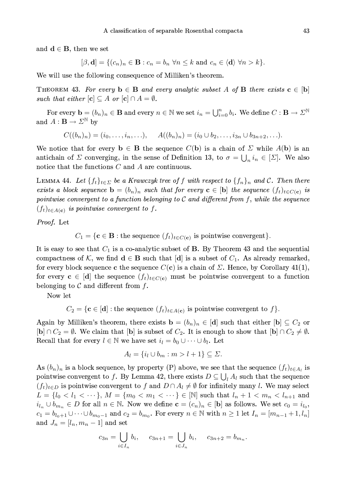43

and  $\mathbf{d} \in \mathbf{B}$ , then we set

$$
[\beta, \mathbf{d}] = \{ (c_n)_n \in \mathbf{B} : c_n = b_n \,\,\forall n \leq k \text{ and } c_n \in \langle \mathbf{d} \rangle \,\,\forall n > k \}.
$$

We will use the following consequence of Milliken's theorem.

THEOREM 43. For every  $\mathbf{b} \in \mathbf{B}$  and every analytic subset A of **B** there exists  $\mathbf{c} \in [\mathbf{b}]$ such that either  $[\mathbf{c}] \subseteq A$  or  $[\mathbf{c}] \cap A = \emptyset$ .

For every  $\mathbf{b}=(b_n)_n\in\mathbf{B}$  and every  $n\in\mathbb{N}$  we set  $i_n=\bigcup_{i=0}^nb_i$ . We define  $C:\mathbf{B}\to\Sigma^{\mathbb{N}}$ and  $A: \mathbf{B} \to \Sigma^{\mathbb{N}}$  by

$$
C((b_n)_n) = (i_0, \ldots, i_n, \ldots), \quad A((b_n)_n) = (i_0 \cup b_2, \ldots, i_{3n} \cup b_{3n+2}, \ldots)
$$

We notice that for every  $\mathbf{b} \in \mathbf{B}$  the sequence  $C(\mathbf{b})$  is a chain of  $\Sigma$  while  $A(\mathbf{b})$  is an antichain of  $\Sigma$  converging, in the sense of Definition 13, to  $\sigma = \bigcup_n i_n \in [\Sigma]$ . We also notice that the functions  $C$  and  $A$  are continuous.

LEMMA 44. Let  $\{f_t\}_{t\in\mathcal{L}}$  be a Krawczyk tree of f with respect to  $\{f_n\}_n$  and C. Then there exists a block sequence  $\mathbf{b} = (b_n)_n$  such that for every  $\mathbf{c} \in [\mathbf{b}]$  the sequence  $(f_t)_{t \in C(\mathbf{c})}$  is pointwise convergent to a function belonging to  $\mathcal C$  and different from  $f,$  while the sequence  $(f_t)_{t \in A(c)}$  is pointwise convergent to f.

Proof. Let

 $C_1 = \{ \mathbf{c} \in \mathbf{B} : \text{the sequence } (f_t)_{t \in C(\mathbf{c})} \text{ is pointwise convergent} \}.$ 

It is easy to see that  $C_1$  is a co-analytic subset of B. By Theorem 43 and the sequential compactness of K, we find  $\mathbf{d} \in \mathbf{B}$  such that  $[\mathbf{d}]$  is a subset of  $C_1$ . As already remarked, for every block sequence c the sequence  $C(c)$  is a chain of  $\Sigma$ . Hence, by Corollary 41(1), for every  $c \in [d]$  the sequence  $(f_t)_{t \in C(c)}$  must be pointwise convergent to a function belonging to  $\mathcal C$  and different from  $f$ .

Now let

 $C_2 = \{ \mathbf{c} \in [\mathbf{d}] : \text{the sequence } (f_t)_{t \in A(\mathbf{c})} \text{ is pointwise convergent to } f \}.$ 

Again by Milliken's theorem, there exists  $\mathbf{b} = (b_n)_n \in [\mathbf{d}]$  such that either  $[\mathbf{b}] \subseteq C_2$  or  $[\mathbf{b}] \cap C_2 = \emptyset$ . We claim that  $[\mathbf{b}]$  is subset of  $C_2$ . It is enough to show that  $[\mathbf{b}] \cap C_2 \neq \emptyset$ . Recall that for every  $l \in \mathbb{N}$  we have set  $i_l = b_0 \cup \cdots \cup b_l$ . Let

$$
A_l = \{i_l \cup b_m : m > l+1\} \subseteq \Sigma.
$$

As  $(b_n)_n$  is a block sequence, by property (P) above, we see that the sequence  $(f_t)_{t \in A_t}$  is pointwise convergent to f. By Lemma 42, there exists  $D \subseteq \bigcup_i A_i$  such that the sequence  $(f_t)_{t\in D}$  is pointwise convergent to f and  $D \cap A_l \neq \emptyset$  for infinitely many l. We may select  $L = \{l_0 < l_1 < \cdots\}, M = \{m_0 < m_1 < \cdots\} \in [\mathbb{N}]$  such that  $l_n + 1 < m_n < l_{n+1}$  and  $i_{l_n}\cup b_{m_n}\in D$  for all  $n\in\mathbb{N}$ . Now we define  $\mathbf{c}=(c_n)_n\in[\mathbf{b}]$  as follows. We set  $c_0=i_{l_0}$ ,  $c_1 = b_{l_0+1} \cup \cdots \cup b_{m_0-1}$  and  $c_2 = b_{m_0}$ . For every  $n \in \mathbb{N}$  with  $n \ge 1$  let  $I_n = [m_{n-1}+1, l_n]$ and  $J_n = [l_n, m_n - 1]$  and set

$$
c_{3n} = \bigcup_{i \in I_n} b_i, \quad c_{3n+1} = \bigcup_{i \in J_n} b_i, \quad c_{3n+2} = b_{m_n}.
$$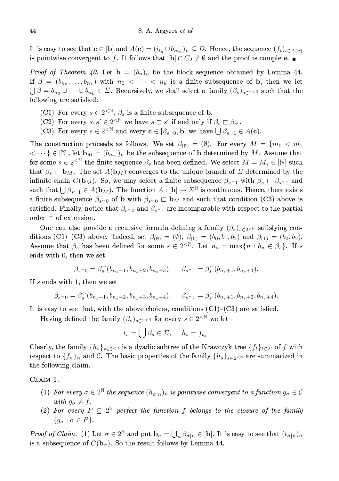It is easy to see that  $\mathbf{c} \in [\mathbf{b}]$  and  $A(\mathbf{c}) = (i_{l_n} \cup b_{m_n})_n \subseteq D$ . Hence, the sequence  $(f_t)_{t \in A(\mathbf{c})}$ is pointwise convergent to f. It follows that  $[\mathbf{b}] \cap C_2 \neq \emptyset$  and the proof is complete.

*Proof of Theorem 40.* Let  $\mathbf{b} = (b_n)_n$  be the block sequence obtained by Lemma 44. If  $\beta = (b_{n_0}, \ldots, b_{n_k})$  with  $n_0 < \cdots < n_k$  is a finite subsequence of b, then we let  $\bigcup \beta = b_{n_0} \cup \cdots \cup b_{n_k} \in \Sigma$ . Recursively, we shall select a family  $(\beta_s)_{s \in 2 \leq N}$  such that the following are satisfied:

- (C1) For every  $s \in 2^{\langle \mathbb{N} \rangle}$ ,  $\beta_s$  is a finite subsequence of **b**.
- (C2) For every  $s, s' \in 2^{\text{ $\mathbb{N}}}\$  we have  $s \sqsubset s'$  if and only if  $\beta_s \sqsubset \beta_{s'}$ .$
- (C3) For every  $s \in 2^{\lt N}$  and every  $\mathbf{c} \in [\beta_{s \cap 0}, \mathbf{b}]$  we have  $\bigcup \beta_{s \cap 1} \in A(\mathbf{c})$ .

The construction proceeds as follows. We set  $\beta_{(\emptyset)} = (\emptyset)$ . For every  $M = \{m_0 < m_1\}$  $\langle \dots \rangle \in [\mathbb{N}],$  let  $\mathbf{b}_M = (b_{m_n})_n$  be the subsequence of b determined by M. Assume that for some  $s \in 2^{\leq \mathbb{N}}$  the finite sequence  $\beta_s$  has been defined. We select  $M = M_s \in [\mathbb{N}]$  such that  $\beta_s \subset \mathbf{b}_M$ . The set  $A(\mathbf{b}_M)$  converges to the unique branch of  $\Sigma$  determined by the infinite chain  $C(\mathbf{b}_M)$ . So, we may select a finite subsequence  $\beta_{s-1}$  with  $\beta_s \subset \beta_{s-1}$  and such that  $\bigcup \beta_{s-1} \in A(\mathbf{b}_M)$ . The function  $A : [\mathbf{b}] \to \Sigma^{\mathbb{N}}$  is continuous. Hence, there exists a finite subsequence  $\beta_{s_0}$  of **b** with  $\beta_{s_0} \subset \mathbf{b}_M$  and such that condition (C3) above is satisfied. Finally, notice that  $\beta_{s_0}$  and  $\beta_{s_1}$  are incomparable with respect to the partial order  $\sqsubset$  of extension.

One can also provide a recursive formula defining a family  $(\beta_s)_{s\in 2^{<\mathbb{N}}}$  satisfying conditions (C1)–(C3) above. Indeed, set  $\beta_{(\emptyset)} = (\emptyset)$ ,  $\beta_{(0)} = (b_0, b_1, b_2)$  and  $\beta_{(1)} = (b_0, b_2)$ . Assume that  $\beta_s$  has been defined for some  $s \in 2^{<\mathbb{N}}$ . Let  $n_s = \max\{n : b_n \in \beta_s\}$ . If s ends with 0, then we set

$$
\beta_{s^{\frown}0} = \beta_s^{\frown}(b_{n_s+1}, b_{n_s+2}, b_{n_s+3}), \quad \beta_{s^{\frown}1} = \beta_s^{\frown}(b_{n_s+1}, b_{n_s+3}).
$$

If s ends with 1, then we set

$$
\beta_{s \cap 0} = \beta_s^{\frown} (b_{n_s+1}, b_{n_s+2}, b_{n_s+3}, b_{n_s+4}), \quad \beta_{s \cap 1} = \beta_s^{\frown} (b_{n_s+1}, b_{n_s+2}, b_{n_s+4}).
$$

It is easy to see that, with the above choices, conditions  $(C1)$ – $(C3)$  are satisfied.

Having defined the family  $(\beta_s)_{s\in 2^{<\mathbb{N}}}$  for every  $s\in 2^{<\mathbb{N}}$  we let

$$
t_s = \bigcup \beta_s \in \Sigma, \quad h_s = f_{t_s}.
$$

Clearly, the family  $\{h_s\}_{s\in 2\leq N}$  is a dyadic subtree of the Krawczyk tree  $\{f_t\}_{t\in\mathcal{D}}$  of f with respect to  $\{f_n\}_n$  and C. The basic properties of the family  $\{h_s\}_{s\in 2\leq N}$  are summarized in the following claim.

CLAIM 1.

- (1) For every  $\sigma \in 2^{\mathbb{N}}$  the sequence  $(h_{\sigma|n})_n$  is pointwise convergent to a function  $g_{\sigma} \in \mathcal{C}$ with  $q_{\sigma} \neq f$ .
- (2) For every  $P \subseteq 2^{\mathbb{N}}$  perfect the function f belongs to the closure of the family  ${g_{\sigma} : \sigma \in P}.$

*Proof of Claim.* (1) Let  $\sigma \in 2^{\mathbb{N}}$  and put  $\mathbf{b}_{\sigma} = \bigcup_{n} \beta_{\sigma|n} \in [\mathbf{b}]$ . It is easy to see that  $(t_{\sigma|n})_n$ is a subsequence of  $C(\mathbf{b}_{\sigma})$ . So the result follows by Lemma 44.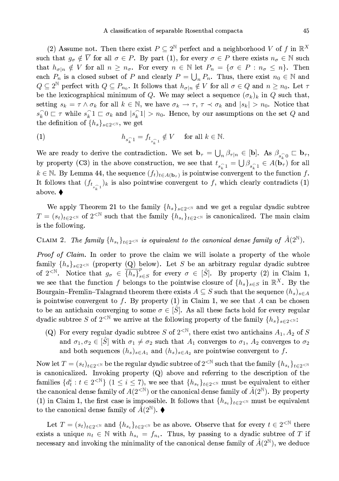(2) Assume not. Then there exist  $P \subseteq 2^{\mathbb{N}}$  perfect and a neighborhood V of f in  $\mathbb{R}^X$ such that  $g_{\sigma} \notin \overline{V}$  for all  $\sigma \in P$ . By part (1), for every  $\sigma \in P$  there exists  $n_{\sigma} \in \mathbb{N}$  such that  $h_{\sigma|n} \notin V$  for all  $n \geq n_{\sigma}$ . For every  $n \in \mathbb{N}$  let  $P_n = \{\sigma \in P : n_{\sigma} \leq n\}$ . Then each  $P_n$  is a closed subset of P and clearly  $P = \bigcup_n P_n$ . Thus, there exist  $n_0 \in \mathbb{N}$  and  $Q \subseteq 2^{\mathbb{N}}$  perfect with  $Q \subseteq P_{n_0}$ . It follows that  $h_{\sigma|n} \notin V$  for all  $\sigma \in Q$  and  $n \geq n_0$ . Let  $\tau$ be the lexicographical minimum of Q. We may select a sequence  $(\sigma_k)_k$  in Q such that, setting  $s_k = \tau \wedge \sigma_k$  for all  $k \in \mathbb{N}$ , we have  $\sigma_k \to \tau$ ,  $\tau \prec \sigma_k$  and  $|s_k| > n_0$ . Notice that  $s_k^0$   $\subset \tau$  while  $s_k^0$   $1 \subset \sigma_k$  and  $|s_k^0| > n_0$ . Hence, by our assumptions on the set Q and the definition of  $\{h_s\}_{s\in 2\leq \mathbb{N}}$ , we get

(1) 
$$
h_{s_k^{\frown}1} = f_{t_{s_k^{\frown}1}} \notin V \quad \text{ for all } k \in \mathbb{N}.
$$

We are ready to derive the contradiction. We set  $\mathbf{b}_{\tau} = \bigcup_{n} \beta_{\tau|n} \in [\mathbf{b}]$ . As  $\beta_{s_{n}^{\frown}0} \sqsubset \mathbf{b}_{\tau}$ , by property (C3) in the above construction, we see that  $t_{s_k^{\frown}1} = \bigcup \beta_{s_k^{\frown}1} \in A(\mathbf{b}_{\tau})$  for all  $k \in \mathbb{N}$ . By Lemma 44, the sequence  $(f_t)_{t \in A(\mathbf{b}_\tau)}$  is pointwise convergent to the function f. It follows that  $(f_{t_{s_{k}}})_k$  is also pointwise convergent to f, which clearly contradicts (1) above.  $\blacklozenge$ 

We apply Theorem 21 to the family  $\{h_s\}_{s\in 2\le N}$  and we get a regular dyadic subtree  $T = (s_t)_{t \in 2 \le N}$  of  $2^{< N}$  such that the family  $\{h_{s_t}\}_{t \in 2 \le N}$  is canonicalized. The main claim is the following.

# CLAIM 2. The family  $\{h_{s_t}\}_{t\in 2\leq N}$  is equivalent to the canonical dense family of  $\hat{A}(2^N)$ .

*Proof of Claim.* In order to prove the claim we will isolate a property of the whole family  $\{h_s\}_{s\in 2\leq N}$  (property (Q) below). Let S be an arbitrary regular dyadic subtree of  $2^{< \mathbb{N}}$ . Notice that  $g_{\sigma} \in \overline{\{h_s\}}_{s \in S}^p$  for every  $\sigma \in [\hat{S}]$ . By property (2) in Claim 1, we see that the function f belongs to the pointwise closure of  $\{h_s\}_{s\in S}$  in  $\mathbb{R}^X$ . By the Bourgain–Fremlin–Talagrand theorem there exists  $A \subseteq S$  such that the sequence  $(h_s)_{s \in A}$ is pointwise convergent to f. By property  $(1)$  in Claim 1, we see that A can be chosen to be an antichain converging to some  $\sigma \in [\hat{S}]$ . As all these facts hold for every regular dyadic subtree S of  $2^{\lt N}$  we arrive at the following property of the family  $\{h_s\}_{s\in 2^{\lt N}}$ :

(Q) For every regular dyadic subtree S of  $2^{<\mathbb{N}}$ , there exist two antichains  $A_1, A_2$  of S and  $\sigma_1, \sigma_2 \in [\hat{S}]$  with  $\sigma_1 \neq \sigma_2$  such that  $A_1$  converges to  $\sigma_1$ ,  $A_2$  converges to  $\sigma_2$ and both sequences  $(h_s)_{s \in A_1}$  and  $(h_s)_{s \in A_2}$  are pointwise convergent to f.

Now let  $T = (s_t)_{t \in 2 \le N}$  be the regular dyadic subtree of  $2^{< N}$  such that the family  $\{h_{s_t}\}_{t \in 2 \le N}$ is canonicalized. Invoking property  $(Q)$  above and referring to the description of the families  $\{d_t^i : t \in 2^{< \mathbb{N}}\}$   $(1 \leq i \leq 7)$ , we see that  $\{h_{s_t}\}_{t \in 2^{< \mathbb{N}}}$  must be equivalent to either the canonical dense family of  $A(2^{\lt N})$  or the canonical dense family of  $\hat{A}(2^{\mathbb{N}})$ . By property (1) in Claim 1, the first case is impossible. It follows that  $\{h_{s_t}\}_{t\in 2^{<\mathbb{N}}}$  must be equivalent to the canonical dense family of  $\hat{A}(2^{\mathbb{N}})$ .

Let  $T = (s_t)_{t \in 2 \le N}$  and  $\{h_{s_t}\}_{t \in 2 \le N}$  be as above. Observe that for every  $t \in 2^{\le N}$  there exists a unique  $n_t \in \mathbb{N}$  with  $h_{s_t} = f_{n_t}$ . Thus, by passing to a dyadic subtree of T if necessary and invoking the minimality of the canonical dense family of  $\hat{A}(2^{\mathbb{N}})$ , we deduce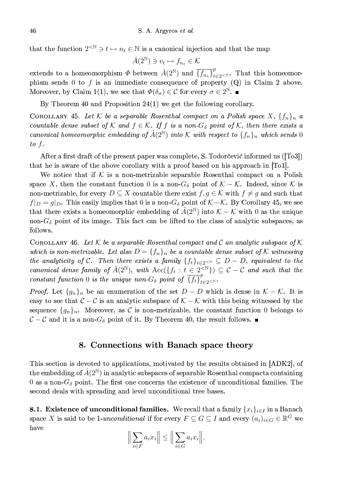that the function  $2^{\langle \mathbb{N} \rangle} \ni t \mapsto n_t \in \mathbb{N}$  is a canonical injection and that the map

$$
\hat{A}(2^{\mathbb{N}}) \ni v_t \mapsto f_{n_t} \in \mathcal{K}
$$

extends to a homeomorphism  $\Phi$  between  $\hat{A}(2^{\mathbb{N}})$  and  $\overline{\{f_{n_t}\}}_{t=2^{\mathbb{N}}}^p$ . That this homeomorphism sends 0 to  $f$  is an immediate consequence of property (Q) in Claim 2 above. Moreover, by Claim 1(1), we see that  $\Phi(\delta_{\sigma}) \in \mathcal{C}$  for every  $\sigma \in 2^{\mathbb{N}}$ .

By Theorem 40 and Proposition  $24(1)$  we get the following corollary.

COROLLARY 45. Let K be a separable Rosenthal compact on a Polish space  $X, \{f_n\}_n$  a countable dense subset of K and  $f \in K$ . If f is a non- $G_{\delta}$  point of K, then there exists a canonical homeomorphic embedding of  $\hat{A}(2^{\mathbb{N}})$  into K with respect to  $\{f_n\}_n$  which sends 0 to  $f$ .

After a first draft of the present paper was complete, S. Todorcevic informed us ( $[T<sub>0</sub>3]$ ) that he is aware of the above corollary with a proof based on his approach in [To1].

We notice that if K is a non-metrizable separable Rosenthal compact on a Polish space X, then the constant function 0 is a non- $G_{\delta}$  point of  $\mathcal{K} - \mathcal{K}$ . Indeed, since K is non-metrizable, for every  $D \subseteq X$  countable there exist  $f, g \in \mathcal{K}$  with  $f \neq g$  and such that  $f|_{D}=g|_{D}$ . This easily implies that 0 is a non- $G_{\delta}$  point of  $K-K$ . By Corollary 45, we see that there exists a homeomorphic embedding of  $\hat{A}(2^{\mathbb{N}})$  into  $\mathcal{K} - \mathcal{K}$  with 0 as the unique non- $G_{\delta}$  point of its image. This fact can be lifted to the class of analytic subspaces, as follows.

COROLLARY 46. Let K be a separable Rosenthal compact and C an analytic subspace of K which is non-metrizable. Let also  $D = \{f_n\}_n$  be a countable dense subset of K witnessing the analyticity of C. Then there exists a family  $\{f_t\}_{t\in 2\leq N}\subseteq D-D$ , equivalent to the canonical dense family of  $\hat{A}(2^{\mathbb{N}})$ , with  $Acc({f_t : t \in 2^{\leq \mathbb{N}}}) \subseteq C - C$  and such that the constant function 0 is the unique non- $G_{\delta}$  point of  $\overline{\{f_t\}}_{t=2}^p$ 

*Proof.* Let  $\{g_n\}_n$  be an enumeration of the set  $D - D$  which is dense in  $\mathcal{K} - \mathcal{K}$ . It is easy to see that  $C-C$  is an analytic subspace of  $K-K$  with this being witnessed by the sequence  $\{g_n\}_n$ . Moreover, as C is non-metrizable, the constant function 0 belongs to  $C-C$  and it is a non- $G_{\delta}$  point of it. By Theorem 40, the result follows.

### 8. Connections with Banach space theory

This section is devoted to applications, motivated by the results obtained in [ADK2], of the embedding of  $\hat{A}(2^{\mathbb{N}})$  in analytic subspaces of separable Rosenthal compacta containing 0 as a non- $G_{\delta}$  point. The first one concerns the existence of unconditional families. The second deals with spreading and level unconditional tree bases.

**8.1.** Existence of unconditional families. We recall that a family  $\{x_i\}_{i\in I}$  in a Banach space X is said to be 1-unconditional if for every  $F \subseteq G \subseteq I$  and every  $(a_i)_{i \in G} \in \mathbb{R}^G$  we have

$$
\Big\|\sum_{i\in F} a_i x_i\Big\| \le \Big\|\sum_{i\in G} a_i x_i\Big\|.
$$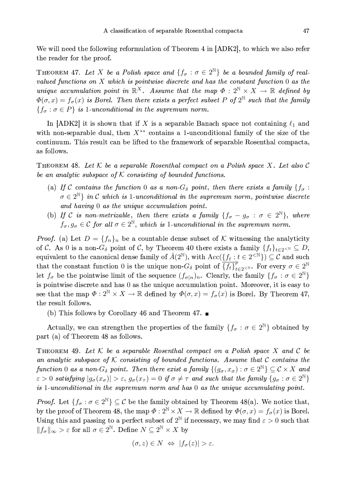We will need the following reformulation of Theorem 4 in [ADK2], to which we also refer the reader for the proof.

THEOREM 47. Let X be a Polish space and  $\{f_{\sigma} : \sigma \in 2^{\mathbb{N}}\}$  be a bounded family of realvalued functions on  $X$  which is pointwise discrete and has the constant function  $0$  as the unique accumulation point in  $\mathbb{R}^X$ . Assume that the map  $\Phi: 2^{\mathbb{N}} \times X \to \mathbb{R}$  defined by  $\Phi(\sigma, x) = f_{\sigma}(x)$  is Borel. Then there exists a perfect subset P of  $2^{\mathbb{N}}$  such that the family  ${f_{\sigma}: \sigma \in P}$  is 1-unconditional in the supremum norm.

In [ADK2] it is shown that if X is a separable Banach space not containing  $\ell_1$  and with non-separable dual, then  $X^{**}$  contains a 1-unconditional family of the size of the continuum. This result can be lifted to the framework of separable Rosenthal compacta, as follows.

THEOREM 48. Let K be a separable Rosenthal compact on a Polish space X. Let also C be an analytic subspace of  $K$  consisting of bounded functions.

- (a) If C contains the function 0 as a non- $G_{\delta}$  point, then there exists a family  $\{f_{\sigma}$ :  $\sigma \in 2^{\mathbb{N}}$  in C which is 1-unconditional in the supremum norm, pointwise discrete and having 0 as the unique accumulation point.
- (b) If C is non-metrizable, then there exists a family  $\{f_{\sigma}-g_{\sigma}:\sigma\in 2^{\mathbb{N}}\}$ , where  $f_{\sigma}, g_{\sigma} \in \mathcal{C}$  for all  $\sigma \in 2^{\mathbb{N}}$ , which is 1-unconditional in the supremum norm.

*Proof.* (a) Let  $D = \{f_n\}_n$  be a countable dense subset of K witnessing the analyticity of C. As 0 is a non- $G_{\delta}$  point of C, by Theorem 40 there exists a family  $\{f_t\}_{t\in 2\leq N}\subseteq D$ , equivalent to the canonical dense family of  $\hat{A}(2^{\mathbb{N}})$ , with  $Acc({f_t : t \in 2^{\leq \mathbb{N}}}) \subseteq \mathcal{C}$  and such that the constant function 0 is the unique non- $G_{\delta}$  point of  $\overline{\{f_t\}}_{t\in 2\leq N}^{\nu}$ . For every  $\sigma \in 2^{\mathbb{N}}$ let  $f_{\sigma}$  be the pointwise limit of the sequence  $(f_{\sigma|n})_n$ . Clearly, the family  $\{f_{\sigma} : \sigma \in 2^{\mathbb{N}}\}\$ is pointwise discrete and has 0 as the unique accumulation point. Moreover, it is easy to see that the map  $\Phi: 2^{\mathbb{N}} \times X \to \mathbb{R}$  defined by  $\Phi(\sigma, x) = f_{\sigma}(x)$  is Borel. By Theorem 47, the result follows.

(b) This follows by Corollary 46 and Theorem 47.  $\blacksquare$ 

Actually, we can strengthen the properties of the family  $\{f_{\sigma} : \sigma \in 2^{\mathbb{N}}\}\$ obtained by part (a) of Theorem 48 as follows.

THEOREM 49. Let  $K$  be a separable Rosenthal compact on a Polish space X and C be an analytic subspace of  $K$  consisting of bounded functions. Assume that  $C$  contains the function 0 as a non- $G_{\delta}$  point. Then there exist a family  $\{(g_{\sigma}, x_{\sigma}) : \sigma \in 2^{\mathbb{N}}\} \subseteq \mathcal{C} \times X$  and  $\varepsilon > 0$  satisfying  $|g_{\sigma}(x_{\sigma})| > \varepsilon$ ,  $g_{\sigma}(x_{\tau}) = 0$  if  $\sigma \neq \tau$  and such that the family  $\{g_{\sigma} : \sigma \in 2^{\mathbb{N}}\}$ is 1-unconditional in the supremum norm and has 0 as the unique accumulating point.

*Proof.* Let  $\{f_{\sigma} : \sigma \in 2^{\mathbb{N}}\}\subseteq \mathcal{C}$  be the family obtained by Theorem 48(a). We notice that, by the proof of Theorem 48, the map  $\Phi: 2^{\mathbb{N}} \times X \to \mathbb{R}$  defined by  $\Phi(\sigma, x) = f_{\sigma}(x)$  is Borel. Using this and passing to a perfect subset of  $2^{\mathbb{N}}$  if necessary, we may find  $\varepsilon > 0$  such that  $||f_{\sigma}||_{\infty} > \varepsilon$  for all  $\sigma \in 2^{\mathbb{N}}$ . Define  $N \subseteq 2^{\mathbb{N}} \times X$  by

$$
(\sigma, z) \in N \iff |f_{\sigma}(z)| > \varepsilon.
$$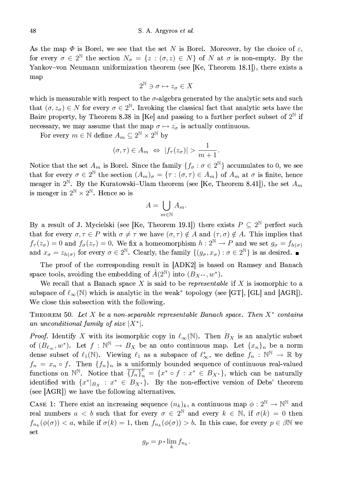As the map  $\Phi$  is Borel, we see that the set N is Borel. Moreover, by the choice of  $\varepsilon$ , for every  $\sigma \in 2^{\mathbb{N}}$  the section  $N_{\sigma} = \{z : (\sigma, z) \in N\}$  of N at  $\sigma$  is non-empty. By the Yankov-von Neumann uniformization theorem (see [Ke, Theorem 18.1]), there exists a map

$$
2^{\mathbb{N}} \ni \sigma \mapsto z_{\sigma} \in X
$$

which is measurable with respect to the  $\sigma$ -algebra generated by the analytic sets and such that  $(\sigma, z_{\sigma}) \in N$  for every  $\sigma \in 2^{\mathbb{N}}$ . Invoking the classical fact that analytic sets have the Baire property, by Theorem 8.38 in [Ke] and passing to a further perfect subset of  $2^{\mathbb{N}}$  if necessary, we may assume that the map  $\sigma \mapsto z_{\sigma}$  is actually continuous.

For every  $m \in \mathbb{N}$  define  $A_m \subseteq 2^{\mathbb{N}} \times 2^{\mathbb{N}}$  by

$$
(\sigma,\tau)\in A_m \Leftrightarrow |f_\tau(z_\sigma)| > \frac{1}{m+1}.
$$

Notice that the set  $A_m$  is Borel. Since the family  $\{f_{\sigma} : \sigma \in 2^{\mathbb{N}}\}\)$  accumulates to 0, we see that for every  $\sigma \in 2^{\mathbb{N}}$  the section  $(A_m)_{\sigma} = {\tau : (\sigma, \tau) \in A_m}$  of  $A_m$  at  $\sigma$  is finite, hence meager in  $2^{\mathbb{N}}$ . By the Kuratowski-Ulam theorem (see [Ke, Theorem 8.41]), the set  $A_m$ is meager in  $2^{\mathbb{N}} \times 2^{\mathbb{N}}$ . Hence so is

$$
A = \bigcup_{m \in \mathbb{N}} A_m.
$$

By a result of J. Mycielski (see [Ke, Theorem 19.1]) there exists  $P \subseteq 2^{\mathbb{N}}$  perfect such that for every  $\sigma, \tau \in P$  with  $\sigma \neq \tau$  we have  $(\sigma, \tau) \notin A$  and  $(\tau, \sigma) \notin A$ . This implies that  $f_{\tau}(z_{\sigma}) = 0$  and  $f_{\sigma}(z_{\tau}) = 0$ . We fix a homeomorphism  $h: 2^{\mathbb{N}} \to P$  and we set  $g_{\sigma} = f_{h(\sigma)}$  and  $x_{\sigma} = z_{h(\sigma)}$  for every  $\sigma \in 2^{\mathbb{N}}$ . Clearly, the family  $\{(g_{\sigma}, x_{\sigma}) : \sigma \in 2^{\mathbb{N}}\}$  is as desired.

The proof of the corresponding result in [ADK2] is based on Ramsey and Banach space tools, avoiding the embedding of  $\hat{A}(2^{\mathbb{N}})$  into  $(B_{X^{**}}, w^*)$ .

We recall that a Banach space X is said to be representable if X is isomorphic to a subspace of  $\ell_{\infty}(\mathbb{N})$  which is analytic in the weak\* topology (see [GT], [GL] and [AGR]). We close this subsection with the following.

THEOREM 50. Let X be a non-separable representable Banach space. Then  $X^*$  contains an unconditional family of size  $|X^*|$ .

*Proof.* Identify X with its isomorphic copy in  $\ell_{\infty}(\mathbb{N})$ . Then  $B_X$  is an analytic subset of  $(B_{\ell_{\infty}},w^*)$ . Let  $f:\mathbb{N}^{\mathbb{N}}\to B_X$  be an onto continuous map. Let  $\{x_n\}_n$  be a norm dense subset of  $\ell_1(\mathbb{N})$ . Viewing  $\ell_1$  as a subspace of  $\ell_{\infty}^*$ , we define  $f_n : \mathbb{N}^{\mathbb{N}} \to \mathbb{R}$  by  $f_n = x_n \circ f$ . Then  $\{f_n\}_n$  is a uniformly bounded sequence of continuous real-valued functions on  $\mathbb{N}^{\mathbb{N}}$ . Notice that  $\overline{\{f_n\}}_n^p = \{x^* \circ f : x^* \in B_{X^*}\}\$ , which can be naturally identified with  $\{x^*|_{B_X}: x^* \in B_{X^*}\}.$  By the non-effective version of Debs' theorem (see [AGR]) we have the following alternatives.

CASE 1: There exist an increasing sequence  $(n_k)_k$ , a continuous map  $\phi: 2^{\mathbb{N}} \to \mathbb{N}^{\mathbb{N}}$  and real numbers  $a < b$  such that for every  $\sigma \in 2^{\mathbb{N}}$  and every  $k \in \mathbb{N}$ , if  $\sigma(k) = 0$  then  $f_{n_k}(\phi(\sigma)) < a$ , while if  $\sigma(k) = 1$ , then  $f_{n_k}(\phi(\sigma)) > b$ . In this case, for every  $p \in \beta \mathbb{N}$  we set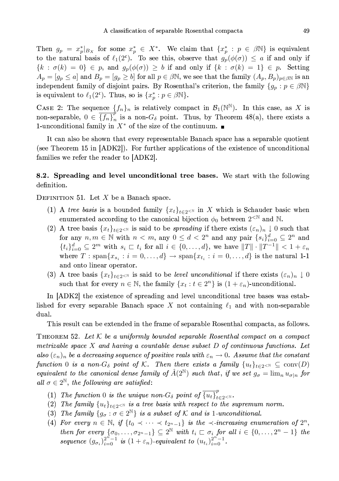Then  $g_p = x_p^*|_{B_X}$  for some  $x_p^* \in X^*$ . We claim that  $\{x_p^* : p \in \beta \mathbb{N}\}\$ is equivalent to the natural basis of  $\ell_1(2^c)$ . To see this, observe that  $g_p(\phi(\sigma)) \leq a$  if and only if  ${k : \sigma(k) = 0} \in p$ , and  $g_p(\phi(\sigma)) \geq b$  if and only if  ${k : \sigma(k) = 1} \in p$ . Setting  $A_p = [g_p \leq a]$  and  $B_p = [g_p \geq b]$  for all  $p \in \beta \mathbb{N}$ , we see that the family  $(A_p, B_p)_{p \in \beta \mathbb{N}}$  is an independent family of disjoint pairs. By Rosenthal's criterion, the family  $\{g_p : p \in \beta \mathbb{N}\}\$ is equivalent to  $\ell_1(2^c)$ . Thus, so is  $\{x_p^*: p \in \beta \mathbb{N}\}.$ 

CASE 2: The sequence  $\{f_n\}_n$  is relatively compact in  $\mathcal{B}_1(\mathbb{N}^{\mathbb{N}})$ . In this case, as X is non-separable,  $0 \in \overline{\{f_n\}}_n^p$  is a non- $G_\delta$  point. Thus, by Theorem 48(a), there exists a 1-unconditional family in  $X^*$  of the size of the continuum.  $\blacksquare$ 

It can also be shown that every representable Banach space has a separable quotient (see Theorem 15 in [ADK2]). For further applications of the existence of unconditional families we refer the reader to [ADK2].

8.2. Spreading and level unconditional tree bases. We start with the following definition.

DEFINITION 51. Let  $X$  be a Banach space.

- (1) A tree basis is a bounded family  $\{x_t\}_{t\in 2\le N}$  in X which is Schauder basic when enumerated according to the canonical bijection  $\phi_0$  between  $2^{<\mathbb{N}}$  and N.
- (2) A tree basis  $\{x_t\}_{t\in 2\le N}$  is said to be *spreading* if there exists  $(\varepsilon_n)_n \downarrow 0$  such that for any  $n, m \in \mathbb{N}$  with  $n < m$ , any  $0 \leq d < 2^n$  and any pair  $\{s_i\}_{i=0}^d \subseteq 2^n$  and  $\{t_i\}_{i=0}^d \subseteq 2^m$  with  $s_i \sqsubset t_i$  for all  $i \in \{0,\ldots,d\}$ , we have  $||T|| \cdot ||T^{-1}|| < 1 + \varepsilon_n$ where  $T: \text{span}\{x_{s_i} : i = 0, \ldots, d\} \to \text{span}\{x_{t_i} : i = 0, \ldots, d\}$  is the natural 1-1 and onto linear operator.
- (3) A tree basis  $\{x_t\}_{t\in 2\le N}$  is said to be *level unconditional* if there exists  $(\varepsilon_n)_n \downarrow 0$ such that for every  $n \in \mathbb{N}$ , the family  $\{x_t : t \in 2^n\}$  is  $(1 + \varepsilon_n)$ -unconditional.

In [ADK2] the existence of spreading and level unconditional tree bases was established for every separable Banach space X not containing  $\ell_1$  and with non-separable dual.

This result can be extended in the frame of separable Rosenthal compacta, as follows.

THEOREM 52. Let  $K$  be a uniformly bounded separable Rosenthal compact on a compact metrizable space  $X$  and having a countable dense subset  $D$  of continuous functions. Let also  $(\varepsilon_n)_n$  be a decreasing sequence of positive reals with  $\varepsilon_n\to 0.$  Assume that the constant function 0 is a non- $G_{\delta}$  point of K. Then there exists a family  $\{u_t\}_{t\in 2\le N}\subseteq \text{conv}(D)$ equivalent to the canonical dense family of  $\hat{A}(2^{\mathbb{N}})$  such that, if we set  $g_{\sigma} = \lim_{n} u_{\sigma|n}$  for all  $\sigma \in 2^{\mathbb{N}},$  the following are satisfied:

- (1) The function 0 is the unique non- $G_{\delta}$  point of  $\overline{\{u_t\}}_{t=2^{<\aleph}}^{\nu}$ .
- (2) The family  $\{u_t\}_{t\in 2\leq N}$  is a tree basis with respect to the supremum norm.
- (3) The family  $\{g_{\sigma} : \sigma \in 2^{\mathbb{N}}\}$  is a subset of K and is 1-unconditional.
- (4) For every  $n \in \mathbb{N}$ , if  $\{t_0 \prec \cdots \prec t_{2^n-1}\}$  is the  $\prec$  increasing enumeration of  $2^n$ , then for every  $\{\sigma_0, \ldots, \sigma_{2n-1}\} \subseteq 2^{\mathbb{N}}$  with  $t_i \sqsubset \sigma_i$  for all  $i \in \{0, \ldots, 2^n - 1\}$  the sequence  $(g_{\sigma_i})_{i=0}^{2^n - 1}$  is  $(1 + \varepsilon_n)$ -equivalent to  $(u_{t_i})_{i=0}^{2^n - 1}$ .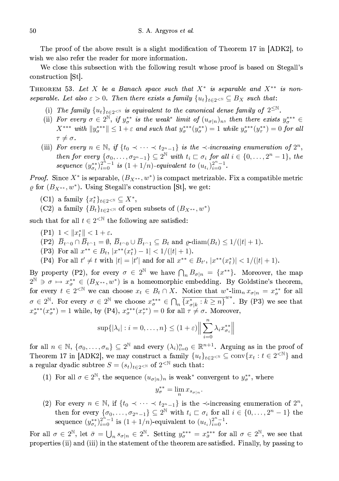The proof of the above result is a slight modification of Theorem 17 in [ADK2], to wish we also refer the reader for more information.

We close this subsection with the following result whose proof is based on Stegall's construction [St].

THEOREM 53. Let X be a Banach space such that  $X^*$  is separable and  $X^{**}$  is nonseparable. Let also  $\varepsilon > 0$ . Then there exists a family  $\{u_t\}_{t \in 2 \le N} \subseteq B_X$  such that:

- (i) The family  $\{u_t\}_{t\in 2\leq N}$  is equivalent to the canonical dense family of  $2^{\leq N}$ .
- (ii) For every  $\sigma \in 2^{\mathbb{N}}$ , if  $y_{\sigma}^{**}$  is the weak<sup>\*</sup> limit of  $(u_{\sigma|n})_n$ , then there exists  $y_{\sigma}^{***} \in$  $X^{***}$  with  $||y^{***}_{\sigma}|| \leq 1+\varepsilon$  and such that  $y^{***}_{\sigma}(y^{**}_{\sigma}) = 1$  while  $y^{***}_{\sigma}(y^{**}_{\tau}) = 0$  for all  $\tau \neq \sigma$ .
- (iii) For every  $n \in \mathbb{N}$ , if  $\{t_0 \prec \cdots \prec t_{2^n-1}\}$  is the  $\prec$ -increasing enumeration of  $2^n$ , then for every  $\{\sigma_0, \ldots, \sigma_{2^n-1}\} \subseteq 2^{\mathbb{N}}$  with  $t_i \sqsubset \sigma_i$  for all  $i \in \{0, \ldots, 2^n-1\}$ , the sequence  $(y_{\sigma_i}^{**})_{i=0}^{2^n-1}$  is  $(1+1/n)$ -equivalent to  $(u_{t_i})_{i=0}^{2^n-1}$ .

*Proof.* Since  $X^*$  is separable,  $(B_{X^{**}}, w^*)$  is compact metrizable. Fix a compatible metric  $\rho$  for  $(B_{X^{**}}, w^*)$ . Using Stegall's construction [St], we get:

- (C1) a family  $\{x_t^*\}_{t\in 2\leq \mathbb{N}} \subseteq X^*$ ,
- (C2) a family  ${B_t}_{t \in 2^{<\mathbb{N}}}$  of open subsets of  $(B_{X^{**}}, w^*)$

such that for all  $t \in 2^{\leq \mathbb{N}}$  the following are satisfied:

- (P1)  $1 < ||x_t^*|| < 1 + \varepsilon$ .
- $(P2)$   $\overline{B}_{t \cap 0} \cap \overline{B}_{t \cap 1} = \emptyset$ ,  $\overline{B}_{t \cap 0} \cup \overline{B}_{t \cap 1} \subseteq B_t$  and  $\rho$ -diam $(B_t) \leq 1/(|t|+1)$ .
- (P3) For all  $x^{**} \in B_t$ ,  $|x^{**}(x_t^*) 1| < 1/(|t| + 1)$ .

(P4) For all  $t' \neq t$  with  $|t| = |t'|$  and for all  $x^{**} \in B_{t'}$ ,  $|x^{**}(x_t^*)| < 1/(|t| + 1)$ .

By property (P2), for every  $\sigma \in 2^{\mathbb{N}}$  we have  $\bigcap_n B_{\sigma|n} = \{x^{**}\}.$  Moreover, the map  $2^{\mathbb{N}} \ni \sigma \mapsto x_{\sigma}^{**} \in (B_{X^{**}}, w^*)$  is a homeomorphic embedding. By Goldstine's theorem, for every  $t \in 2^{\le N}$  we can choose  $x_t \in B_t \cap X$ . Notice that  $w^*$ - $\lim_n x_{\sigma|n} = x_{\sigma}^{**}$  for all  $\sigma \in 2^{\mathbb{N}}$ . For every  $\sigma \in 2^{\mathbb{N}}$  we choose  $x_{\sigma}^{**} \in \bigcap_n \overline{\{x_{\sigma|k}^*: k \ge n\}}^{w^*}$ . By (P3) we see that  $x_{\sigma}^{***}(x_{\sigma}^{**})=1$  while, by (P4),  $x_{\sigma}^{***}(x_{\tau}^{**})=0$  for all  $\tau \neq \sigma$ . Moreover,

$$
\sup\{|\lambda_i| : i = 0, \dots, n\} \le (1+\varepsilon) \Big\| \sum_{i=0}^n \lambda_i x_{\sigma_i}^{**} \Big\|
$$

for all  $n \in \mathbb{N}$ ,  $\{\sigma_0, \ldots, \sigma_n\} \subseteq 2^{\mathbb{N}}$  and every  $(\lambda_i)_{i=0}^n \in \mathbb{R}^{n+1}$ . Arguing as in the proof of Theorem 17 in [ADK2], we may construct a family  ${u_t}_{t\in2\leq N} \subseteq \text{conv}\{x_t : t \in 2^{and$ a regular dyadic subtree  $S = (s_t)_{t \in 2 \le N}$  of  $2^{< N}$  such that:

(1) For all  $\sigma \in 2^{\mathbb{N}}$ , the sequence  $(u_{\sigma|n})_n$  is weak\* convergent to  $y_{\sigma}^{**}$ , where

$$
y_{\sigma}^{**} = \lim_{n} x_{s_{\sigma|n}}
$$

(2) For every  $n \in \mathbb{N}$ , if  $\{t_0 \prec \cdots \prec t_{2^n-1}\}\$ is the  $\prec$ -increasing enumeration of  $2^n$ , then for every  $\{\sigma_0, \ldots, \sigma_{2^n-1}\} \subseteq 2^{\mathbb{N}}$  with  $t_i \sqsubset \sigma_i$  for all  $i \in \{0, \ldots, 2^n-1\}$  the sequence  $(y_{\sigma_i}^{**})_{i=0}^{2^n-1}$  is  $(1+1/n)$ -equivalent to  $(u_{t_i})_{i=0}^{2^n-1}$ .

For all  $\sigma \in 2^{\mathbb{N}}$ , let  $\bar{\sigma} = \bigcup_{n} s_{\sigma|n} \in 2^{\mathbb{N}}$ . Setting  $y_{\sigma}^{***} = x_{\bar{\sigma}}^{***}$  for all  $\sigma \in 2^{\mathbb{N}}$ , we see that properties (ii) and (iii) in the statement of the theorem are satisfied. Finally, by passing to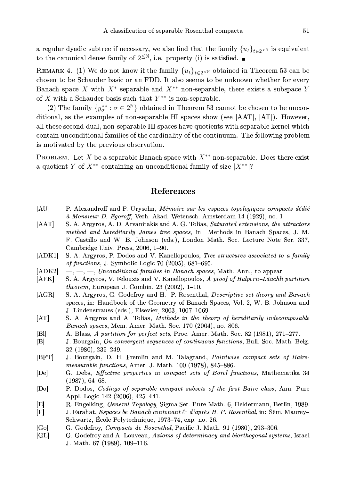a regular dyadic subtree if necessary, we also find that the family  $\{u_t\}_{t\in\mathbb{Z}^{<\mathbb{N}}}$  is equivalent to the canonical dense family of  $2^{\leq N}$ , i.e. property (i) is satisfied.

REMARK 4. (1) We do not know if the family  ${u_t}_{t \in 2}$  obtained in Theorem 53 can be chosen to be Schauder basic or an FDD. It also seems to be unknown whether for every Banach space X with  $X^*$  separable and  $X^{**}$  non-separable, there exists a subspace Y of  $X$  with a Schauder basis such that  $Y^{**}$  is non-separable.

(2) The family  $\{y_{\sigma}^{**} : \sigma \in 2^{\mathbb{N}}\}$  obtained in Theorem 53 cannot be chosen to be unconditional, as the examples of non-separable HI spaces show (see [AAT], [AT]). However, all these second dual, non-separable HI spaces have quotients with separable kernel which contain unconditional families of the cardinality of the continuum. The following problem is motivated by the previous observation.

PROBLEM. Let X be a separable Banach space with  $X^{**}$  non-separable. Does there exist a quotient Y of  $X^{**}$  containing an unconditional family of size  $|X^{**}|$ ?

### References

- [AU] P. Alexandroff and P. Urysohn, Mémoire sur les espaces topologiques compacts dédié à Monsieur D. Egoroff, Verh. Akad. Wetensch. Amsterdam 14 (1929), no. 1.
- $[AAT]$ S. A. Argyros, A. D. Arvanitakis and A. G. Tolias, Saturated extensions, the attractors method and hereditarily James tree spaces, in: Methods in Banach Spaces, J. M. F. Castillo and W. B. Johnson (eds.), London Math. Soc. Lecture Note Ser. 337, Cambridge Univ. Press, 2006, 1-90.
- S. A. Argyros, P. Dodos and V. Kanellopoulos, Tree structures associated to a family  $[ADK1]$ of functions, J. Symbolic Logic 70  $(2005)$ , 681–695.
- $-,-,-$ , Unconditional families in Banach spaces, Math. Ann., to appear.  $[ADK2]$
- $[AFK]$ S. A. Argyros, V. Felouzis and V. Kanellopoulos, A proof of Halpern–Läuchli partition *theorem*, European J. Combin. 23 (2002), 1-10.
- S. A. Argyros, G. Godefroy and H. P. Rosenthal, Descriptive set theory and Banach  $[AGR]$ spaces, in: Handbook of the Geometry of Banach Spaces, Vol. 2, W. B. Johnson and J. Lindenstrauss (eds.), Elsevier, 2003, 1007-1069.
- $[AT]$ S. A. Argyros and A. Tolias, Methods in the theory of hereditarily indecomposable Banach spaces, Mem. Amer. Math. Soc. 170 (2004), no. 806.
- A. Blass, A partition for perfect sets, Proc. Amer. Math. Soc. 82 (1981), 271-277. [Bl]
- $|B|$ J. Bourgain, On convergent sequences of continuous functions, Bull. Soc. Math. Belg.  $32(1980), 235-249.$
- $[BFT]$ J. Bourgain, D. H. Fremlin and M. Talagrand, Pointwise compact sets of Bairemeasurable functions, Amer. J. Math. 100 (1978), 845–886.
- $[D<sub>e</sub>]$ G. Debs, *Effective properties in compact sets of Borel functions*, Mathematika 34  $(1987), 64-68.$
- P. Dodos, Codings of separable compact subsets of the first Baire class, Ann. Pure  $\lbrack \mathrm{Do} \rbrack$ Appl. Logic 142 (2006), 425-441.
- R. Engelking, General Topology, Sigma Ser. Pure Math. 6, Heldermann, Berlin, 1989. ΙEΙ
- J. Farahat, Espaces be Banach contenant  $\ell^1$  d'après H. P. Rosenthal, in: Sém. Maurey- $\mathbb{F}$ Schwartz, École Polytechnique, 1973-74, exp. no. 26.
- G. Godefroy, Compacts de Rosenthal, Pacific J. Math. 91 (1980), 293-306. [Go]
- [CL] G. Godefroy and A. Louveau, Axioms of determinacy and biorthogonal systems, Israel J. Math. 67 (1989), 109-116.